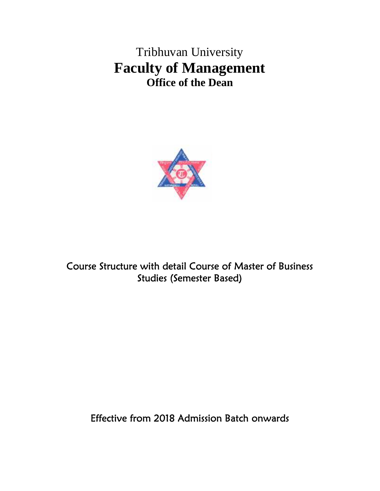Tribhuvan University **Faculty of Management Office of the Dean**



**Course Structure with detail Course of Master of Business Studies (Semester Based)**

**Effective from 2018 Admission Batch onwards**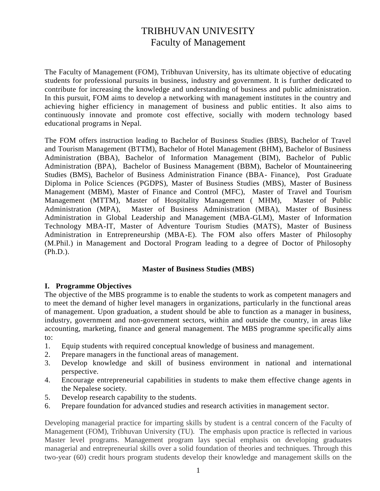# TRIBHUVAN UNIVESITY Faculty of Management

The Faculty of Management (FOM), Tribhuvan University, has its ultimate objective of educating students for professional pursuits in business, industry and government. It is further dedicated to contribute for increasing the knowledge and understanding of business and public administration. In this pursuit, FOM aims to develop a networking with management institutes in the country and achieving higher efficiency in management of business and public entities. It also aims to continuously innovate and promote cost effective, socially with modern technology based educational programs in Nepal.

The FOM offers instruction leading to Bachelor of Business Studies (BBS), Bachelor of Travel and Tourism Management (BTTM), Bachelor of Hotel Management (BHM), Bachelor of Business Administration (BBA), Bachelor of Information Management (BIM), Bachelor of Public Administration (BPA), Bachelor of Business Management (BBM), Bachelor of Mountaineering Studies (BMS), Bachelor of Business Administration Finance (BBA- Finance), Post Graduate Diploma in Police Sciences (PGDPS), Master of Business Studies (MBS), Master of Business Management (MBM), Master of Finance and Control (MFC), Master of Travel and Tourism Management (MTTM), Master of Hospitality Management ( MHM), Master of Public Administration (MPA), Master of Business Administration (MBA), Master of Business Administration in Global Leadership and Management (MBA-GLM), Master of Information Technology MBA-IT, Master of Adventure Tourism Studies (MATS), Master of Business Administration in Entrepreneurship (MBA-E). The FOM also offers Master of Philosophy (M.Phil.) in Management and Doctoral Program leading to a degree of Doctor of Philosophy (Ph.D.).

# **Master of Business Studies (MBS)**

# **I. Programme Objectives**

The objective of the MBS programme is to enable the students to work as competent managers and to meet the demand of higher level managers in organizations, particularly in the functional areas of management. Upon graduation, a student should be able to function as a manager in business, industry, government and non-government sectors, within and outside the country, in areas like accounting, marketing, finance and general management. The MBS programme specifically aims to:

- 1. Equip students with required conceptual knowledge of business and management.
- 2. Prepare managers in the functional areas of management.
- 3. Develop knowledge and skill of business environment in national and international perspective.
- 4. Encourage entrepreneurial capabilities in students to make them effective change agents in the Nepalese society.
- 5. Develop research capability to the students.
- 6. Prepare foundation for advanced studies and research activities in management sector.

Developing managerial practice for imparting skills by student is a central concern of the Faculty of Management (FOM), Tribhuvan University (TU). The emphasis upon practice is reflected in various Master level programs. Management program lays special emphasis on developing graduates managerial and entrepreneurial skills over a solid foundation of theories and techniques. Through this two-year (60) credit hours program students develop their knowledge and management skills on the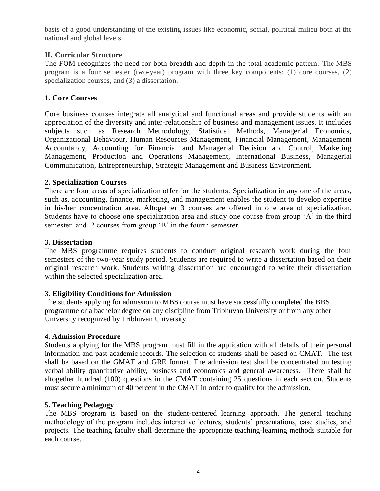basis of a good understanding of the existing issues like economic, social, political milieu both at the national and global levels.

# **II. Curricular Structure**

The FOM recognizes the need for both breadth and depth in the total academic pattern. The MBS program is a four semester (two-year) program with three key components: (1) core courses, (2) specialization courses, and (3) a dissertation.

# **1. Core Courses**

Core business courses integrate all analytical and functional areas and provide students with an appreciation of the diversity and inter-relationship of business and management issues. It includes subjects such as Research Methodology, Statistical Methods, Managerial Economics, Organizational Behaviour, Human Resources Management, Financial Management, Management Accountancy, Accounting for Financial and Managerial Decision and Control, Marketing Management, Production and Operations Management, International Business, Managerial Communication, Entrepreneurship, Strategic Management and Business Environment.

# **2. Specialization Courses**

There are four areas of specialization offer for the students. Specialization in any one of the areas, such as, accounting, finance, marketing, and management enables the student to develop expertise in his/her concentration area. Altogether 3 courses are offered in one area of specialization. Students have to choose one specialization area and study one course from group 'A' in the third semester and 2 courses from group 'B' in the fourth semester.

# **3. Dissertation**

The MBS programme requires students to conduct original research work during the four semesters of the two-year study period. Students are required to write a dissertation based on their original research work. Students writing dissertation are encouraged to write their dissertation within the selected specialization area.

# **3. Eligibility Conditions for Admission**

The students applying for admission to MBS course must have successfully completed the BBS programme or a bachelor degree on any discipline from Tribhuvan University or from any other University recognized by Tribhuvan University.

# **4. Admission Procedure**

Students applying for the MBS program must fill in the application with all details of their personal information and past academic records. The selection of students shall be based on CMAT. The test shall be based on the GMAT and GRE format. The admission test shall be concentrated on testing verbal ability quantitative ability, business and economics and general awareness. There shall be altogether hundred (100) questions in the CMAT containing 25 questions in each section. Students must secure a minimum of 40 percent in the CMAT in order to qualify for the admission.

# 5**. Teaching Pedagogy**

The MBS program is based on the student-centered learning approach. The general teaching methodology of the program includes interactive lectures, students' presentations, case studies, and projects. The teaching faculty shall determine the appropriate teaching-learning methods suitable for each course.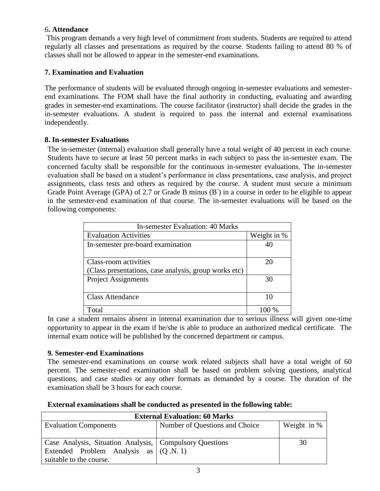# 6**. Attendance**

This program demands a very high level of commitment from students. Students are required to attend regularly all classes and presentations as required by the course. Students failing to attend 80 % of classes shall not be allowed to appear in the semester-end examinations.

# **7. Examination and Evaluation**

The performance of students will be evaluated through ongoing in-semester evaluations and semesterend examinations. The FOM shall have the final authority in conducting, evaluating and awarding grades in semester-end examinations. The course facilitator (instructor) shall decide the grades in the in-semester evaluations. A student is required to pass the internal and external examinations independently.

# **8. In-semester Evaluations**

The in-semester (internal) evaluation shall generally have a total weight of 40 percent in each course. Students have to secure at least 50 percent marks in each subject to pass the in-semester exam. The concerned faculty shall be responsible for the continuous in-semester evaluations. The in-semester evaluation shall be based on a student's performance in class presentations, case analysis, and project assignments, class tests and others as required by the course. A student must secure a minimum Grade Point Average (GPA) of 2.7 or Grade B minus (B<sup>-</sup>) in a course in order to be eligible to appear in the semester-end examination of that course. The in-semester evaluations will be based on the following components:

| In-semester Evaluation: 40 Marks                      |             |  |
|-------------------------------------------------------|-------------|--|
| <b>Evaluation Activities</b>                          | Weight in % |  |
| In-semester pre-board examination                     |             |  |
| Class-room activities                                 | 20          |  |
| (Class presentations, case analysis, group works etc) |             |  |
| <b>Project Assignments</b>                            | 30          |  |
| <b>Class Attendance</b>                               | 10          |  |
| Total                                                 |             |  |

In case a student remains absent in internal examination due to serious illness will given one-time opportunity to appear in the exam if he/she is able to produce an authorized medical certificate. The internal exam notice will be published by the concerned department or campus.

# **9. Semester-end Examinations**

The semester-end examinations on course work related subjects shall have a total weight of 60 percent. The semester-end examination shall be based on problem solving questions, analytical questions, and case studies or any other formats as demanded by a course. The duration of the examination shall be 3 hours for each course.

**External examinations shall be conducted as presented in the following table:** 

| <b>External Evaluation: 60 Marks</b>                    |                                |             |
|---------------------------------------------------------|--------------------------------|-------------|
| <b>Evaluation Components</b>                            | Number of Questions and Choice | Weight in % |
|                                                         |                                |             |
| Case Analysis, Situation Analysis, Compulsory Questions |                                | 30          |
| Extended Problem Analysis as $(Q.N. 1)$                 |                                |             |
| suitable to the course.                                 |                                |             |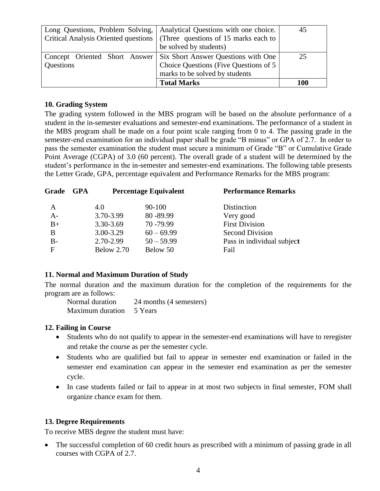| Long Questions, Problem Solving,     | Analytical Questions with one choice.  | 45  |
|--------------------------------------|----------------------------------------|-----|
| Critical Analysis Oriented questions | (Three questions of 15 marks each to   |     |
|                                      | be solved by students)                 |     |
| Concept Oriented Short Answer        | Six Short Answer Questions with One    | 25  |
| Questions                            | Choice Questions (Five Questions of 5) |     |
|                                      | marks to be solved by students         |     |
|                                      | <b>Total Marks</b>                     | 100 |

# **10. Grading System**

The grading system followed in the MBS program will be based on the absolute performance of a student in the in-semester evaluations and semester-end examinations. The performance of a student in the MBS program shall be made on a four point scale ranging from 0 to 4. The passing grade in the semester-end examination for an individual paper shall be grade "B minus" or GPA of 2.7. In order to pass the semester examination the student must secure a minimum of Grade "B" or Cumulative Grade Point Average (CGPA) of 3.0 (60 percent). The overall grade of a student will be determined by the student's performance in the in-semester and semester-end examinations. The following table presents the Letter Grade, GPA, percentage equivalent and Performance Remarks for the MBS program:

| GPA |            |              | <b>Performance Remarks</b>   |
|-----|------------|--------------|------------------------------|
|     | 4.0        | 90-100       | Distinction                  |
|     | 3.70-3.99  | 80-89.99     | Very good                    |
|     | 3.30-3.69  | 70 - 79.99   | <b>First Division</b>        |
|     | 3.00-3.29  | $60 - 69.99$ | <b>Second Division</b>       |
|     | 2.70-2.99  | $50 - 59.99$ | Pass in individual subject   |
|     | Below 2.70 | Below 50     | Fail                         |
|     |            |              | <b>Percentage Equivalent</b> |

# **11. Normal and Maximum Duration of Study**

The normal duration and the maximum duration for the completion of the requirements for the program are as follows:

| Normal duration          | 24 months (4 semesters) |
|--------------------------|-------------------------|
| Maximum duration 5 Years |                         |

# **12. Failing in Course**

- Students who do not qualify to appear in the semester-end examinations will have to reregister and retake the course as per the semester cycle.
- Students who are qualified but fail to appear in semester end examination or failed in the semester end examination can appear in the semester end examination as per the semester cycle.
- In case students failed or fail to appear in at most two subjects in final semester, FOM shall organize chance exam for them.

# **13. Degree Requirements**

To receive MBS degree the student must have:

 The successful completion of 60 credit hours as prescribed with a minimum of passing grade in all courses with CGPA of 2.7.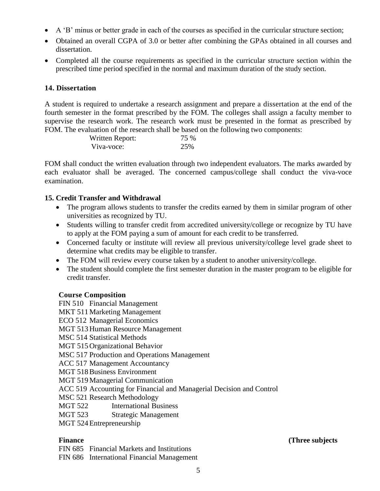- A 'B' minus or better grade in each of the courses as specified in the curricular structure section;
- Obtained an overall CGPA of 3.0 or better after combining the GPAs obtained in all courses and dissertation.
- Completed all the course requirements as specified in the curricular structure section within the prescribed time period specified in the normal and maximum duration of the study section.

# **14. Dissertation**

A student is required to undertake a research assignment and prepare a dissertation at the end of the fourth semester in the format prescribed by the FOM. The colleges shall assign a faculty member to supervise the research work. The research work must be presented in the format as prescribed by FOM. The evaluation of the research shall be based on the following two components:

| Written Report: | 75 % |
|-----------------|------|
| Viva-voce:      | 25%  |

FOM shall conduct the written evaluation through two independent evaluators. The marks awarded by each evaluator shall be averaged. The concerned campus/college shall conduct the viva-voce examination.

# **15. Credit Transfer and Withdrawal**

- The program allows students to transfer the credits earned by them in similar program of other universities as recognized by TU.
- Students willing to transfer credit from accredited university/college or recognize by TU have to apply at the FOM paying a sum of amount for each credit to be transferred.
- Concerned faculty or institute will review all previous university/college level grade sheet to determine what credits may be eligible to transfer.
- The FOM will review every course taken by a student to another university/college.
- The student should complete the first semester duration in the master program to be eligible for credit transfer.

# **Course Composition**

FIN 510 Financial Management MKT 511 Marketing Management ECO 512 Managerial Economics MGT 513 Human Resource Management MSC 514 Statistical Methods MGT 515 Organizational Behavior MSC 517 Production and Operations Management ACC 517 Management Accountancy MGT 518Business Environment MGT 519Managerial Communication ACC 519 Accounting for Financial and Managerial Decision and Control MSC 521 Research Methodology MGT 522 International Business MGT 523 Strategic Management MGT 524Entrepreneurship

FIN 685 Financial Markets and Institutions

FIN 686 International Financial Management

# **Finance** (Three subjects) **Contract Contract Contract Contract Contract Contract Contract Contract Contract Contract Contract Contract Contract Contract Contract Contract Contract Contract Contract Contract Contract Contr**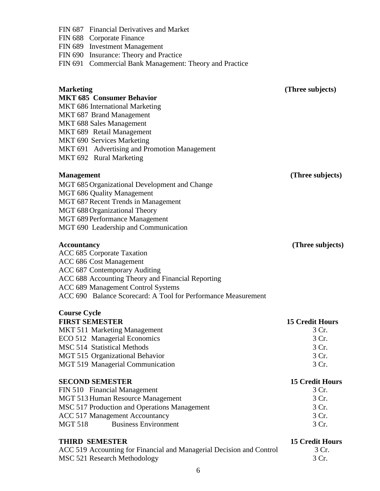|                     | 6                                                                                             |                                 |
|---------------------|-----------------------------------------------------------------------------------------------|---------------------------------|
|                     | MSC 521 Research Methodology                                                                  | 3 Cr.                           |
|                     | <b>THIRD SEMESTER</b><br>ACC 519 Accounting for Financial and Managerial Decision and Control | <b>15 Credit Hours</b><br>3 Cr. |
|                     |                                                                                               |                                 |
| <b>MGT 518</b>      | <b>Business Environment</b>                                                                   | 3 Cr.                           |
|                     | <b>ACC 517 Management Accountancy</b>                                                         | 3 Cr.                           |
|                     | MSC 517 Production and Operations Management                                                  | 3 Cr.                           |
|                     | MGT 513 Human Resource Management                                                             | 3 Cr.                           |
|                     | FIN 510 Financial Management                                                                  | 3 Cr.                           |
|                     | <b>SECOND SEMESTER</b>                                                                        | <b>15 Credit Hours</b>          |
|                     |                                                                                               |                                 |
|                     | MGT 519 Managerial Communication                                                              | 3 Cr.                           |
|                     | MGT 515 Organizational Behavior                                                               | 3 Cr.                           |
|                     | <b>MSC 514 Statistical Methods</b>                                                            | 3 Cr.                           |
|                     | ECO 512 Managerial Economics                                                                  | 3 Cr.                           |
|                     | MKT 511 Marketing Management                                                                  | 3 Cr.                           |
|                     | <b>FIRST SEMESTER</b>                                                                         | <b>15 Credit Hours</b>          |
| <b>Course Cycle</b> |                                                                                               |                                 |
|                     |                                                                                               |                                 |
|                     | ACC 690 Balance Scorecard: A Tool for Performance Measurement                                 |                                 |
|                     | ACC 689 Management Control Systems                                                            |                                 |
|                     | ACC 688 Accounting Theory and Financial Reporting                                             |                                 |
|                     | ACC 687 Contemporary Auditing                                                                 |                                 |
|                     | ACC 686 Cost Management                                                                       |                                 |
| <b>Accountancy</b>  | ACC 685 Corporate Taxation                                                                    | (Three subjects)                |
|                     |                                                                                               |                                 |
|                     | MGT 690 Leadership and Communication                                                          |                                 |
|                     | MGT 689 Performance Management                                                                |                                 |
|                     |                                                                                               |                                 |
|                     | MGT 688 Organizational Theory                                                                 |                                 |
|                     | MGT 687 Recent Trends in Management                                                           |                                 |
|                     | MGT 686 Quality Management                                                                    |                                 |
|                     | MGT 685 Organizational Development and Change                                                 |                                 |
| <b>Management</b>   |                                                                                               | (Three subjects)                |
|                     | MKT 692 Rural Marketing                                                                       |                                 |
|                     | MKT 691 Advertising and Promotion Management                                                  |                                 |
|                     | MKT 690 Services Marketing                                                                    |                                 |
|                     | MKT 689 Retail Management                                                                     |                                 |
|                     | <b>MKT 688 Sales Management</b>                                                               |                                 |
|                     | MKT 687 Brand Management                                                                      |                                 |
|                     | MKT 686 International Marketing                                                               |                                 |
|                     | <b>MKT 685 Consumer Behavior</b>                                                              |                                 |
| <b>Marketing</b>    |                                                                                               | (Three subjects)                |
|                     |                                                                                               |                                 |
|                     |                                                                                               |                                 |
|                     | FIN 691 Commercial Bank Management: Theory and Practice                                       |                                 |
|                     | FIN 690 Insurance: Theory and Practice                                                        |                                 |
|                     | FIN 689 Investment Management                                                                 |                                 |
|                     | FIN 688 Corporate Finance                                                                     |                                 |

FIN 687 Financial Derivatives and Market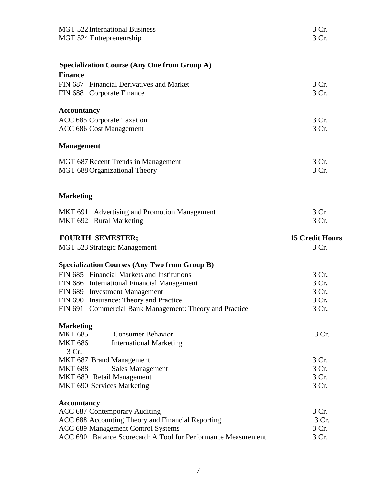| <b>MGT 522 International Business</b><br>MGT 524 Entrepreneurship                                        | 3 Cr.<br>3 Cr.         |
|----------------------------------------------------------------------------------------------------------|------------------------|
| <b>Specialization Course (Any One from Group A)</b>                                                      |                        |
| <b>Finance</b>                                                                                           |                        |
| FIN 687 Financial Derivatives and Market                                                                 | 3 Cr.                  |
| FIN 688 Corporate Finance                                                                                | 3 Cr.                  |
| <b>Accountancy</b>                                                                                       |                        |
| ACC 685 Corporate Taxation                                                                               | 3 Cr.                  |
| ACC 686 Cost Management                                                                                  | 3 Cr.                  |
| <b>Management</b>                                                                                        |                        |
| MGT 687 Recent Trends in Management                                                                      | 3 Cr.                  |
| MGT 688 Organizational Theory                                                                            | 3 Cr.                  |
| <b>Marketing</b>                                                                                         |                        |
| MKT 691 Advertising and Promotion Management                                                             | 3 Cr                   |
| MKT 692 Rural Marketing                                                                                  | 3 Cr.                  |
| <b>FOURTH SEMESTER;</b>                                                                                  | <b>15 Credit Hours</b> |
| <b>MGT 523 Strategic Management</b>                                                                      | 3 Cr.                  |
| <b>Specialization Courses (Any Two from Group B)</b>                                                     |                        |
| FIN 685 Financial Markets and Institutions                                                               | 3 Cr.                  |
| FIN 686 International Financial Management                                                               | 3 Cr.                  |
| FIN 689 Investment Management                                                                            | 3 Cr.                  |
| FIN 690 Insurance: Theory and Practice                                                                   | 3 Cr.                  |
| FIN 691 Commercial Bank Management: Theory and Practice                                                  | 3 Cr.                  |
| <b>Marketing</b>                                                                                         |                        |
| <b>MKT 685</b><br><b>Consumer Behavior</b>                                                               | 3 Cr.                  |
| <b>MKT 686</b><br><b>International Marketing</b><br>3 Cr.                                                |                        |
| MKT 687 Brand Management                                                                                 | 3 Cr.                  |
|                                                                                                          | 3 Cr.                  |
|                                                                                                          |                        |
| <b>Sales Management</b>                                                                                  |                        |
| <b>MKT 688</b><br>MKT 689 Retail Management<br>MKT 690 Services Marketing                                | 3 Cr.<br>3 Cr.         |
|                                                                                                          |                        |
|                                                                                                          | 3 Cr.                  |
| <b>Accountancy</b><br>ACC 687 Contemporary Auditing<br>ACC 688 Accounting Theory and Financial Reporting | 3 Cr.                  |
| ACC 689 Management Control Systems                                                                       | 3 Cr.                  |
| ACC 690 Balance Scorecard: A Tool for Performance Measurement                                            | 3 Cr.                  |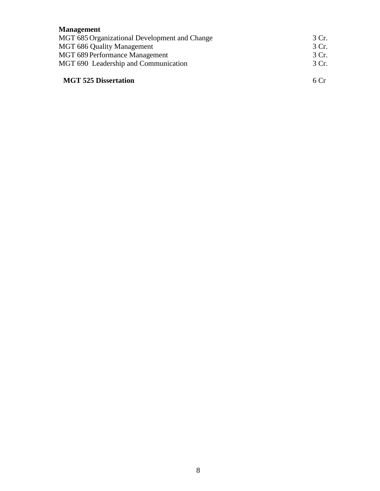# **Management**

| MGT 685 Organizational Development and Change | 3 Cr. |
|-----------------------------------------------|-------|
| <b>MGT 686 Quality Management</b>             | 3 Cr. |
| <b>MGT 689 Performance Management</b>         | 3 Cr. |
| MGT 690 Leadership and Communication          | 3 Cr. |
| <b>MGT 525 Dissertation</b>                   | 6 C r |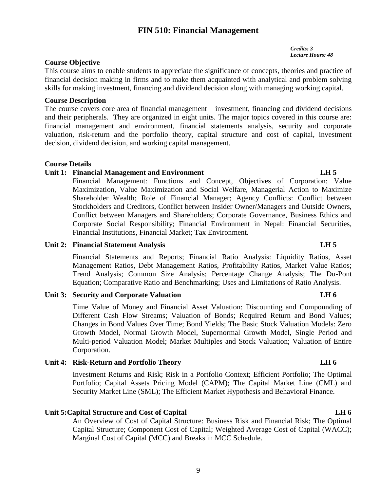# **FIN 510: Financial Management**

*Credits: 3 Lecture Hours: 48* 

# **Course Objective**

This course aims to enable students to appreciate the significance of concepts, theories and practice of financial decision making in firms and to make them acquainted with analytical and problem solving skills for making investment, financing and dividend decision along with managing working capital.

### **Course Description**

The course covers core area of financial management – investment, financing and dividend decisions and their peripherals. They are organized in eight units. The major topics covered in this course are: financial management and environment, financial statements analysis, security and corporate valuation, risk-return and the portfolio theory, capital structure and cost of capital, investment decision, dividend decision, and working capital management.

### **Course Details**

## **Unit 1: Financial Management and Environment LH 5**

Financial Management: Functions and Concept, Objectives of Corporation: Value Maximization, Value Maximization and Social Welfare, Managerial Action to Maximize Shareholder Wealth; Role of Financial Manager; Agency Conflicts: Conflict between Stockholders and Creditors, Conflict between Insider Owner/Managers and Outside Owners, Conflict between Managers and Shareholders; Corporate Governance, Business Ethics and Corporate Social Responsibility; Financial Environment in Nepal: Financial Securities, Financial Institutions, Financial Market; Tax Environment.

### **Unit 2: Financial Statement Analysis LH 5**

Financial Statements and Reports; Financial Ratio Analysis: Liquidity Ratios, Asset Management Ratios, Debt Management Ratios, Profitability Ratios, Market Value Ratios; Trend Analysis; Common Size Analysis; Percentage Change Analysis; The Du-Pont Equation; Comparative Ratio and Benchmarking; Uses and Limitations of Ratio Analysis.

# **Unit 3:** Security and Corporate Valuation **LH** 6

Time Value of Money and Financial Asset Valuation: Discounting and Compounding of Different Cash Flow Streams; Valuation of Bonds; Required Return and Bond Values; Changes in Bond Values Over Time; Bond Yields; The Basic Stock Valuation Models: Zero Growth Model, Normal Growth Model, Supernormal Growth Model, Single Period and Multi-period Valuation Model; Market Multiples and Stock Valuation; Valuation of Entire Corporation.

### **Unit 4: Risk-Return and Portfolio Theory LH 6**

Investment Returns and Risk; Risk in a Portfolio Context; Efficient Portfolio; The Optimal Portfolio; Capital Assets Pricing Model (CAPM); The Capital Market Line (CML) and Security Market Line (SML); The Efficient Market Hypothesis and Behavioral Finance.

# Unit 5: Capital Structure and Cost of Capital **LH 6**

An Overview of Cost of Capital Structure: Business Risk and Financial Risk; The Optimal Capital Structure; Component Cost of Capital; Weighted Average Cost of Capital (WACC); Marginal Cost of Capital (MCC) and Breaks in MCC Schedule.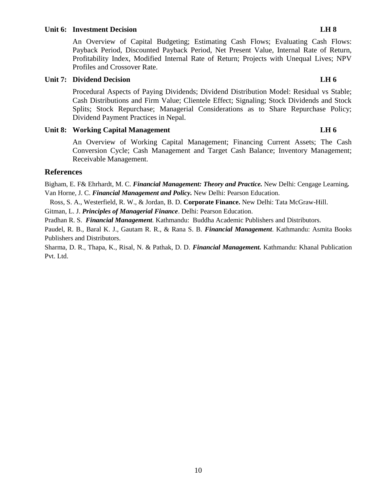### **Unit 6: Investment Decision LH 8**

An Overview of Capital Budgeting; Estimating Cash Flows; Evaluating Cash Flows: Payback Period, Discounted Payback Period, Net Present Value, Internal Rate of Return, Profitability Index, Modified Internal Rate of Return; Projects with Unequal Lives; NPV Profiles and Crossover Rate.

### **Unit 7: Dividend Decision LH 6**

Procedural Aspects of Paying Dividends; Dividend Distribution Model: Residual vs Stable; Cash Distributions and Firm Value; Clientele Effect; Signaling; Stock Dividends and Stock Splits; Stock Repurchase; Managerial Considerations as to Share Repurchase Policy; Dividend Payment Practices in Nepal.

## **Unit 8:** Working Capital Management LH 6

An Overview of Working Capital Management; Financing Current Assets; The Cash Conversion Cycle; Cash Management and Target Cash Balance; Inventory Management; Receivable Management.

# **References**

Bigham, E. F& Ehrhardt, M. C. *Financial Management: Theory and Practice.* New Delhi: Cengage Learning*.*  Van Horne, J. C. *Financial Management and Policy.* New Delhi: Pearson Education.

Ross, S. A., Westerfield, R. W., & Jordan, B. D. **Corporate Finance.** New Delhi: Tata McGraw-Hill.

Gitman, L. J. *Principles of Managerial Finance*. Delhi: Pearson Education.

Pradhan R. S. *Financial Management.* Kathmandu: Buddha Academic Publishers and Distributors.

Paudel, R. B., Baral K. J., Gautam R. R., & Rana S. B. *Financial Management*. Kathmandu: Asmita Books Publishers and Distributors.

Sharma, D. R., Thapa, K., Risal, N. & Pathak, D. D. *Financial Management.* Kathmandu: Khanal Publication Pvt. Ltd.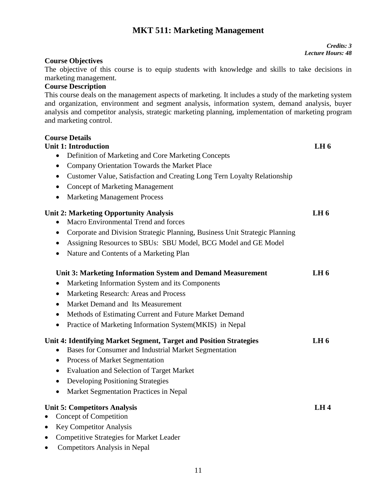# **MKT 511: Marketing Management**

# **Course Objectives**

The objective of this course is to equip students with knowledge and skills to take decisions in marketing management.

# **Course Description**

**Course Details**

This course deals on the management aspects of marketing. It includes a study of the marketing system and organization, environment and segment analysis, information system, demand analysis, buyer analysis and competitor analysis, strategic marketing planning, implementation of marketing program and marketing control.

| <b>Unit 1: Introduction</b>                                                                                                              | LH <sub>6</sub> |
|------------------------------------------------------------------------------------------------------------------------------------------|-----------------|
| Definition of Marketing and Core Marketing Concepts<br>$\bullet$                                                                         |                 |
| Company Orientation Towards the Market Place<br>$\bullet$                                                                                |                 |
| Customer Value, Satisfaction and Creating Long Tern Loyalty Relationship<br>$\bullet$                                                    |                 |
| <b>Concept of Marketing Management</b><br>$\bullet$                                                                                      |                 |
| <b>Marketing Management Process</b>                                                                                                      |                 |
| <b>Unit 2: Marketing Opportunity Analysis</b>                                                                                            | LH <sub>6</sub> |
| Macro Environmental Trend and forces                                                                                                     |                 |
| Corporate and Division Strategic Planning, Business Unit Strategic Planning<br>$\bullet$                                                 |                 |
| Assigning Resources to SBUs: SBU Model, BCG Model and GE Model<br>$\bullet$                                                              |                 |
| Nature and Contents of a Marketing Plan<br>$\bullet$                                                                                     |                 |
| Unit 3: Marketing Information System and Demand Measurement                                                                              | LH <sub>6</sub> |
| Marketing Information System and its Components<br>٠                                                                                     |                 |
| Marketing Research: Areas and Process<br>$\bullet$                                                                                       |                 |
| Market Demand and Its Measurement<br>$\bullet$                                                                                           |                 |
| Methods of Estimating Current and Future Market Demand                                                                                   |                 |
| Practice of Marketing Information System(MKIS) in Nepal<br>$\bullet$                                                                     |                 |
| Unit 4: Identifying Market Segment, Target and Position Strategies<br>Bases for Consumer and Industrial Market Segmentation<br>$\bullet$ | LH <sub>6</sub> |
| Process of Market Segmentation<br>$\bullet$                                                                                              |                 |
| <b>Evaluation and Selection of Target Market</b><br>$\bullet$                                                                            |                 |
| Developing Positioning Strategies<br>$\bullet$                                                                                           |                 |
| Market Segmentation Practices in Nepal<br>$\bullet$                                                                                      |                 |
| <b>Unit 5: Competitors Analysis</b>                                                                                                      | LH4             |
| Concept of Competition<br>$\bullet$                                                                                                      |                 |
| <b>Key Competitor Analysis</b><br>$\bullet$                                                                                              |                 |
| <b>Competitive Strategies for Market Leader</b><br>$\bullet$                                                                             |                 |

Competitors Analysis in Nepal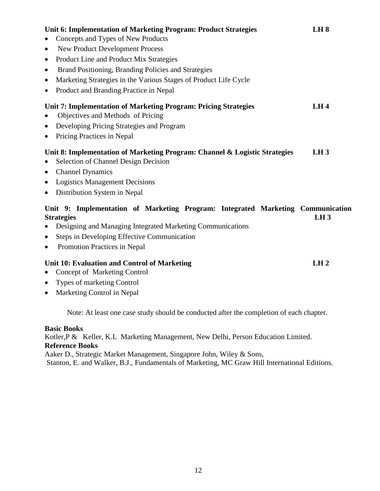| Unit 6: Implementation of Marketing Program: Product Strategies<br>Concepts and Types of New Products<br>$\bullet$              | LH8             |
|---------------------------------------------------------------------------------------------------------------------------------|-----------------|
| <b>New Product Development Process</b><br>$\bullet$                                                                             |                 |
| Product Line and Product Mix Strategies<br>$\bullet$                                                                            |                 |
| Brand Positioning, Branding Policies and Strategies<br>$\bullet$                                                                |                 |
| Marketing Strategies in the Various Stages of Product Life Cycle<br>$\bullet$                                                   |                 |
| Product and Branding Practice in Nepal<br>$\bullet$                                                                             |                 |
| Unit 7: Implementation of Marketing Program: Pricing Strategies<br>Objectives and Methods of Pricing<br>$\bullet$               | LH4             |
| Developing Pricing Strategies and Program<br>$\bullet$                                                                          |                 |
| Pricing Practices in Nepal<br>$\bullet$                                                                                         |                 |
| Unit 8: Implementation of Marketing Program: Channel & Logistic Strategies<br>Selection of Channel Design Decision<br>$\bullet$ | LH3             |
| • Channel Dynamics                                                                                                              |                 |
| • Logistics Management Decisions                                                                                                |                 |
| • Distribution System in Nepal                                                                                                  |                 |
| Unit 9: Implementation of Marketing Program: Integrated Marketing Communication<br><b>Strategies</b>                            | LH <sub>3</sub> |
| Designing and Managing Integrated Marketing Communications<br>$\bullet$                                                         |                 |
| Steps in Developing Effective Communication<br>$\bullet$                                                                        |                 |
| Promotion Practices in Nepal<br>$\bullet$                                                                                       |                 |
| <b>Unit 10: Evaluation and Control of Marketing</b>                                                                             | LH2             |
| Concept of Marketing Control<br>$\bullet$                                                                                       |                 |
| • Types of marketing Control                                                                                                    |                 |
| Marketing Control in Nepal<br>$\bullet$                                                                                         |                 |
| Note: At least one case study should be conducted after the completion of each chapter.                                         |                 |
| <b>Basic Books</b>                                                                                                              |                 |

Kotler,P & Keller, K.L Marketing Management, New Delhi, Person Education Limited. **Reference Books**

Aaker D., Strategic Market Management, Singapore John, Wiley & Sons, Stanton, E. and Walker, B.J., Fundamentals of Marketing, MC Graw Hill International Editions.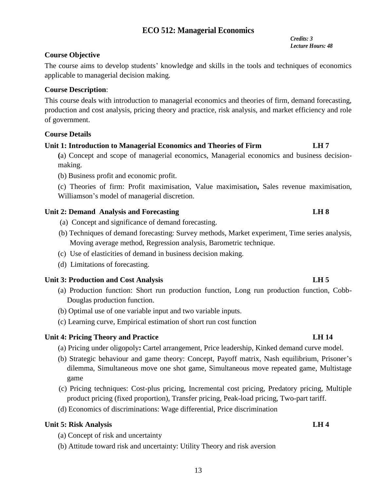# **ECO 512: Managerial Economics**

 *Credits: 3 Lecture Hours: 48*

# **Course Objective**

The course aims to develop students' knowledge and skills in the tools and techniques of economics applicable to managerial decision making.

# **Course Description**:

This course deals with introduction to managerial economics and theories of firm, demand forecasting, production and cost analysis, pricing theory and practice, risk analysis, and market efficiency and role of government.

# **Course Details**

# **Unit 1: Introduction to Managerial Economics and Theories of Firm LH 7**

**(**a) Concept and scope of managerial economics, Managerial economics and business decisionmaking.

(b) Business profit and economic profit.

(c) Theories of firm: Profit maximisation, Value maximisation**,** Sales revenue maximisation, Williamson's model of managerial discretion.

# **Unit 2: Demand Analysis and Forecasting LH 8**

- (a) Concept and significance of demand forecasting.
- (b) Techniques of demand forecasting: Survey methods, Market experiment, Time series analysis, Moving average method, Regression analysis, Barometric technique.
- (c) Use of elasticities of demand in business decision making.
- (d) Limitations of forecasting.

# **Unit 3: Production and Cost Analysis LH 5**

- (a) Production function: Short run production function, Long run production function, Cobb-Douglas production function.
- (b) Optimal use of one variable input and two variable inputs.
- (c) Learning curve, Empirical estimation of short run cost function

# Unit 4: Pricing Theory and Practice LH 14

- (a) Pricing under oligopoly**:** Cartel arrangement, Price leadership, Kinked demand curve model.
- (b) Strategic behaviour and game theory: Concept, Payoff matrix, Nash equilibrium, Prisoner's dilemma, Simultaneous move one shot game, Simultaneous move repeated game, Multistage game
- (c) Pricing techniques: Cost-plus pricing, Incremental cost pricing, Predatory pricing, Multiple product pricing (fixed proportion), Transfer pricing, Peak-load pricing, Two-part tariff.
- (d) Economics of discriminations: Wage differential, Price discrimination

# **Unit 5: Risk Analysis LH 4**

- (a) Concept of risk and uncertainty
- (b) Attitude toward risk and uncertainty: Utility Theory and risk aversion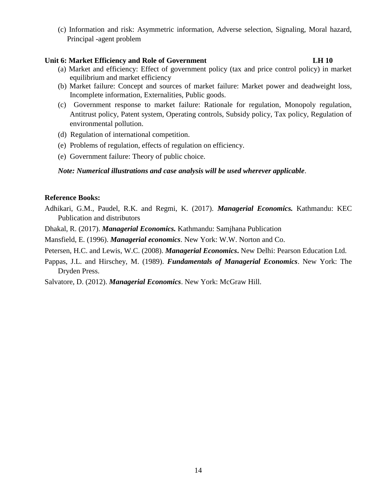(c) Information and risk: Asymmetric information, Adverse selection, Signaling, Moral hazard, Principal -agent problem

# **Unit 6: Market Efficiency and Role of Government LH 10**

- (a) Market and efficiency: Effect of government policy (tax and price control policy) in market equilibrium and market efficiency
- (b) Market failure: Concept and sources of market failure: Market power and deadweight loss, Incomplete information, Externalities, Public goods.
- (c) Government response to market failure: Rationale for regulation, Monopoly regulation, Antitrust policy, Patent system, Operating controls, Subsidy policy, Tax policy, Regulation of environmental pollution.
- (d) Regulation of international competition.
- (e) Problems of regulation, effects of regulation on efficiency.
- (e) Government failure: Theory of public choice.

## *Note: Numerical illustrations and case analysis will be used wherever applicable*.

## **Reference Books:**

- Adhikari, G.M., Paudel, R.K. and Regmi, K. (2017). *Managerial Economics.* Kathmandu: KEC Publication and distributors
- Dhakal, R. (2017). *Managerial Economics.* Kathmandu: Samjhana Publication
- Mansfield, E. (1996). *Managerial economics*. New York: W.W. Norton and Co.
- Petersen, H.C. and Lewis, W.C. (2008). *Managerial Economics***.** New Delhi: Pearson Education Ltd.
- Pappas, J.L. and Hirschey, M. (1989). *Fundamentals of Managerial Economics*. New York: The Dryden Press.

Salvatore, D. (2012). *Managerial Economics*. New York: McGraw Hill.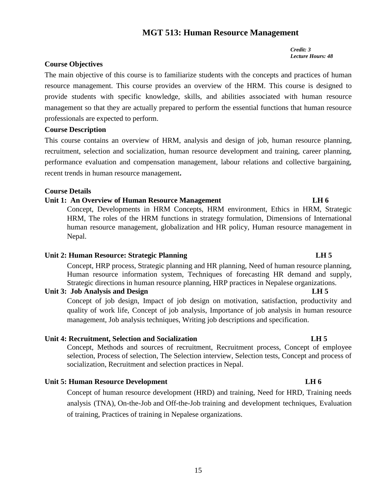# 15

# **MGT 513: Human Resource Management**

*Credit: 3 Lecture Hours: 48*

# **Course Objectives**

The main objective of this course is to familiarize students with the concepts and practices of human resource management. This course provides an overview of the HRM. This course is designed to provide students with specific knowledge, skills, and abilities associated with human resource management so that they are actually prepared to perform the essential functions that human resource professionals are expected to perform.

## **Course Description**

This course contains an overview of HRM, analysis and design of job, human resource planning, recruitment, selection and socialization, human resource development and training, career planning, performance evaluation and compensation management, labour relations and collective bargaining, recent trends in human resource management**.** 

## **Course Details**

# **Unit 1: An Overview of Human Resource Management LH 6**

Concept, Developments in HRM Concepts, HRM environment, Ethics in HRM, Strategic HRM, The roles of the HRM functions in strategy formulation, Dimensions of International human resource management, globalization and HR policy, Human resource management in Nepal.

### **Unit 2: Human Resource: Strategic Planning LH 5**

Concept, HRP process, Strategic planning and HR planning, Need of human resource planning, Human resource information system, Techniques of forecasting HR demand and supply, Strategic directions in human resource planning, HRP practices in Nepalese organizations.

# **Unit 3: Job Analysis and Design CH 5**

Concept of job design, Impact of job design on motivation, satisfaction, productivity and quality of work life, Concept of job analysis, Importance of job analysis in human resource management, Job analysis techniques, Writing job descriptions and specification.

# **Unit 4: Recruitment, Selection and Socialization LH 5**

Concept, Methods and sources of recruitment, Recruitment process, Concept of employee selection, Process of selection, The Selection interview, Selection tests, Concept and process of socialization, Recruitment and selection practices in Nepal.

# **Unit 5: Human Resource Development LH 6**

Concept of human resource development (HRD) and training, Need for HRD, Training needs analysis (TNA), On-the-Job and Off-the-Job training and development techniques, Evaluation of training, Practices of training in Nepalese organizations.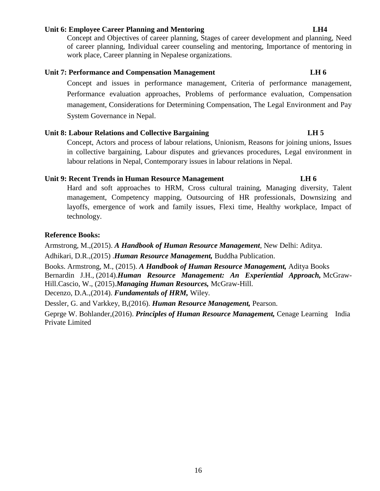### **Unit 6: Employee Career Planning and Mentoring LH4**

Concept and Objectives of career planning, Stages of career development and planning, Need of career planning, Individual career counseling and mentoring, Importance of mentoring in work place, Career planning in Nepalese organizations.

# **Unit 7: Performance and Compensation Management LH 6**

Concept and issues in performance management, Criteria of performance management, Performance evaluation approaches, Problems of performance evaluation, Compensation management, Considerations for Determining Compensation, The Legal Environment and Pay System Governance in Nepal.

# **Unit 8: Labour Relations and Collective Bargaining LH 5**

Concept, Actors and process of labour relations, Unionism, Reasons for joining unions, Issues in collective bargaining, Labour disputes and grievances procedures, Legal environment in labour relations in Nepal, Contemporary issues in labour relations in Nepal.

### **Unit 9: Recent Trends in Human Resource Management LH 6**

Hard and soft approaches to HRM, Cross cultural training, Managing diversity, Talent management, Competency mapping, Outsourcing of HR professionals, Downsizing and layoffs, emergence of work and family issues, Flexi time, Healthy workplace, Impact of technology.

# **Reference Books:**

Armstrong, M.,(2015). *A Handbook of Human Resource Management*, New Delhi: Aditya.

Adhikari, D.R.,(2015) .*Human Resource Management,* Buddha Publication.

Books. Armstrong, M., (2015). *A Handbook of Human Resource Management,* Aditya Books

Bernardin J.H., (2014).*Human Resource Management: An Experiential Approach,* McGraw-Hill.Cascio, W., (2015).*Managing Human Resources,* McGraw-Hill.

Decenzo, D.A.,(2014). *Fundamentals of HRM,* Wiley.

Dessler, G. and Varkkey, B,(2016). *Human Resource Management,* Pearson.

Geprge W. Bohlander,(2016). *Principles of Human Resource Management,* Cenage Learning India Private Limited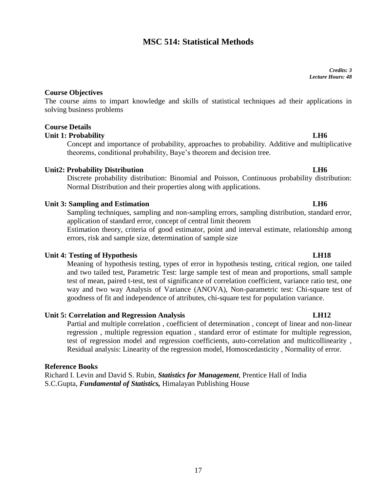# **MSC 514: Statistical Methods**

*Credits: 3 Lecture Hours: 48*

# **Course Objectives**

The course aims to impart knowledge and skills of statistical techniques ad their applications in solving business problems

# **Course Details**

## **Unit 1: Probability LH6**

Concept and importance of probability, approaches to probability. Additive and multiplicative theorems, conditional probability, Baye's theorem and decision tree.

## **Unit2: Probability Distribution LH6**

Discrete probability distribution: Binomial and Poisson, Continuous probability distribution: Normal Distribution and their properties along with applications.

## **Unit 3: Sampling and Estimation LH6**

Sampling techniques, sampling and non-sampling errors, sampling distribution, standard error, application of standard error, concept of central limit theorem

Estimation theory, criteria of good estimator, point and interval estimate, relationship among errors, risk and sample size, determination of sample size

### **Unit 4: Testing of Hypothesis LH18**

Meaning of hypothesis testing, types of error in hypothesis testing, critical region, one tailed and two tailed test, Parametric Test: large sample test of mean and proportions, small sample test of mean, paired t-test, test of significance of correlation coefficient, variance ratio test, one way and two way Analysis of Variance (ANOVA), Non-parametric test: Chi-square test of goodness of fit and independence of attributes, chi-square test for population variance.

### **Unit 5: Correlation and Regression Analysis Community Constraints:** LH12

Partial and multiple correlation , coefficient of determination , concept of linear and non-linear regression , multiple regression equation , standard error of estimate for multiple regression, test of regression model and regression coefficients, auto-correlation and multicollinearity , Residual analysis: Linearity of the regression model, Homoscedasticity , Normality of error.

### **Reference Books**

Richard I. Levin and David S. Rubin, *Statistics for Management*, Prentice Hall of India S.C.Gupta, *Fundamental of Statistics,* Himalayan Publishing House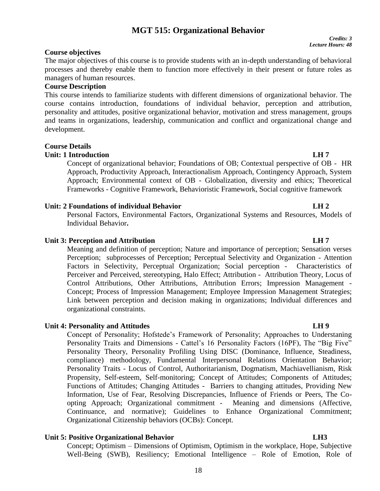# **MGT 515: Organizational Behavior**

# **Course objectives**

The major objectives of this course is to provide students with an in-depth understanding of behavioral processes and thereby enable them to function more effectively in their present or future roles as managers of human resources.

# **Course Description**

This course intends to familiarize students with different dimensions of organizational behavior. The course contains introduction, foundations of individual behavior, perception and attribution, personality and attitudes, positive organizational behavior, motivation and stress management, groups and teams in organizations, leadership, communication and conflict and organizational change and development.

# **Course Details**

## **Unit: 1 Introduction LH 7**

Concept of organizational behavior; Foundations of OB; Contextual perspective of OB - HR Approach, Productivity Approach, Interactionalism Approach, Contingency Approach, System Approach; Environmental context of OB - Globalization, diversity and ethics; Theoretical Frameworks - Cognitive Framework, Behavioristic Framework, Social cognitive framework

# Unit: 2 Foundations of individual Behavior **LH 2**

Personal Factors, Environmental Factors, Organizational Systems and Resources, Models of Individual Behavior**.**

## **Unit 3: Perception and Attribution CH 7 LH 7**

Meaning and definition of perception; Nature and importance of perception; Sensation verses Perception; subprocesses of Perception; Perceptual Selectivity and Organization - Attention Factors in Selectivity, Perceptual Organization; Social perception - Characteristics of Perceiver and Perceived, stereotyping, Halo Effect; Attribution - Attribution Theory, Locus of Control Attributions, Other Attributions, Attribution Errors; Impression Management - Concept; Process of Impression Management; Employee Impression Management Strategies; Link between perception and decision making in organizations; Individual differences and organizational constraints.

### **Unit 4: Personality and Attitudes LH 9**

Concept of Personality; Hofstede's Framework of Personality; Approaches to Understaning Personality Traits and Dimensions - Cattel's 16 Personality Factors (16PF), The "Big Five" Personality Theory, Personality Profiling Using DISC (Dominance, Influence, Steadiness, compliance) methodology, Fundamental Interpersonal Relations Orientation Behavior; Personality Traits - Locus of Control, Authoritarianism, Dogmatism, Machiavellianism, Risk Propensity, Self-esteem, Self-monitoring; Concept of Attitudes; Components of Attitudes; Functions of Attitudes; Changing Attitudes - Barriers to changing attitudes, Providing New Information, Use of Fear, Resolving Discrepancies, Influence of Friends or Peers, The Coopting Approach; Organizational commitment - Meaning and dimensions (Affective, Continuance, and normative); Guidelines to Enhance Organizational Commitment; Organizational Citizenship behaviors (OCBs): Concept.

# **Unit 5: Positive Organizational Behavior LH3**

Concept; Optimism – Dimensions of Optimism, Optimism in the workplace, Hope, Subjective Well-Being (SWB), Resiliency; Emotional Intelligence – Role of Emotion, Role of

# 18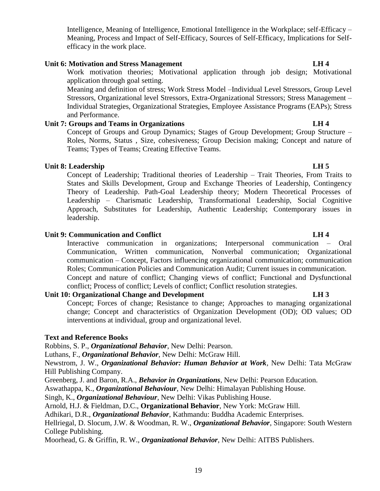Intelligence, Meaning of Intelligence, Emotional Intelligence in the Workplace; self-Efficacy – Meaning, Process and Impact of Self-Efficacy, Sources of Self-Efficacy, Implications for Selfefficacy in the work place.

# **Unit 6: Motivation and Stress Management CH 4**

Work motivation theories; Motivational application through job design; Motivational application through goal setting.

Meaning and definition of stress; Work Stress Model –Individual Level Stressors, Group Level Stressors, Organizational level Stressors, Extra-Organizational Stressors; Stress Management – Individual Strategies, Organizational Strategies, Employee Assistance Programs (EAPs); Stress and Performance.

# **Unit 7: Groups and Teams in Organizations LH 4**

Concept of Groups and Group Dynamics; Stages of Group Development; Group Structure – Roles, Norms, Status , Size, cohesiveness; Group Decision making; Concept and nature of Teams; Types of Teams; Creating Effective Teams.

# Unit 8: Leadership **LH 5**

Concept of Leadership; Traditional theories of Leadership – Trait Theories, From Traits to States and Skills Development, Group and Exchange Theories of Leadership, Contingency Theory of Leadership. Path-Goal Leadership theory; Modern Theoretical Processes of Leadership – Charismatic Leadership, Transformational Leadership, Social Cognitive Approach, Substitutes for Leadership, Authentic Leadership; Contemporary issues in leadership.

# **Unit 9: Communication and Conflict LH 4**

Interactive communication in organizations; Interpersonal communication – Oral Communication, Written communication, Nonverbal communication; Organizational communication – Concept, Factors influencing organizational communication; communication Roles; Communication Policies and Communication Audit; Current issues in communication. Concept and nature of conflict; Changing views of conflict; Functional and Dysfunctional conflict; Process of conflict; Levels of conflict; Conflict resolution strategies.

# **Unit 10: Organizational Change and Development LH 3**

Concept; Forces of change; Resistance to change; Approaches to managing organizational change; Concept and characteristics of Organization Development (OD); OD values; OD interventions at individual, group and organizational level.

# **Text and Reference Books**

Robbins, S. P., *Organizational Behavior*, New Delhi: Pearson.

Luthans, F., *Organizational Behavior*, New Delhi: McGraw Hill.

Newstrom, J. W., *Organizational Behavior: Human Behavior at Work,* New Delhi: Tata McGraw Hill Publishing Company.

Greenberg, J. and Baron, R.A., *Behavior in Organizations*, New Delhi: Pearson Education.

Aswathappa, K., *Organizational Behaviour*, New Delhi: Himalayan Publishing House.

Singh, K., *Organizational Behaviour*, New Delhi: Vikas Publishing House.

Arnold, H.J. & Fieldman, D.C., **Organizational Behavior**, New York: McGraw Hill.

Adhikari, D.R., *Organizational Behavior*, Kathmandu: Buddha Academic Enterprises.

Hellriegal, D. Slocum, J.W. & Woodman, R. W., *Organizational Behavior*, Singapore: South Western College Publishing.

Moorhead, G. & Griffin, R. W., *Organizational Behavior*, New Delhi: AITBS Publishers.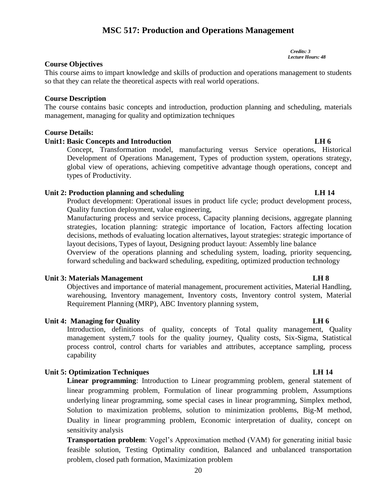# **MSC 517: Production and Operations Management**

*Credits: 3 Lecture Hours: 48*

# **Course Objectives**

This course aims to impart knowledge and skills of production and operations management to students so that they can relate the theoretical aspects with real world operations.

# **Course Description**

The course contains basic concepts and introduction, production planning and scheduling, materials management, managing for quality and optimization techniques

# **Course Details:**

# **Unit1: Basic Concepts and Introduction LH 6**

Concept, Transformation model, manufacturing versus Service operations, Historical Development of Operations Management, Types of production system, operations strategy, global view of operations, achieving competitive advantage though operations, concept and types of Productivity.

# Unit 2: Production planning and scheduling **LH 14 LH 14**

Product development: Operational issues in product life cycle; product development process, Quality function deployment, value engineering,

Manufacturing process and service process, Capacity planning decisions, aggregate planning strategies, location planning: strategic importance of location, Factors affecting location decisions, methods of evaluating location alternatives, layout strategies: strategic importance of layout decisions, Types of layout, Designing product layout: Assembly line balance

Overview of the operations planning and scheduling system, loading, priority sequencing, forward scheduling and backward scheduling, expediting, optimized production technology

# **Unit 3: Materials Management LH 8**

Objectives and importance of material management, procurement activities, Material Handling, warehousing, Inventory management, Inventory costs, Inventory control system, Material Requirement Planning (MRP), ABC Inventory planning system,

# **Unit 4: Managing for Quality** LH 6

Introduction, definitions of quality, concepts of Total quality management, Quality management system,7 tools for the quality journey, Quality costs, Six-Sigma, Statistical process control, control charts for variables and attributes, acceptance sampling, process capability

# **Unit 5: Optimization Techniques** LH 14

**Linear programming**: Introduction to Linear programming problem, general statement of linear programming problem, Formulation of linear programming problem, Assumptions underlying linear programming, some special cases in linear programming, Simplex method, Solution to maximization problems, solution to minimization problems, Big-M method, Duality in linear programming problem, Economic interpretation of duality, concept on sensitivity analysis

**Transportation problem**: Vogel's Approximation method (VAM) for generating initial basic feasible solution, Testing Optimality condition, Balanced and unbalanced transportation problem, closed path formation, Maximization problem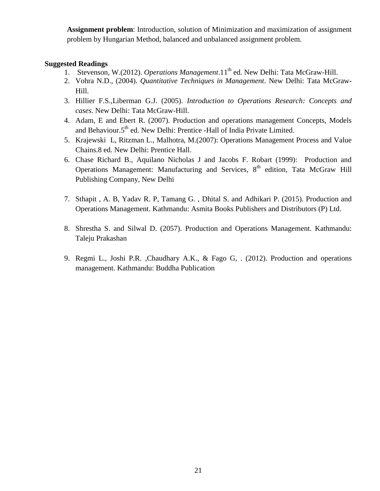**Assignment problem**: Introduction, solution of Minimization and maximization of assignment problem by Hungarian Method, balanced and unbalanced assignment problem.

# **Suggested Readings**

- 1. Stevenson, W.(2012). *Operations Management*.11<sup>th</sup> ed. New Delhi: Tata McGraw-Hill.
- 2. Vohra N.D., (2004). *Quantitative Techniques in Management*. New Delhi: Tata McGraw-Hill.
- 3. Hillier F.S.,Liberman G.J. (2005). *Introduction to Operations Research: Concepts and cases*. New Delhi: Tata McGraw-Hill.
- 4. Adam, E and Ebert R. (2007). Production and operations management Concepts, Models and Behaviour.5<sup>th</sup> ed. New Delhi: Prentice -Hall of India Private Limited.
- 5. Krajewski L, Ritzman L., Malhotra, M.(2007): Operations Management Process and Value Chains.8 ed. New Delhi: Prentice Hall.
- 6. Chase Richard B., Aquilano Nicholas J and Jacobs F. Robart (1999): Production and Operations Management: Manufacturing and Services, 8<sup>th</sup> edition, Tata McGraw Hill Publishing Company, New Delhi
- 7. Sthapit , A. B, Yadav R. P, Tamang G. , Dhital S. and Adhikari P. (2015). Production and Operations Management. Kathmandu: Asmita Books Publishers and Distributors (P) Ltd.
- 8. Shrestha S. and Silwal D. (2057). Production and Operations Management. Kathmandu: Taleju Prakashan
- 9. Regmi L., Joshi P.R. ,Chaudhary A.K., & Fago G, . (2012). Production and operations management. Kathmandu: Buddha Publication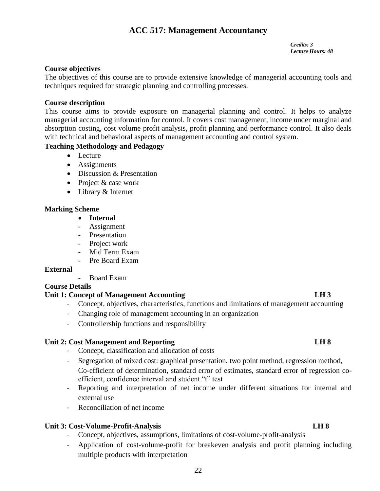# **ACC 517: Management Accountancy**

*Credits: 3 Lecture Hours: 48*

# **Course objectives**

The objectives of this course are to provide extensive knowledge of managerial accounting tools and techniques required for strategic planning and controlling processes.

# **Course description**

This course aims to provide exposure on managerial planning and control. It helps to analyze managerial accounting information for control. It covers cost management, income under marginal and absorption costing, cost volume profit analysis, profit planning and performance control. It also deals with technical and behavioral aspects of management accounting and control system.

# **Teaching Methodology and Pedagogy**

- Lecture
- Assignments
- Discussion & Presentation
- Project & case work
- Library & Internet

# **Marking Scheme**

- **Internal**
- Assignment
- Presentation
- Project work
- Mid Term Exam
- Pre Board Exam

# **External**

- Board Exam

# **Course Details**

# **Unit 1: Concept of Management Accounting LH 3**

- Concept, objectives, characteristics, functions and limitations of management accounting
- Changing role of management accounting in an organization
- Controllership functions and responsibility

# Unit 2: Cost Management and Reporting **LH 8**

- Concept, classification and allocation of costs
- Segregation of mixed cost: graphical presentation, two point method, regression method, Co-efficient of determination, standard error of estimates, standard error of regression coefficient, confidence interval and student "t" test
- Reporting and interpretation of net income under different situations for internal and external use
- Reconciliation of net income

# Unit 3: Cost-Volume-Profit-Analysis LH 8

- Concept, objectives, assumptions, limitations of cost-volume-profit-analysis
- Application of cost-volume-profit for breakeven analysis and profit planning including multiple products with interpretation

# 22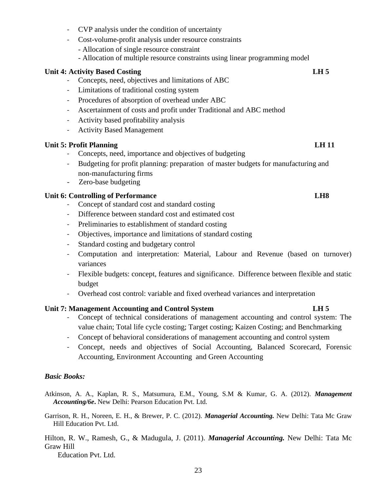- CVP analysis under the condition of uncertainty
- Cost-volume-profit analysis under resource constraints
	- Allocation of single resource constraint
	- Allocation of multiple resource constraints using linear programming model

# **Unit 4: Activity Based Costing LH 5**

- Concepts, need, objectives and limitations of ABC
- Limitations of traditional costing system
- Procedures of absorption of overhead under ABC
- Ascertainment of costs and profit under Traditional and ABC method
- Activity based profitability analysis
- Activity Based Management

# **Unit 5: Profit Planning LH 11**

- Concepts, need, importance and objectives of budgeting
- Budgeting for profit planning: preparation of master budgets for manufacturing and non-manufacturing firms
- Zero-base budgeting

# **Unit 6: Controlling of Performance LH8**

- Concept of standard cost and standard costing
- Difference between standard cost and estimated cost
- Preliminaries to establishment of standard costing
- Objectives, importance and limitations of standard costing
- Standard costing and budgetary control
- Computation and interpretation: Material, Labour and Revenue (based on turnover) variances
- Flexible budgets: concept, features and significance. Difference between flexible and static budget
- Overhead cost control: variable and fixed overhead variances and interpretation

# **Unit 7: Management Accounting and Control System LH 5**

- Concept of technical considerations of management accounting and control system: The value chain; Total life cycle costing; Target costing; Kaizen Costing; and Benchmarking
- Concept of behavioral considerations of management accounting and control system
- Concept, needs and objectives of Social Accounting, Balanced Scorecard, Forensic Accounting, Environment Accounting and Green Accounting

# *Basic Books:*

- Atkinson, A. A., Kaplan, R. S., Matsumura, E.M., Young, S.M & Kumar, G. A. (2012). *Management Accounting/6e***.** New Delhi: Pearson Education Pvt. Ltd.
- Garrison, R. H., Noreen, E. H., & Brewer, P. C. (2012). *Managerial Accounting.* New Delhi: Tata Mc Graw Hill Education Pvt. Ltd.

Hilton, R. W., Ramesh, G., & Madugula, J. (2011). *Managerial Accounting.* New Delhi: Tata Mc Graw Hill

Education Pvt. Ltd.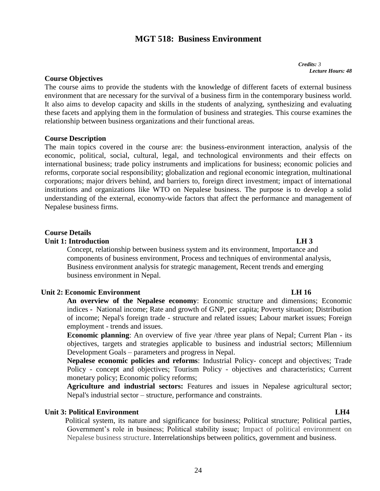# **MGT 518: Business Environment**

*Credits: <sup>3</sup> Lecture Hours: 48*

# **Course Objectives**

The course aims to provide the students with the knowledge of different facets of external business environment that are necessary for the survival of a business firm in the contemporary business world. It also aims to develop capacity and skills in the students of analyzing, synthesizing and evaluating these facets and applying them in the formulation of business and strategies. This course examines the relationship between business organizations and their functional areas.

### **Course Description**

The main topics covered in the course are: the business-environment interaction, analysis of the economic, political, social, cultural, legal, and technological environments and their effects on international business; trade policy instruments and implications for business; economic policies and reforms, corporate social responsibility; globalization and regional economic integration, multinational corporations; major drivers behind, and barriers to, foreign direct investment; impact of international institutions and organizations like WTO on Nepalese business. The purpose is to develop a solid understanding of the external, economy-wide factors that affect the performance and management of Nepalese business firms.

# **Course Details**

# **Unit 1: Introduction LH 3**

Concept, relationship between business system and its environment, Importance and components of business environment, Process and techniques of environmental analysis, Business environment analysis for strategic management, Recent trends and emerging business environment in Nepal.

# **Unit 2: Economic Environment** LH 16

**An overview of the Nepalese economy**: Economic structure and dimensions; Economic indices **-** National income; Rate and growth of GNP, per capita; Poverty situation; Distribution of income; Nepal's foreign trade - structure and related issues; Labour market issues; Foreign employment - trends and issues.

**Economic planning**: An overview of five year /three year plans of Nepal; Current Plan - its objectives, targets and strategies applicable to business and industrial sectors; Millennium Development Goals – parameters and progress in Nepal.

**Nepalese economic policies and reforms**: Industrial Policy- concept and objectives; Trade Policy - concept and objectives; Tourism Policy - objectives and characteristics; Current monetary policy; Economic policy reforms;

**Agriculture and industrial sectors:** Features and issues in Nepalese agricultural sector; Nepal's industrial sector – structure, performance and constraints.

# **Unit 3: Political Environment LH4**  $L$  **LH4**

Political system, its nature and significance for business; Political structure; Political parties, Government's role in business; Political stability issue; Impact of political environment on Nepalese business structure. Interrelationships between politics, government and business.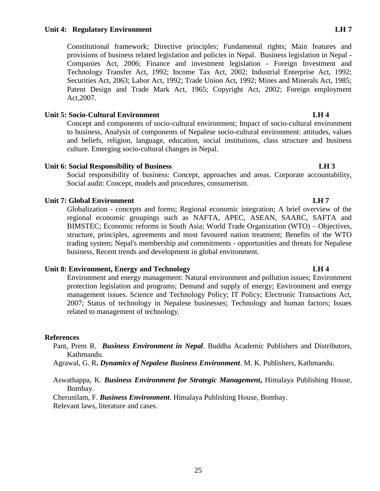### **Unit 4: Regulatory Environment LH 7**

Constitutional framework; Directive principles; Fundamental rights; Main features and provisions of business related legislation and policies in Nepal. Business legislation in Nepal - Companies Act, 2006; Finance and investment legislation - Foreign Investment and Technology Transfer Act, 1992; Income Tax Act, 2002; Industrial Enterprise Act, 1992; Securities Act, 2063; Labor Act, 1992; Trade Union Act, 1992; Mines and Minerals Act, 1985; Patent Design and Trade Mark Act, 1965; Copyright Act, 2002; Foreign employment Act,2007.

## Unit 5: Socio-Cultural Environment **LH 4**

Concept and components of socio-cultural environment; Impact of socio-cultural environment to business, Analysis of components of Nepalese socio-cultural environment: attitudes, values and beliefs, religion, language, education, social institutions, class structure and business culture. Emerging socio-cultural changes in Nepal.

## **Unit 6: Social Responsibility of Business LH 3**

Social responsibility of business: Concept, approaches and areas. Corporate accountability, Social audit: Concept, models and procedures, consumerism.

## **Unit 7: Global Environment LH 7**

Globalization - concepts and forms; Regional economic integration; A brief overview of the regional economic groupings such as NAFTA, APEC, ASEAN, SAARC, SAFTA and BIMSTEC; Economic reforms in South Asia; World Trade Organization (WTO) – Objectives, structure, principles, agreements and most favoured nation treatment; Benefits of the WTO trading system; Nepal's membership and commitments - opportunities and threats for Nepalese business, Recent trends and development in global environment.

### **Unit 8: Environment, Energy and Technology LH 4**

Environment and energy management: Natural environment and pollution issues; Environment protection legislation and programs; Demand and supply of energy; Environment and energy management issues. Science and Technology Policy; IT Policy; Electronic Transactions Act, 2007; Status of technology in Nepalese businesses; Technology and human factors; Issues related to management of technology.

### **References**

Pant, Prem R. *Business Environment in Nepal*. Buddha Academic Publishers and Distributors, Kathmandu.

Agrawal, G. R**.** *Dynamics of Nepalese Business Environment*. M. K. Publishers, Kathmandu.

Aswathappa, K. *Business Environment for Strategic Management***,** Himalaya Publishing House, Bombay.

Cherunilam, F. *Business Environment*. Himalaya Publishing House, Bombay.

Relevant laws, literature and cases.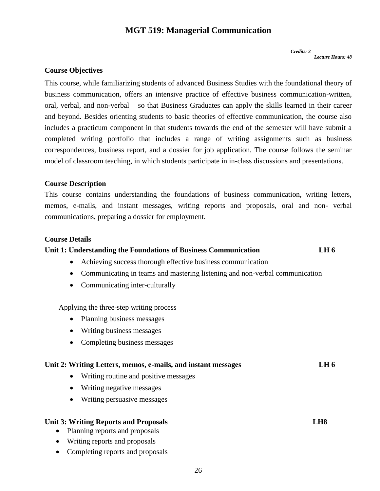# **MGT 519: Managerial Communication**

*Credits: 3 Lecture Hours: 48*

# **Course Objectives**

This course, while familiarizing students of advanced Business Studies with the foundational theory of business communication, offers an intensive practice of effective business communication-written, oral, verbal, and non-verbal – so that Business Graduates can apply the skills learned in their career and beyond. Besides orienting students to basic theories of effective communication, the course also includes a practicum component in that students towards the end of the semester will have submit a completed writing portfolio that includes a range of writing assignments such as business correspondences, business report, and a dossier for job application. The course follows the seminar model of classroom teaching, in which students participate in in-class discussions and presentations.

### **Course Description**

This course contains understanding the foundations of business communication, writing letters, memos, e-mails, and instant messages, writing reports and proposals, oral and non- verbal communications, preparing a dossier for employment.

### **Course Details**

# **Unit 1: Understanding the Foundations of Business Communication LH 6**

- Achieving success thorough effective business communication
- Communicating in teams and mastering listening and non-verbal communication
- Communicating inter-culturally

Applying the three-step writing process

- Planning business messages
- Writing business messages
- Completing business messages

## **Unit 2: Writing Letters, memos, e-mails, and instant messages LH 6**

- Writing routine and positive messages
- Writing negative messages
- Writing persuasive messages

### **Unit 3: Writing Reports and Proposals LH8**

- Planning reports and proposals
- Writing reports and proposals
- Completing reports and proposals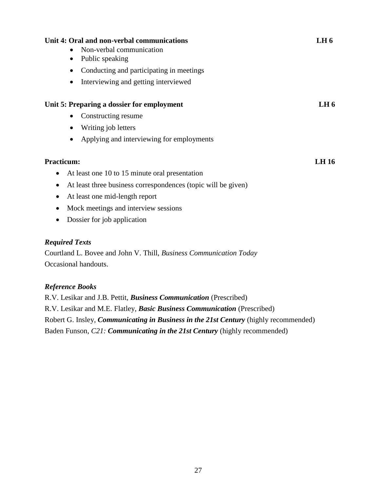| Unit 4: Oral and non-verbal communications<br>Non-verbal communication<br>Public speaking<br>$\bullet$<br>Conducting and participating in meetings<br>$\bullet$<br>Interviewing and getting interviewed<br>$\bullet$                                                    | LH <sub>6</sub> |
|-------------------------------------------------------------------------------------------------------------------------------------------------------------------------------------------------------------------------------------------------------------------------|-----------------|
| Unit 5: Preparing a dossier for employment                                                                                                                                                                                                                              | LH <sub>6</sub> |
| Constructing resume<br>$\bullet$                                                                                                                                                                                                                                        |                 |
| Writing job letters                                                                                                                                                                                                                                                     |                 |
| Applying and interviewing for employments<br>$\bullet$                                                                                                                                                                                                                  |                 |
| <b>Practicum:</b><br>At least one 10 to 15 minute oral presentation<br>At least three business correspondences (topic will be given)<br>$\bullet$<br>At least one mid-length report<br>$\bullet$<br>Mock meetings and interview sessions<br>Dossier for job application | <b>LH</b> 16    |
| <b>Required Texts</b><br>Courtland L. Bovee and John V. Thill, Business Communication Today<br>Occasional handouts.                                                                                                                                                     |                 |

# *Reference Books*

R.V. Lesikar and J.B. Pettit, *Business Communication* (Prescribed) R.V. Lesikar and M.E. Flatley, *Basic Business Communication* (Prescribed) Robert G. Insley, *Communicating in Business in the 21st Century* (highly recommended) Baden Funson, *C21: Communicating in the 21st Century* (highly recommended)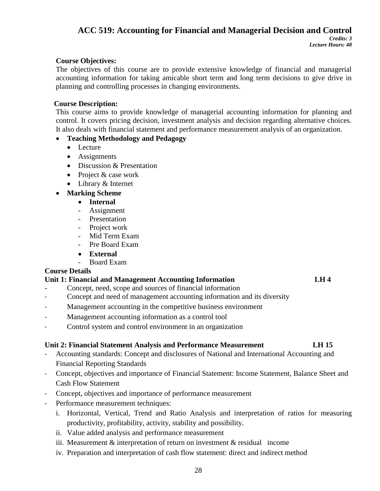# **ACC 519: Accounting for Financial and Managerial Decision and Control**

# **Course Objectives:**

The objectives of this course are to provide extensive knowledge of financial and managerial accounting information for taking amicable short term and long term decisions to give drive in planning and controlling processes in changing environments.

# **Course Description:**

This course aims to provide knowledge of managerial accounting information for planning and control. It covers pricing decision, investment analysis and decision regarding alternative choices. It also deals with financial statement and performance measurement analysis of an organization.

# **Teaching Methodology and Pedagogy**

- Lecture
- Assignments
- Discussion & Presentation
- Project & case work
- Library & Internet
- **Marking Scheme**
	- **Internal**
	- Assignment
	- Presentation
	- Project work
	- Mid Term Exam
	- Pre Board Exam
	- **External**
	- Board Exam

# **Course Details**

# **Unit 1: Financial and Management Accounting Information LH 4**

- Concept, need, scope and sources of financial information
- Concept and need of management accounting information and its diversity
- Management accounting in the competitive business environment
- Management accounting information as a control tool
- Control system and control environment in an organization

# **Unit 2: Financial Statement Analysis and Performance Measurement LH 15**

- Accounting standards: Concept and disclosures of National and International Accounting and Financial Reporting Standards
- Concept, objectives and importance of Financial Statement: Income Statement, Balance Sheet and Cash Flow Statement
- Concept, objectives and importance of performance measurement
- Performance measurement techniques:
	- i. Horizontal, Vertical, Trend and Ratio Analysis and interpretation of ratios for measuring productivity, profitability, activity, stability and possibility.
	- ii. Value added analysis and performance measurement
	- iii. Measurement  $&$  interpretation of return on investment  $&$  residual income
	- iv. Preparation and interpretation of cash flow statement: direct and indirect method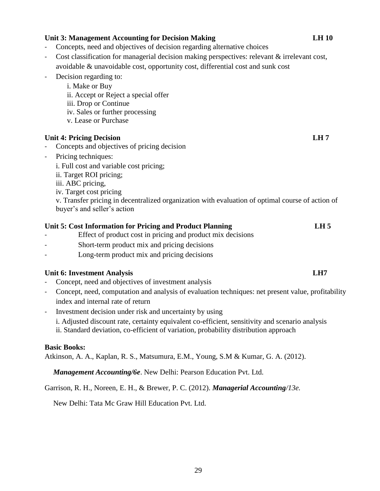|                | Concepts, need and objectives of decision regarding alternative choices                            |                 |
|----------------|----------------------------------------------------------------------------------------------------|-----------------|
|                | Cost classification for managerial decision making perspectives: relevant & irrelevant cost,       |                 |
|                | avoidable & unavoidable cost, opportunity cost, differential cost and sunk cost                    |                 |
| $\blacksquare$ | Decision regarding to:                                                                             |                 |
|                | i. Make or Buy                                                                                     |                 |
|                | ii. Accept or Reject a special offer                                                               |                 |
|                | iii. Drop or Continue                                                                              |                 |
|                | iv. Sales or further processing                                                                    |                 |
|                | v. Lease or Purchase                                                                               |                 |
|                | <b>Unit 4: Pricing Decision</b>                                                                    | LH7             |
|                | Concepts and objectives of pricing decision                                                        |                 |
| $\blacksquare$ | Pricing techniques:                                                                                |                 |
|                | i. Full cost and variable cost pricing;                                                            |                 |
|                | ii. Target ROI pricing;                                                                            |                 |
|                | iii. ABC pricing,                                                                                  |                 |
|                | iv. Target cost pricing                                                                            |                 |
|                | v. Transfer pricing in decentralized organization with evaluation of optimal course of action of   |                 |
|                | buyer's and seller's action                                                                        |                 |
|                | Unit 5: Cost Information for Pricing and Product Planning                                          | LH <sub>5</sub> |
|                | Effect of product cost in pricing and product mix decisions                                        |                 |
|                | Short-term product mix and pricing decisions                                                       |                 |
|                | Long-term product mix and pricing decisions                                                        |                 |
|                | <b>Unit 6: Investment Analysis</b>                                                                 | LH7             |
|                | Concept, need and objectives of investment analysis                                                |                 |
| $\blacksquare$ | Concept, need, computation and analysis of evaluation techniques: net present value, profitability |                 |
|                | index and internal rate of return                                                                  |                 |
|                | Investment decision under risk and uncertainty by using                                            |                 |
|                | i. Adjusted discount rate, certainty equivalent co-efficient, sensitivity and scenario analysis    |                 |
|                | ii. Standard deviation, co-efficient of variation, probability distribution approach               |                 |
|                |                                                                                                    |                 |

# **Basic Books:**

Atkinson, A. A., Kaplan, R. S., Matsumura, E.M., Young, S.M & Kumar, G. A. (2012).

*Management Accounting/6e*. New Delhi: Pearson Education Pvt. Ltd.

# Garrison, R. H., Noreen, E. H., & Brewer, P. C. (2012). *Managerial Accounting/13e.*

New Delhi: Tata Mc Graw Hill Education Pvt. Ltd.

### **Unit 3: Management Accounting for Decision Making LH 10**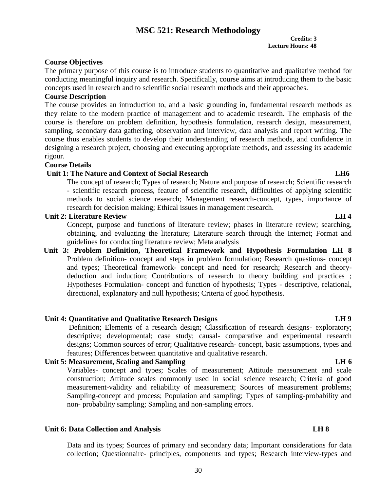# **MSC 521: Research Methodology Credits: 3**

# **Lecture Hours: 48**

# **Course Objectives**

The primary purpose of this course is to introduce students to quantitative and qualitative method for conducting meaningful inquiry and research. Specifically, course aims at introducing them to the basic concepts used in research and to scientific social research methods and their approaches.

# **Course Description**

The course provides an introduction to, and a basic grounding in, fundamental research methods as they relate to the modern practice of management and to academic research. The emphasis of the course is therefore on problem definition, hypothesis formulation, research design, measurement, sampling, secondary data gathering, observation and interview, data analysis and report writing. The course thus enables students to develop their understanding of research methods, and confidence in designing a research project, choosing and executing appropriate methods, and assessing its academic rigour.

# **Course Details**

# **Unit 1: The Nature and Context of Social Research LH6**

The concept of research; Types of research; Nature and purpose of research; Scientific research - scientific research process, feature of scientific research, difficulties of applying scientific methods to social science research; Management research-concept, types, importance of research for decision making; Ethical issues in management research.

# **Unit 2: Literature Review LH 4**

Concept, purpose and functions of literature review; phases in literature review; searching, obtaining, and evaluating the literature; Literature search through the Internet; Format and guidelines for conducting literature review; Meta analysis

**Unit 3: Problem Definition, Theoretical Framework and Hypothesis Formulation LH 8**  Problem definition- concept and steps in problem formulation; Research questions- concept and types; Theoretical framework- concept and need for research; Research and theorydeduction and induction; Contributions of research to theory building and practices ; Hypotheses Formulation- concept and function of hypothesis; Types - descriptive, relational, directional, explanatory and null hypothesis; Criteria of good hypothesis.

# **Unit 4: Quantitative and Qualitative Research Designs LH 9**

Definition; Elements of a research design; Classification of research designs- exploratory; descriptive; developmental; case study; causal- comparative and experimental research designs; Common sources of error; Qualitative research- concept, basic assumptions, types and features; Differences between quantitative and qualitative research.

# Unit 5: Measurement, Scaling and Sampling **LH 6**

Variables- concept and types; Scales of measurement; Attitude measurement and scale construction; Attitude scales commonly used in social science research; Criteria of good measurement-validity and reliability of measurement; Sources of measurement problems; Sampling-concept and process; Population and sampling; Types of sampling-probability and non- probability sampling; Sampling and non-sampling errors.

# **Unit 6: Data Collection and Analysis LH 8**

Data and its types; Sources of primary and secondary data; Important considerations for data collection; Questionnaire- principles, components and types; Research interview-types and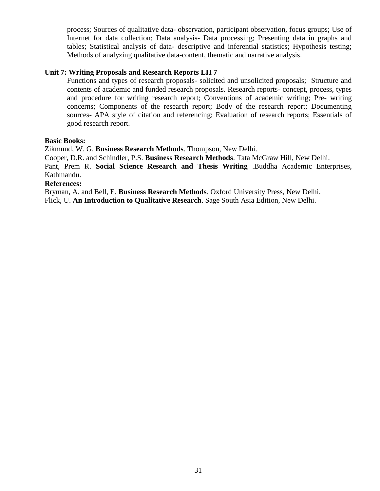process; Sources of qualitative data- observation, participant observation, focus groups; Use of Internet for data collection; Data analysis- Data processing; Presenting data in graphs and tables; Statistical analysis of data- descriptive and inferential statistics; Hypothesis testing; Methods of analyzing qualitative data-content, thematic and narrative analysis.

# **Unit 7: Writing Proposals and Research Reports LH 7**

Functions and types of research proposals- solicited and unsolicited proposals; Structure and contents of academic and funded research proposals. Research reports- concept, process, types and procedure for writing research report; Conventions of academic writing; Pre- writing concerns; Components of the research report; Body of the research report; Documenting sources- APA style of citation and referencing; Evaluation of research reports; Essentials of good research report.

### **Basic Books:**

Zikmund, W. G. **Business Research Methods**. Thompson, New Delhi.

Cooper, D.R. and Schindler, P.S. **Business Research Methods**. Tata McGraw Hill, New Delhi. Pant, Prem R. **Social Science Research and Thesis Writing** .Buddha Academic Enterprises,

### Kathmandu. **References:**

Bryman, A. and Bell, E. **Business Research Methods**. Oxford University Press, New Delhi. Flick, U. **An Introduction to Qualitative Research**. Sage South Asia Edition, New Delhi.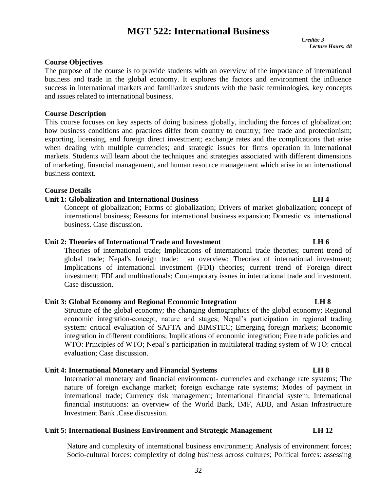# **MGT 522: International Business**

 *Credits: 3 Lecture Hours: 48*

# **Course Objectives**

The purpose of the course is to provide students with an overview of the importance of international business and trade in the global economy. It explores the factors and environment the influence success in international markets and familiarizes students with the basic terminologies, key concepts and issues related to international business.

### **Course Description**

This course focuses on key aspects of doing business globally, including the forces of globalization; how business conditions and practices differ from country to country; free trade and protectionism; exporting, licensing, and foreign direct investment; exchange rates and the complications that arise when dealing with multiple currencies; and strategic issues for firms operation in international markets. Students will learn about the techniques and strategies associated with different dimensions of marketing, financial management, and human resource management which arise in an international business context.

### **Course Details**

## **Unit 1: Globalization and International Business LH 4**

Concept of globalization; Forms of globalization; Drivers of market globalization; concept of international business; Reasons for international business expansion; Domestic vs. international business. Case discussion.

# **Unit 2: Theories of International Trade and Investment LH 6**

Theories of international trade; Implications of international trade theories; current trend of global trade; Nepal's foreign trade: an overview; Theories of international investment; Implications of international investment (FDI) theories; current trend of Foreign direct investment; FDI and multinationals; Contemporary issues in international trade and investment. Case discussion.

# **Unit 3: Global Economy and Regional Economic Integration LH 8**

Structure of the global economy; the changing demographics of the global economy; Regional economic integration-concept, nature and stages; Nepal's participation in regional trading system: critical evaluation of SAFTA and BIMSTEC; Emerging foreign markets; Economic integration in different conditions; Implications of economic integration; Free trade policies and WTO: Principles of WTO; Nepal's participation in multilateral trading system of WTO: critical evaluation; Case discussion.

# **Unit 4: International Monetary and Financial Systems LH 8**

International monetary and financial environment- currencies and exchange rate systems; The nature of foreign exchange market; foreign exchange rate systems; Modes of payment in international trade; Currency risk management; International financial system; International financial institutions: an overview of the World Bank, IMF, ADB, and Asian Infrastructure Investment Bank .Case discussion.

# **Unit 5: International Business Environment and Strategic Management LH 12**

Nature and complexity of international business environment; Analysis of environment forces; Socio-cultural forces: complexity of doing business across cultures; Political forces: assessing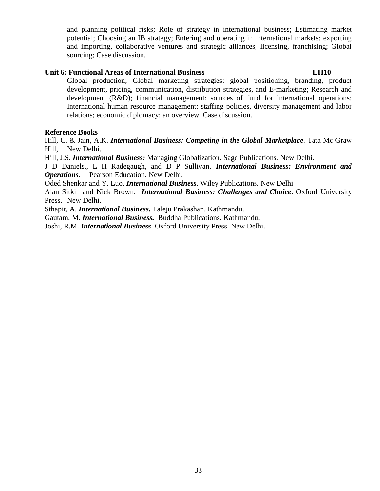and planning political risks; Role of strategy in international business; Estimating market potential; Choosing an IB strategy; Entering and operating in international markets: exporting and importing, collaborative ventures and strategic alliances, licensing, franchising; Global sourcing; Case discussion.

# **Unit 6: Functional Areas of International Business LH10**

Global production; Global marketing strategies: global positioning, branding, product development, pricing, communication, distribution strategies, and E-marketing; Research and development (R&D); financial management: sources of fund for international operations; International human resource management: staffing policies, diversity management and labor relations; economic diplomacy: an overview. Case discussion.

# **Reference Books**

Hill, C. & Jain, A.K. *International Business: Competing in the Global Marketplace.* Tata Mc Graw Hill, New Delhi.

Hill, J.S. *International Business:* Managing Globalization. Sage Publications. New Delhi.

J D Daniels,, L H Radegaugh, and D P Sullivan. *International Business: Environment and Operations*. Pearson Education. New Delhi.

Oded Shenkar and Y. Luo. *International Business*. Wiley Publications. New Delhi.

Alan Sitkin and Nick Brown. *International Business: Challenges and Choice*. Oxford University Press. New Delhi.

Sthapit, A. *International Business.* Taleju Prakashan. Kathmandu.

Gautam, M. *International Business.* Buddha Publications. Kathmandu.

Joshi, R.M. *International Business*. Oxford University Press. New Delhi.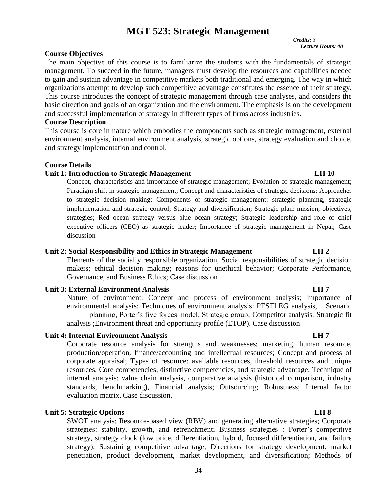# **MGT 523: Strategic Management**

*Credits: 3 Lecture Hours: 48*

### **Course Objectives**

The main objective of this course is to familiarize the students with the fundamentals of strategic management. To succeed in the future, managers must develop the resources and capabilities needed to gain and sustain advantage in competitive markets both traditional and emerging. The way in which organizations attempt to develop such competitive advantage constitutes the essence of their strategy. This course introduces the concept of strategic management through case analyses, and considers the basic direction and goals of an organization and the environment. The emphasis is on the development and successful implementation of strategy in different types of firms across industries.

### **Course Description**

This course is core in nature which embodies the components such as strategic management, external environment analysis, internal environment analysis, strategic options, strategy evaluation and choice, and strategy implementation and control.

### **Course Details**

### **Unit 1: Introduction to Strategic Management LH 10**

Concept, characteristics and importance of strategic management; Evolution of strategic management; Paradigm shift in strategic management; Concept and characteristics of strategic decisions; Approaches to strategic decision making; Components of strategic management: strategic planning, strategic implementation and strategic control; Strategy and diversification; Strategic plan: mission, objectives, strategies; Red ocean strategy versus blue ocean strategy; Strategic leadership and role of chief executive officers (CEO) as strategic leader; Importance of strategic management in Nepal; Case discussion

### **Unit 2: Social Responsibility and Ethics in Strategic Management LH 2**

Elements of the socially responsible organization; Social responsibilities of strategic decision makers; ethical decision making; reasons for unethical behavior; Corporate Performance, Governance, and Business Ethics; Case discussion

### **Unit 3: External Environment Analysis CH 7 LH 7**

Nature of environment; Concept and process of environment analysis; Importance of environmental analysis; Techniques of environment analysis: PESTLEG analysis, Scenario planning, Porter's five forces model; Strategic group; Competitor analysis; Strategic fit analysis ;Environment threat and opportunity profile (ETOP). Case discussion

### **Unit 4: Internal Environment Analysis Community Community Community Community Community Community Community Community Community Community Community Community Community Community Community Community Community Community Com**

Corporate resource analysis for strengths and weaknesses: marketing, human resource, production/operation, finance/accounting and intellectual resources; Concept and process of corporate appraisal; Types of resource: available resources, threshold resources and unique resources, Core competencies, distinctive competencies, and strategic advantage; Technique of internal analysis: value chain analysis, comparative analysis (historical comparison, industry standards, benchmarking), Financial analysis; Outsourcing; Robustness; Internal factor evaluation matrix. Case discussion.

# **Unit 5: Strategic Options LH 8**

SWOT analysis: Resource-based view (RBV) and generating alternative strategies; Corporate strategies: stability, growth, and retrenchment; Business strategies : Porter's competitive strategy, strategy clock (low price, differentiation, hybrid, focused differentiation, and failure strategy); Sustaining competitive advantage; Directions for strategy development: market penetration, product development, market development, and diversification; Methods of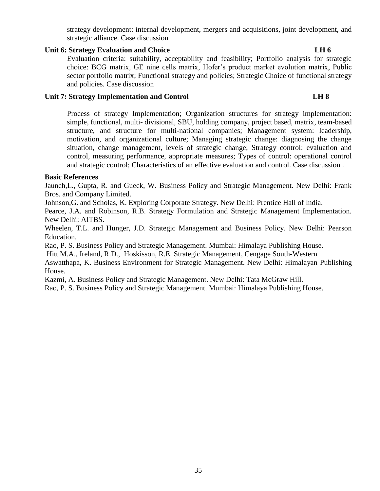strategy development: internal development, mergers and acquisitions, joint development, and strategic alliance. Case discussion

# **Unit 6: Strategy Evaluation and Choice LH 6**

Evaluation criteria: suitability, acceptability and feasibility; Portfolio analysis for strategic choice: BCG matrix, GE nine cells matrix, Hofer's product market evolution matrix, Public sector portfolio matrix; Functional strategy and policies; Strategic Choice of functional strategy and policies. Case discussion

# Unit 7: Strategy Implementation and Control **LH 8**

Process of strategy Implementation; Organization structures for strategy implementation: simple, functional, multi- divisional, SBU, holding company, project based, matrix, team-based structure, and structure for multi-national companies; Management system: leadership, motivation, and organizational culture; Managing strategic change: diagnosing the change situation, change management, levels of strategic change; Strategy control: evaluation and control, measuring performance, appropriate measures; Types of control: operational control and strategic control; Characteristics of an effective evaluation and control. Case discussion .

# **Basic References**

Jaunch,L., Gupta, R. and Gueck, W. Business Policy and Strategic Management. New Delhi: Frank Bros. and Company Limited.

Johnson,G. and Scholas, K. Exploring Corporate Strategy. New Delhi: Prentice Hall of India.

Pearce, J.A. and Robinson, R.B. Strategy Formulation and Strategic Management Implementation. New Delhi: AITBS.

Wheelen, T.L. and Hunger, J.D. Strategic Management and Business Policy. New Delhi: Pearson Education.

Rao, P. S. Business Policy and Strategic Management. Mumbai: Himalaya Publishing House.

[Hitt](https://www.google.com.np/search?tbo=p&tbm=bks&q=inauthor:%22Michael+A.+Hitt%22) M.A., [Ireland,](https://www.google.com.np/search?tbo=p&tbm=bks&q=inauthor:%22R.+Duane+Ireland%22) R.D., [Hoskisson,](https://www.google.com.np/search?tbo=p&tbm=bks&q=inauthor:%22Robert+E.+Hoskisson%22) R.E. Strategic Management, Cengage South-Western

Aswatthapa, K. Business Environment for Strategic Management. New Delhi: Himalayan Publishing House.

Kazmi, A. Business Policy and Strategic Management. New Delhi: Tata McGraw Hill.

Rao, P. S. Business Policy and Strategic Management. Mumbai: Himalaya Publishing House.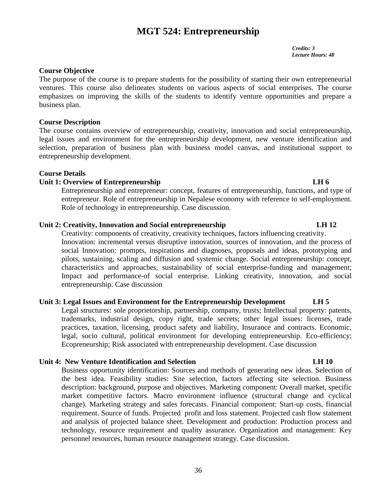# **MGT 524: Entrepreneurship**

*Credits: 3 Lecture Hours: 48*

# **Course Objective**

The purpose of the course is to prepare students for the possibility of starting their own entrepreneurial ventures. This course also delineates students on various aspects of social enterprises. The course emphasizes on improving the skills of the students to identify venture opportunities and prepare a business plan.

## **Course Description**

The course contains overview of entrepreneurship, creativity, innovation and social entrepreneurship, legal issues and environment for the entrepreneurship development, new venture identification and selection, preparation of business plan with business model canvas, and institutional support to entrepreneurship development.

# **Course Details**

# Unit 1: Overview of Entrepreneurship **LH 6**

Entrepreneurship and entrepreneur: concept, features of entrepreneurship, functions, and type of entrepreneur. Role of entrepreneurship in Nepalese economy with reference to self-employment. Role of technology in entrepreneurship. Case discussion.

# **Unit 2: Creativity, Innovation and Social entrepreneurship LH 12**

Creativity: components of creativity, creativity techniques, factors influencing creativity. Innovation: incremental versus disruptive innovation, sources of innovation, and the process of social Innovation: prompts, inspirations and diagnoses, proposals and ideas, prototyping and pilots, sustaining, scaling and diffusion and systemic change. Social entrepreneurship: concept, characteristics and approaches, sustainability of social enterprise-funding and management; Impact and performance-of social enterprise. Linking creativity, innovation, and social entrepreneurship. Case discussion

# **Unit 3: Legal Issues and Environment for the Entrepreneurship Development LH 5**

Legal structures: sole proprietorship, partnership, company, trusts; Intellectual property: patents, trademarks, industrial design, copy right, trade secrets; other legal issues: licenses, trade practices, taxation, licensing, product safety and liability, Insurance and contracts. Economic, legal, socio cultural, political environment for developing entrepreneurship. Eco-efficiency; Ecopreneurship; Risk associated with entrepreneurship development. Case discussion

### **Unit 4: New Venture Identification and Selection LH 10**

Business opportunity identification: Sources and methods of generating new ideas. Selection of the best idea. Feasibility studies: Site selection, factors affecting site selection. Business description: background, purpose and objectives. Marketing component: Overall market, specific market competitive factors. Macro environment influence (structural change and cyclical change). Marketing strategy and sales forecasts. Financial component: Start-up costs, financial requirement. Source of funds. Projected profit and loss statement. Projected cash flow statement and analysis of projected balance sheet. Development and production: Production process and technology, resource requirement and quality assurance. Organization and management: Key personnel resources, human resource management strategy. Case discussion.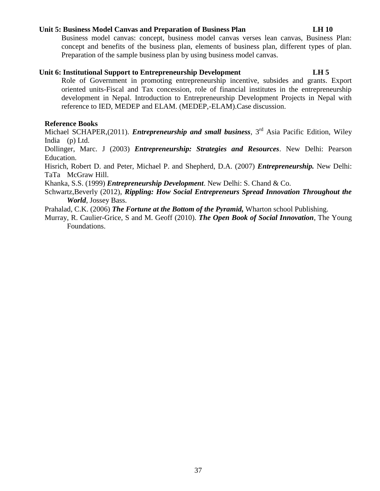### **Unit 5: Business Model Canvas and Preparation of Business Plan LH 10**

Business model canvas: concept, business model canvas verses lean canvas, Business Plan: concept and benefits of the business plan, elements of business plan, different types of plan. Preparation of the sample business plan by using business model canvas.

### **Unit 6: Institutional Support to Entrepreneurship Development LH 5**

Role of Government in promoting entrepreneurship incentive, subsides and grants. Export oriented units-Fiscal and Tax concession, role of financial institutes in the entrepreneurship development in Nepal. Introduction to Entrepreneurship Development Projects in Nepal with reference to IED, MEDEP and ELAM. (MEDEP,-ELAM).Case discussion.

# **Reference Books**

Michael SCHAPER,(2011). *Entrepreneurship and small business*, 3<sup>rd</sup> Asia Pacific Edition, Wiley India (p) Ltd.

Dollinger, Marc. J (2003) *Entrepreneurship: Strategies and Resources*. New Delhi: Pearson Education.

Hisrich, Robert D. and Peter, Michael P. and Shepherd, D.A. (2007) *Entrepreneurship.* New Delhi: TaTa McGraw Hill.

Khanka, S.S. (1999) *Entrepreneurship Development*. New Delhi: S. Chand & Co.

Schwartz,Beverly (2012), *Rippling: How Social Entrepreneurs Spread Innovation Throughout the World*, Jossey Bass.

Prahalad, C.K. (2006) *The Fortune at the Bottom of the Pyramid,* Wharton school Publishing.

Murray, R. Caulier-Grice, S and M. Geoff (2010). *The Open Book of Social Innovation*, The Young Foundations.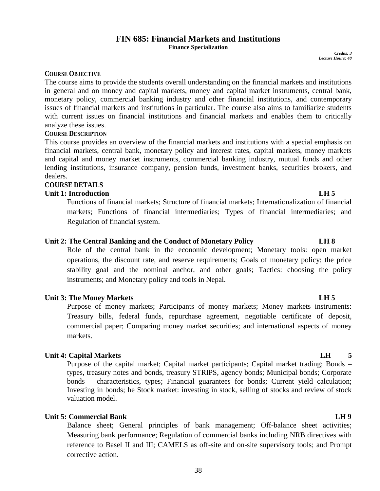# 38

# **FIN 685: Financial Markets and Institutions**

**Finance Specialization**

*Credits: 3 Lecture Hours: 48*

### **COURSE OBJECTIVE**

The course aims to provide the students overall understanding on the financial markets and institutions in general and on money and capital markets, money and capital market instruments, central bank, monetary policy, commercial banking industry and other financial institutions, and contemporary issues of financial markets and institutions in particular. The course also aims to familiarize students with current issues on financial institutions and financial markets and enables them to critically analyze these issues.

### **COURSE DESCRIPTION**

This course provides an overview of the financial markets and institutions with a special emphasis on financial markets, central bank, monetary policy and interest rates, capital markets, money markets and capital and money market instruments, commercial banking industry, mutual funds and other lending institutions, insurance company, pension funds, investment banks, securities brokers, and dealers.

# **COURSE DETAILS**

## **Unit 1: Introduction LH 5**

Functions of financial markets; Structure of financial markets; Internationalization of financial markets; Functions of financial intermediaries; Types of financial intermediaries; and Regulation of financial system.

### **Unit 2: The Central Banking and the Conduct of Monetary Policy LH 8**

Role of the central bank in the economic development; Monetary tools: open market operations, the discount rate, and reserve requirements; Goals of monetary policy: the price stability goal and the nominal anchor, and other goals; Tactics: choosing the policy instruments; and Monetary policy and tools in Nepal.

# **Unit 3: The Money Markets LH 5**

Purpose of money markets; Participants of money markets; Money markets instruments: Treasury bills, federal funds, repurchase agreement, negotiable certificate of deposit, commercial paper; Comparing money market securities; and international aspects of money markets.

# **Unit 4: Capital Markets LH** 5

Purpose of the capital market; Capital market participants; Capital market trading; Bonds – types, treasury notes and bonds, treasury STRIPS, agency bonds; Municipal bonds; Corporate bonds – characteristics, types; Financial guarantees for bonds; Current yield calculation; Investing in bonds; he Stock market: investing in stock, selling of stocks and review of stock valuation model.

# **Unit 5: Commercial Bank** LH 9

Balance sheet; General principles of bank management; Off-balance sheet activities; Measuring bank performance; Regulation of commercial banks including NRB directives with reference to Basel II and III; CAMELS as off-site and on-site supervisory tools; and Prompt corrective action.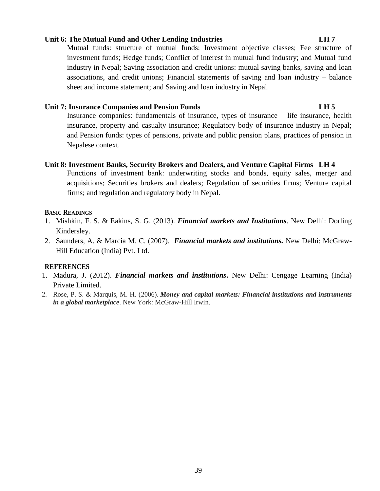# **Unit 6: The Mutual Fund and Other Lending Industries LH 7**

Mutual funds: structure of mutual funds; Investment objective classes; Fee structure of investment funds; Hedge funds; Conflict of interest in mutual fund industry; and Mutual fund industry in Nepal; Saving association and credit unions: mutual saving banks, saving and loan associations, and credit unions; Financial statements of saving and loan industry – balance sheet and income statement; and Saving and loan industry in Nepal.

# **Unit 7: Insurance Companies and Pension Funds LH 5**

Insurance companies: fundamentals of insurance, types of insurance – life insurance, health insurance, property and casualty insurance; Regulatory body of insurance industry in Nepal; and Pension funds: types of pensions, private and public pension plans, practices of pension in Nepalese context.

# **Unit 8: Investment Banks, Security Brokers and Dealers, and Venture Capital Firms LH 4**

Functions of investment bank: underwriting stocks and bonds, equity sales, merger and acquisitions; Securities brokers and dealers; Regulation of securities firms; Venture capital firms; and regulation and regulatory body in Nepal.

# **BASIC READINGS**

- 1. Mishkin, F. S. & Eakins, S. G. (2013). *Financial markets and Institutions*. New Delhi: Dorling Kindersley.
- 2. Saunders, A. & Marcia M. C. (2007). *Financial markets and institutions.* New Delhi: McGraw-Hill Education (India) Pvt. Ltd.

# **REFERENCES**

- 1. Madura, J. (2012). *Financial markets and institutions***.** New Delhi: Cengage Learning (India) Private Limited.
- 2. Rose, P. S. & Marquis, M. H. (2006). *Money and capital markets: Financial institutions and instruments in a global marketplace*. New York: McGraw-Hill Irwin.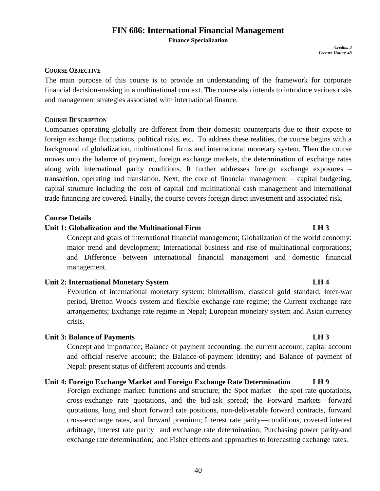# **FIN 686: International Financial Management**

**Finance Specialization**

*Credits: 3 Lecture Hours: 48*

### **COURSE OBJECTIVE**

The main purpose of this course is to provide an understanding of the framework for corporate financial decision-making in a multinational context. The course also intends to introduce various risks and management strategies associated with international finance.

# **COURSE DESCRIPTION**

Companies operating globally are different from their domestic counterparts due to their expose to foreign exchange fluctuations, political risks, etc. To address these realities, the course begins with a background of globalization, multinational firms and international monetary system. Then the course moves onto the balance of payment, foreign exchange markets, the determination of exchange rates along with international parity conditions. It further addresses foreign exchange exposures – transaction, operating and translation. Next, the core of financial management – capital budgeting, capital structure including the cost of capital and multinational cash management and international trade financing are covered. Finally, the course covers foreign direct investment and associated risk.

### **Course Details**

# **Unit 1: Globalization and the Multinational Firm LH 3**

Concept and goals of international financial management; Globalization of the world economy: major trend and development; International business and rise of multinational corporations; and Difference between international financial management and domestic financial management.

### **Unit 2: International Monetary System LH 4**

Evolution of international monetary system: bimetallism, classical gold standard, inter-war period, Bretton Woods system and flexible exchange rate regime; the Current exchange rate arrangements; Exchange rate regime in Nepal; European monetary system and Asian currency crisis.

### **Unit 3: Balance of Payments LH 3**

Concept and importance; Balance of payment accounting: the current account, capital account and official reserve account; the Balance-of-payment identity; and Balance of payment of Nepal: present status of different accounts and trends.

# **Unit 4: Foreign Exchange Market and Foreign Exchange Rate Determination LH 9**

Foreign exchange market: functions and structure; the Spot market—the spot rate quotations, cross-exchange rate quotations, and the bid-ask spread; the Forward markets—forward quotations, long and short forward rate positions, non-deliverable forward contracts, forward cross-exchange rates, and forward premium; Interest rate parity—conditions, covered interest arbitrage, interest rate parity and exchange rate determination; Purchasing power parity-and exchange rate determination; and Fisher effects and approaches to forecasting exchange rates.

### 40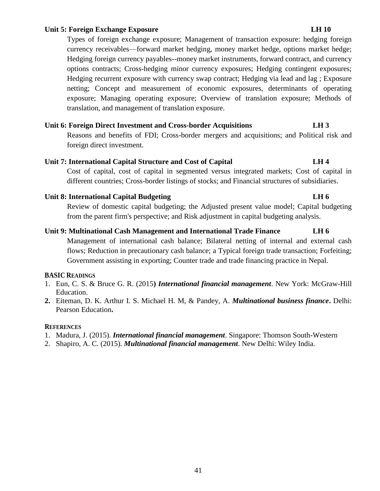## **Unit 5: Foreign Exchange Exposure LH 10**

Types of foreign exchange exposure; Management of transaction exposure: hedging foreign currency receivables—forward market hedging, money market hedge, options market hedge; Hedging foreign currency payables--money market instruments, forward contract, and currency options contracts; Cross-hedging minor currency exposures; Hedging contingent exposures; Hedging recurrent exposure with currency swap contract; Hedging via lead and lag ; Exposure netting; Concept and measurement of economic exposures, determinants of operating exposure; Managing operating exposure; Overview of translation exposure; Methods of translation, and management of translation exposure.

### **Unit 6: Foreign Direct Investment and Cross-border Acquisitions LH 3**

Reasons and benefits of FDI; Cross-border mergers and acquisitions; and Political risk and foreign direct investment.

### **Unit 7: International Capital Structure and Cost of Capital LH 4**

Cost of capital, cost of capital in segmented versus integrated markets; Cost of capital in different countries; Cross-border listings of stocks; and Financial structures of subsidiaries.

### Unit 8: International Capital Budgeting **LH 6**

Review of domestic capital budgeting; the Adjusted present value model; Capital budgeting from the parent firm's perspective; and Risk adjustment in capital budgeting analysis.

# **Unit 9: Multinational Cash Management and International Trade Finance LH 6**

Management of international cash balance; Bilateral netting of internal and external cash flows; Reduction in precautionary cash balance; a Typical foreign trade transaction; Forfeiting; Government assisting in exporting; Counter trade and trade financing practice in Nepal.

### **BASIC READINGS**

- 1. Eun, C. S. & Bruce G. R. (2015**)** *International financial management*. New York: McGraw-Hill Education.
- **2.** Eiteman, D. K. Arthur I. S. Michael H. M, & Pandey, A. *Multinational business finance***.** Delhi: Pearson Education**.**

### **REFERENCES**

- 1. Madura, J. (2015). *International financial management*. Singapore: Thomson South-Western
- 2. Shapiro, A. C. (2015). *Multinational financial management*. New Delhi: Wiley India.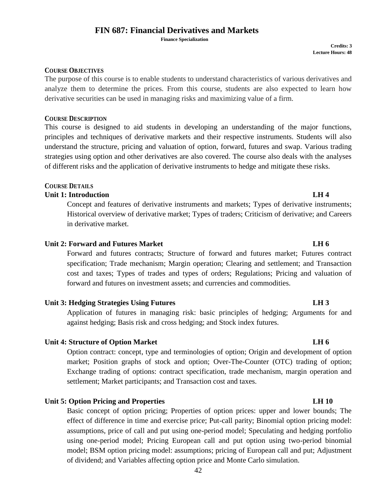# **FIN 687: Financial Derivatives and Markets**

 **Finance Specialization**

**Credits: 3 Lecture Hours: 48**

### **COURSE OBJECTIVES**

The purpose of this course is to enable students to understand characteristics of various derivatives and analyze them to determine the prices. From this course, students are also expected to learn how derivative securities can be used in managing risks and maximizing value of a firm.

### **COURSE DESCRIPTION**

This course is designed to aid students in developing an understanding of the major functions, principles and techniques of derivative markets and their respective instruments. Students will also understand the structure, pricing and valuation of option, forward, futures and swap. Various trading strategies using option and other derivatives are also covered. The course also deals with the analyses of different risks and the application of derivative instruments to hedge and mitigate these risks.

# **COURSE DETAILS**

# **Unit 1: Introduction LH 4**

Concept and features of derivative instruments and markets; Types of derivative instruments; Historical overview of derivative market; Types of traders; Criticism of derivative; and Careers in derivative market.

# **Unit 2: Forward and Futures Market LH 6 LH 6**

Forward and futures contracts; Structure of forward and futures market; Futures contract specification; Trade mechanism; Margin operation; Clearing and settlement; and Transaction cost and taxes; Types of trades and types of orders; Regulations; Pricing and valuation of forward and futures on investment assets; and currencies and commodities.

### **Unit 3: Hedging Strategies Using Futures LH 3**

Application of futures in managing risk: basic principles of hedging; Arguments for and against hedging; Basis risk and cross hedging; and Stock index futures.

### **Unit 4: Structure of Option Market LH 6**

Option contract: concept, type and terminologies of option; Origin and development of option market; Position graphs of stock and option; Over-The-Counter (OTC) trading of option; Exchange trading of options: contract specification, trade mechanism, margin operation and settlement; Market participants; and Transaction cost and taxes.

# **Unit 5: Option Pricing and Properties LH 10**

Basic concept of option pricing; Properties of option prices: upper and lower bounds; The effect of difference in time and exercise price; Put-call parity; Binomial option pricing model: assumptions, price of call and put using one-period model; Speculating and hedging portfolio using one-period model; Pricing European call and put option using two-period binomial model; BSM option pricing model: assumptions; pricing of European call and put; Adjustment of dividend; and Variables affecting option price and Monte Carlo simulation.

# 42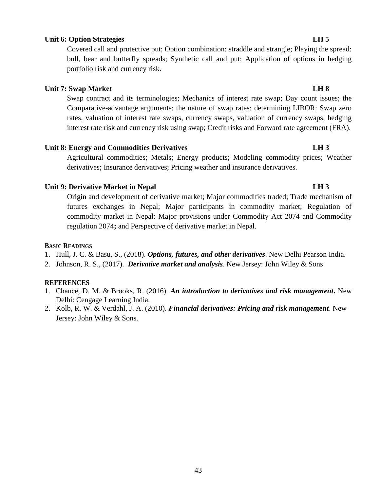Origin and development of derivative market; Major commodities traded; Trade mechanism of futures exchanges in Nepal; Major participants in commodity market; Regulation of commodity market in Nepal: Major provisions under Commodity Act 2074 and Commodity regulation 2074**;** and Perspective of derivative market in Nepal.

# **BASIC READINGS**

- 1. Hull, J. C. & Basu, S., (2018). *Options, futures, and other derivatives*. New Delhi Pearson India.
- 2. Johnson, R. S., (2017). *Derivative market and analysis*. New Jersey: John Wiley & Sons

### **REFERENCES**

- 1. Chance, D. M. & Brooks, R. (2016). *An introduction to derivatives and risk management***.** New Delhi: Cengage Learning India.
- 2. Kolb, R. W. & Verdahl, J. A. (2010). *Financial derivatives: Pricing and risk management*. New Jersey: John Wiley & Sons.

43

### **Unit 6: Option Strategies LH 5**

Covered call and protective put; Option combination: straddle and strangle; Playing the spread: bull, bear and butterfly spreads; Synthetic call and put; Application of options in hedging portfolio risk and currency risk.

### **Unit 7: Swap Market LH 8**

Swap contract and its terminologies; Mechanics of interest rate swap; Day count issues; the Comparative-advantage arguments; the nature of swap rates; determining LIBOR: Swap zero rates, valuation of interest rate swaps, currency swaps, valuation of currency swaps, hedging interest rate risk and currency risk using swap; Credit risks and Forward rate agreement (FRA).

### **Unit 8: Energy and Commodities Derivatives LH 3**

Agricultural commodities; Metals; Energy products; Modeling commodity prices; Weather derivatives; Insurance derivatives; Pricing weather and insurance derivatives.

# **Unit 9: Derivative Market in Nepal LH 3**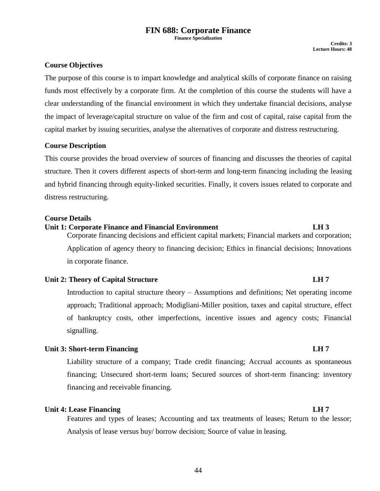# **FIN 688: Corporate Finance**

**Finance Specialization**

# **Course Objectives**

The purpose of this course is to impart knowledge and analytical skills of corporate finance on raising funds most effectively by a corporate firm. At the completion of this course the students will have a clear understanding of the financial environment in which they undertake financial decisions, analyse the impact of leverage/capital structure on value of the firm and cost of capital, raise capital from the capital market by issuing securities, analyse the alternatives of corporate and distress restructuring.

# **Course Description**

This course provides the broad overview of sources of financing and discusses the theories of capital structure. Then it covers different aspects of short-term and long-term financing including the leasing and hybrid financing through equity-linked securities. Finally, it covers issues related to corporate and distress restructuring.

### **Course Details**

# **Unit 1: Corporate Finance and Financial Environment LH 3**

Corporate financing decisions and efficient capital markets; Financial markets and corporation; Application of agency theory to financing decision; Ethics in financial decisions; Innovations in corporate finance.

# **Unit 2: Theory of Capital Structure LH 7**

Introduction to capital structure theory – Assumptions and definitions; Net operating income approach; Traditional approach; Modigliani-Miller position, taxes and capital structure, effect of bankruptcy costs, other imperfections, incentive issues and agency costs; Financial signalling.

# **Unit 3: Short-term Financing LH 7**

Liability structure of a company; Trade credit financing; Accrual accounts as spontaneous financing; Unsecured short-term loans; Secured sources of short-term financing: inventory financing and receivable financing.

# **Unit 4: Lease Financing LH 7**

Features and types of leases; Accounting and tax treatments of leases; Return to the lessor; Analysis of lease versus buy/ borrow decision; Source of value in leasing.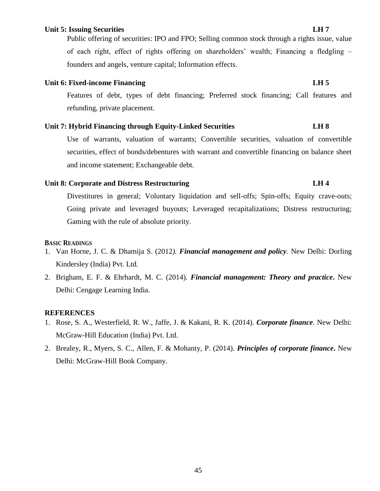### **Unit 5: Issuing Securities LH 7**

Public offering of securities: IPO and FPO; Selling common stock through a rights issue, value of each right, effect of rights offering on shareholders' wealth; Financing a fledgling – founders and angels, venture capital; Information effects.

# Unit 6: Fixed-income Financing LH 5

Features of debt, types of debt financing; Preferred stock financing; Call features and refunding, private placement.

# **Unit 7: Hybrid Financing through Equity-Linked Securities LH 8**

Use of warrants, valuation of warrants; Convertible securities, valuation of convertible securities, effect of bonds/debentures with warrant and convertible financing on balance sheet and income statement; Exchangeable debt.

# **Unit 8: Corporate and Distress Restructuring LH 4**

Divestitures in general; Voluntary liquidation and sell-offs; Spin-offs; Equity crave-outs; Going private and leveraged buyouts; Leveraged recapitalizations; Distress restructuring; Gaming with the rule of absolute priority.

# **BASIC READINGS**

- 1. Van Horne, J. C. & Dhamija S. (2012*). Financial management and policy*. New Delhi: Dorling Kindersley (India) Pvt. Ltd.
- 2. Brigham, E. F. & Ehrhardt, M. C. (2014). *Financial management: Theory and practice***.** New Delhi: Cengage Learning India.

# **REFERENCES**

- 1. Rose, S. A., Westerfield, R. W., Jaffe, J. & Kakani, R. K. (2014). *Corporate finance*. New Delhi: McGraw-Hill Education (India) Pvt. Ltd.
- 2. Brealey, R., Myers, S. C., Allen, F. & Mohanty, P. (2014). *Principles of corporate finance***.** New Delhi: McGraw-Hill Book Company.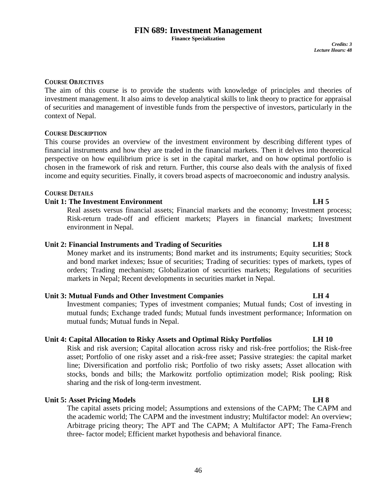# **FIN 689: Investment Management**

**Finance Specialization**

*Credits: 3 Lecture Hours: 48*

### **COURSE OBJECTIVES**

The aim of this course is to provide the students with knowledge of principles and theories of investment management. It also aims to develop analytical skills to link theory to practice for appraisal of securities and management of investible funds from the perspective of investors, particularly in the context of Nepal.

### **COURSE DESCRIPTION**

This course provides an overview of the investment environment by describing different types of financial instruments and how they are traded in the financial markets. Then it delves into theoretical perspective on how equilibrium price is set in the capital market, and on how optimal portfolio is chosen in the framework of risk and return. Further, this course also deals with the analysis of fixed income and equity securities. Finally, it covers broad aspects of macroeconomic and industry analysis.

### **COURSE DETAILS**

# **Unit 1: The Investment Environment LH 5**

Real assets versus financial assets; Financial markets and the economy; Investment process; Risk-return trade-off and efficient markets; Players in financial markets; Investment environment in Nepal.

### **Unit 2: Financial Instruments and Trading of Securities LH 8**

Money market and its instruments; Bond market and its instruments; Equity securities; Stock and bond market indexes; Issue of securities; Trading of securities: types of markets, types of orders; Trading mechanism; Globalization of securities markets; Regulations of securities markets in Nepal; Recent developments in securities market in Nepal.

### **Unit 3: Mutual Funds and Other Investment Companies LH 4**

Investment companies; Types of investment companies; Mutual funds; Cost of investing in mutual funds; Exchange traded funds; Mutual funds investment performance; Information on mutual funds; Mutual funds in Nepal.

# **Unit 4: Capital Allocation to Risky Assets and Optimal Risky Portfolios LH 10**

Risk and risk aversion; Capital allocation across risky and risk-free portfolios; the Risk-free asset; Portfolio of one risky asset and a risk-free asset; Passive strategies: the capital market line; Diversification and portfolio risk; Portfolio of two risky assets; Asset allocation with stocks, bonds and bills; the Markowitz portfolio optimization model; Risk pooling; Risk sharing and the risk of long-term investment.

# **Unit 5: Asset Pricing Models LH 8**

The capital assets pricing model; Assumptions and extensions of the CAPM; The CAPM and the academic world; The CAPM and the investment industry; Multifactor model: An overview; Arbitrage pricing theory; The APT and The CAPM; A Multifactor APT; The Fama-French three- factor model; Efficient market hypothesis and behavioral finance.

### 46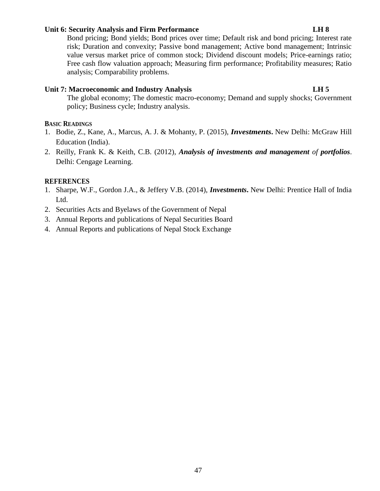## **Unit 6: Security Analysis and Firm Performance LH 8**

Bond pricing; Bond yields; Bond prices over time; Default risk and bond pricing; Interest rate risk; Duration and convexity; Passive bond management; Active bond management; Intrinsic value versus market price of common stock; Dividend discount models; Price-earnings ratio; Free cash flow valuation approach; Measuring firm performance; Profitability measures; Ratio analysis; Comparability problems.

## Unit 7: Macroeconomic and Industry Analysis **LH 5**

The global economy; The domestic macro-economy; Demand and supply shocks; Government policy; Business cycle; Industry analysis.

### **BASIC READINGS**

- 1. Bodie, Z., Kane, A., Marcus, A. J. & Mohanty, P. (2015), *Investments***.** New Delhi: McGraw Hill Education (India).
- 2. Reilly, Frank K. & Keith, C.B. (2012), *Analysis of investments and management of portfolios*. Delhi: Cengage Learning.

### **REFERENCES**

- 1. Sharpe, W.F., Gordon J.A., & Jeffery V.B. (2014), *Investments***.** New Delhi: Prentice Hall of India Ltd.
- 2. Securities Acts and Byelaws of the Government of Nepal
- 3. Annual Reports and publications of Nepal Securities Board
- 4. Annual Reports and publications of Nepal Stock Exchange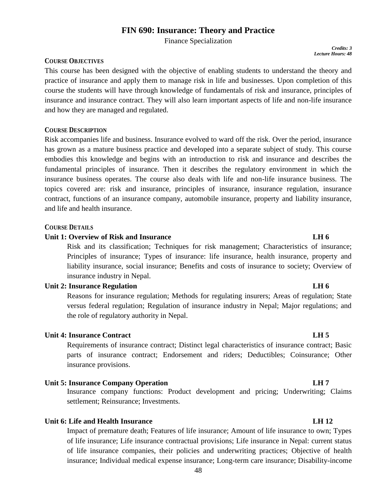# **FIN 690: Insurance: Theory and Practice**

Finance Specialization

# **COURSE OBJECTIVES**

This course has been designed with the objective of enabling students to understand the theory and practice of insurance and apply them to manage risk in life and businesses. Upon completion of this course the students will have through knowledge of fundamentals of risk and insurance, principles of insurance and insurance contract. They will also learn important aspects of life and non-life insurance and how they are managed and regulated.

### **COURSE DESCRIPTION**

Risk accompanies life and business. Insurance evolved to ward off the risk. Over the period, insurance has grown as a mature business practice and developed into a separate subject of study. This course embodies this knowledge and begins with an introduction to risk and insurance and describes the fundamental principles of insurance. Then it describes the regulatory environment in which the insurance business operates. The course also deals with life and non-life insurance business. The topics covered are: risk and insurance, principles of insurance, insurance regulation, insurance contract, functions of an insurance company, automobile insurance, property and liability insurance, and life and health insurance.

### **COURSE DETAILS**

### **Unit 1: Overview of Risk and Insurance LH 6**

Risk and its classification; Techniques for risk management; Characteristics of insurance; Principles of insurance; Types of insurance: life insurance, health insurance, property and liability insurance, social insurance; Benefits and costs of insurance to society; Overview of insurance industry in Nepal.

### **Unit 2: Insurance Regulation LH 6**

Reasons for insurance regulation; Methods for regulating insurers; Areas of regulation; State versus federal regulation; Regulation of insurance industry in Nepal; Major regulations; and the role of regulatory authority in Nepal.

### **Unit 4: Insurance Contract LH 5**

Requirements of insurance contract; Distinct legal characteristics of insurance contract; Basic parts of insurance contract; Endorsement and riders; Deductibles; Coinsurance; Other insurance provisions.

### **Unit 5: Insurance Company Operation LH 7**

Insurance company functions: Product development and pricing; Underwriting; Claims settlement; Reinsurance; Investments.

### **Unit 6: Life and Health Insurance LH 12**

Impact of premature death; Features of life insurance; Amount of life insurance to own; Types of life insurance; Life insurance contractual provisions; Life insurance in Nepal: current status of life insurance companies, their policies and underwriting practices; Objective of health insurance; Individual medical expense insurance; Long-term care insurance; Disability-income

*Credits: 3 Lecture Hours: 48*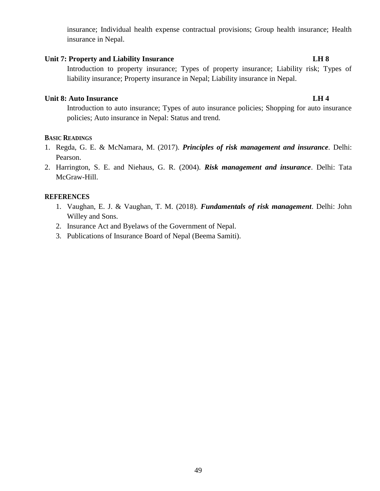insurance; Individual health expense contractual provisions; Group health insurance; Health insurance in Nepal.

# Unit 7: Property and Liability Insurance LH 8

Introduction to property insurance; Types of property insurance; Liability risk; Types of liability insurance; Property insurance in Nepal; Liability insurance in Nepal.

# **Unit 8: Auto Insurance LH 4**

Introduction to auto insurance; Types of auto insurance policies; Shopping for auto insurance policies; Auto insurance in Nepal: Status and trend.

### **BASIC READINGS**

- 1. Regda, G. E. & McNamara, M. (2017). *Principles of risk management and insurance.* Delhi: Pearson.
- 2. Harrington, S. E. and Niehaus, G. R. (2004). *Risk management and insurance*. Delhi: Tata McGraw-Hill.

### **REFERENCES**

- 1. Vaughan, E. J. & Vaughan, T. M. (2018). *Fundamentals of risk management*. Delhi: John Willey and Sons.
- 2. Insurance Act and Byelaws of the Government of Nepal.
- 3. Publications of Insurance Board of Nepal (Beema Samiti).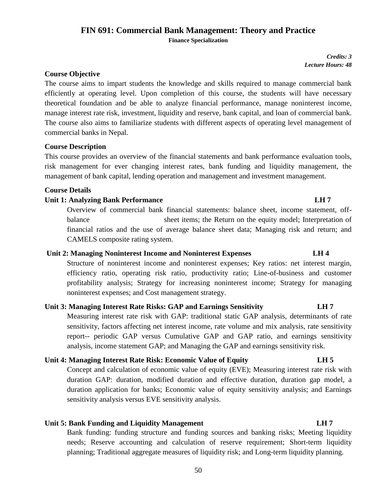# **FIN 691: Commercial Bank Management: Theory and Practice Finance Specialization**

*Credits: 3 Lecture Hours: 48*

# **Course Objective**

The course aims to impart students the knowledge and skills required to manage commercial bank efficiently at operating level. Upon completion of this course, the students will have necessary theoretical foundation and be able to analyze financial performance, manage noninterest income, manage interest rate risk, investment, liquidity and reserve, bank capital, and loan of commercial bank. The course also aims to familiarize students with different aspects of operating level management of commercial banks in Nepal.

### **Course Description**

This course provides an overview of the financial statements and bank performance evaluation tools, risk management for ever changing interest rates, bank funding and liquidity management, the management of bank capital, lending operation and management and investment management.

### **Course Details**

### **Unit 1: Analyzing Bank Performance LH 7**

Overview of commercial bank financial statements: balance sheet, income statement, offbalance sheet items; the Return on the equity model; Interpretation of financial ratios and the use of average balance sheet data; Managing risk and return; and CAMELS composite rating system.

# **Unit 2: Managing Noninterest Income and Noninterest Expenses LH 4**

Structure of noninterest income and noninterest expenses; Key ratios: net interest margin, efficiency ratio, operating risk ratio, productivity ratio; Line-of-business and customer profitability analysis; Strategy for increasing noninterest income; Strategy for managing noninterest expenses; and Cost management strategy.

# **Unit 3: Managing Interest Rate Risks: GAP and Earnings Sensitivity LH 7**

Measuring interest rate risk with GAP: traditional static GAP analysis, determinants of rate sensitivity, factors affecting net interest income, rate volume and mix analysis, rate sensitivity report-- periodic GAP versus Cumulative GAP and GAP ratio, and earnings sensitivity analysis, income statement GAP; and Managing the GAP and earnings sensitivity risk.

# **Unit 4: Managing Interest Rate Risk: Economic Value of Equity LH 5**

Concept and calculation of economic value of equity (EVE); Measuring interest rate risk with duration GAP: duration, modified duration and effective duration, duration gap model, a duration application for banks; Economic value of equity sensitivity analysis; and Earnings sensitivity analysis versus EVE sensitivity analysis.

# **Unit 5: Bank Funding and Liquidity Management CH 7** *LH 7* **<b>LH 7**

Bank funding: funding structure and funding sources and banking risks; Meeting liquidity needs; Reserve accounting and calculation of reserve requirement; Short-term liquidity planning; Traditional aggregate measures of liquidity risk; and Long-term liquidity planning.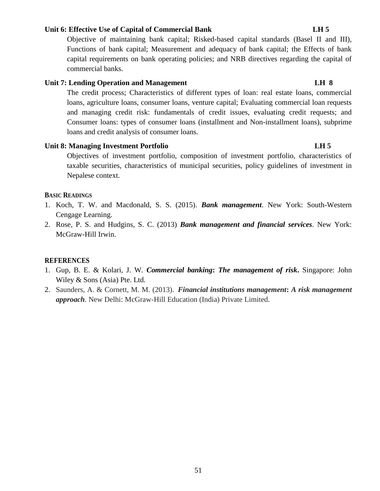### **Unit 6: Effective Use of Capital of Commercial Bank LH 5**

Objective of maintaining bank capital; Risked-based capital standards (Basel II and III), Functions of bank capital; Measurement and adequacy of bank capital; the Effects of bank capital requirements on bank operating policies; and NRB directives regarding the capital of commercial banks.

# **Unit 7: Lending Operation and Management LH 8**

The credit process; Characteristics of different types of loan: real estate loans, commercial loans, agriculture loans, consumer loans, venture capital; Evaluating commercial loan requests and managing credit risk: fundamentals of credit issues, evaluating credit requests; and Consumer loans: types of consumer loans (installment and Non-installment loans), subprime loans and credit analysis of consumer loans.

# Unit 8: Managing Investment Portfolio **LH 5**

Objectives of investment portfolio, composition of investment portfolio, characteristics of taxable securities, characteristics of municipal securities, policy guidelines of investment in Nepalese context.

### **BASIC READINGS**

- 1. Koch, T. W. and Macdonald, S. S. (2015). *Bank management*. New York: South-Western Cengage Learning.
- 2. Rose, P. S. and Hudgins, S. C. (2013) *Bank management and financial services.* New York: McGraw-Hill Irwin.

### **REFERENCES**

- 1. Gup, B. E. & Kolari, J. W*. Commercial banking***:** *The management of risk***.** Singapore: John Wiley & Sons (Asia) Pte. Ltd.
- 2. Saunders, A. & Cornett, M. M. (2013). *Financial institutions management***:** *A risk management approach.* New Delhi: McGraw-Hill Education (India) Private Limited.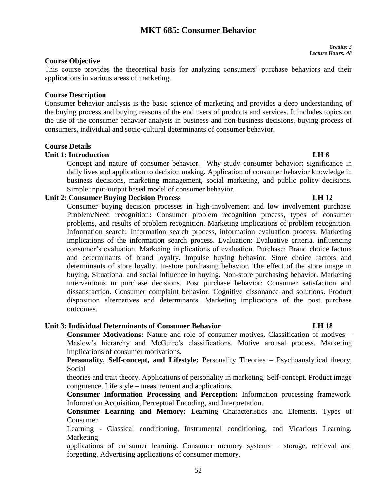# **MKT 685: Consumer Behavior**

### *Credits: 3 Lecture Hours: 48*

## **Course Objective**

This course provides the theoretical basis for analyzing consumers' purchase behaviors and their applications in various areas of marketing.

### **Course Description**

Consumer behavior analysis is the basic science of marketing and provides a deep understanding of the buying process and buying reasons of the end users of products and services. It includes topics on the use of the consumer behavior analysis in business and non-business decisions, buying process of consumers, individual and socio-cultural determinants of consumer behavior.

### **Course Details**

### **Unit 1: Introduction LH 6**

Concept and nature of consumer behavior. Why study consumer behavior: significance in daily lives and application to decision making. Application of consumer behavior knowledge in business decisions, marketing management, social marketing, and public policy decisions. Simple input-output based model of consumer behavior.

# **Unit 2: Consumer Buying Decision Process LH 12**

Consumer buying decision processes in high-involvement and low involvement purchase. Problem/Need recognition**:** Consumer problem recognition process, types of consumer problems, and results of problem recognition. Marketing implications of problem recognition. Information search: Information search process, information evaluation process. Marketing implications of the information search process. Evaluation: Evaluative criteria, influencing consumer's evaluation. Marketing implications of evaluation. Purchase: Brand choice factors and determinants of brand loyalty. Impulse buying behavior. Store choice factors and determinants of store loyalty. In-store purchasing behavior. The effect of the store image in buying. Situational and social influence in buying. Non-store purchasing behavior. Marketing interventions in purchase decisions. Post purchase behavior: Consumer satisfaction and dissatisfaction. Consumer complaint behavior. Cognitive dissonance and solutions. Product disposition alternatives and determinants. Marketing implications of the post purchase outcomes.

### **Unit 3: Individual Determinants of Consumer Behavior LH 18**

**Consumer Motivations:** Nature and role of consumer motives, Classification of motives – Maslow's hierarchy and McGuire's classifications. Motive arousal process. Marketing implications of consumer motivations.

**Personality, Self-concept, and Lifestyle:** Personality Theories – Psychoanalytical theory, Social

theories and trait theory. Applications of personality in marketing. Self-concept. Product image congruence. Life style – measurement and applications.

**Consumer Information Processing and Perception:** Information processing framework. Information Acquisition, Perceptual Encoding, and Interpretation.

**Consumer Learning and Memory:** Learning Characteristics and Elements. Types of Consumer

Learning - Classical conditioning, Instrumental conditioning, and Vicarious Learning. Marketing

applications of consumer learning. Consumer memory systems – storage, retrieval and forgetting. Advertising applications of consumer memory.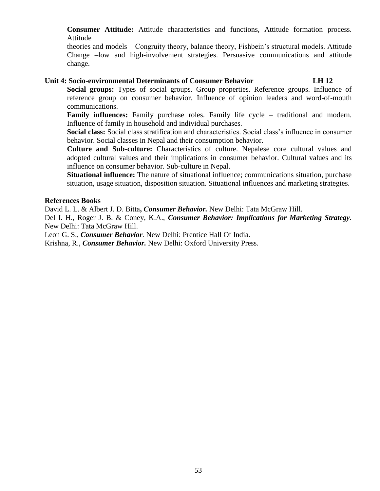**Consumer Attitude:** Attitude characteristics and functions, Attitude formation process. Attitude

theories and models – Congruity theory, balance theory, Fishbein's structural models. Attitude Change –low and high-involvement strategies. Persuasive communications and attitude change.

### **Unit 4: Socio-environmental Determinants of Consumer Behavior LH 12**

**Social groups:** Types of social groups. Group properties. Reference groups. Influence of reference group on consumer behavior. Influence of opinion leaders and word-of-mouth communications.

**Family influences:** Family purchase roles. Family life cycle – traditional and modern. Influence of family in household and individual purchases.

**Social class:** Social class stratification and characteristics. Social class's influence in consumer behavior. Social classes in Nepal and their consumption behavior.

**Culture and Sub-culture:** Characteristics of culture. Nepalese core cultural values and adopted cultural values and their implications in consumer behavior. Cultural values and its influence on consumer behavior. Sub-culture in Nepal.

**Situational influence:** The nature of situational influence; communications situation, purchase situation, usage situation, disposition situation. Situational influences and marketing strategies.

### **References Books**

David L. L. & Albert J. D. Bitta**,** *Consumer Behavior.* New Delhi: Tata McGraw Hill.

Del I. H., Roger J. B. & Coney, K.A., *Consumer Behavior: Implications for Marketing Strategy.*  New Delhi: Tata McGraw Hill.

Leon G. S., *Consumer Behavior.* New Delhi: Prentice Hall Of India.

Krishna, R., *Consumer Behavior.* New Delhi: Oxford University Press.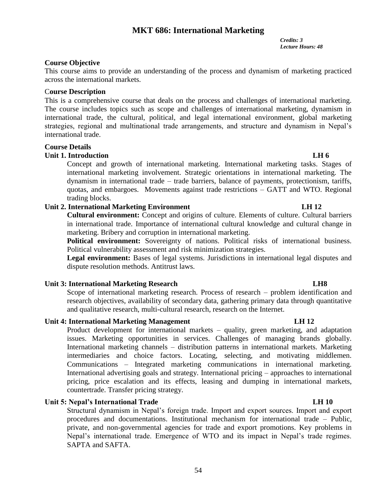# **MKT 686: International Marketing**

*Credits: 3 Lecture Hours: 48*

# **Course Objective**

This course aims to provide an understanding of the process and dynamism of marketing practiced across the international markets.

# C**ourse Description**

This is a comprehensive course that deals on the process and challenges of international marketing. The course includes topics such as scope and challenges of international marketing, dynamism in international trade, the cultural, political, and legal international environment, global marketing strategies, regional and multinational trade arrangements, and structure and dynamism in Nepal's international trade.

## **Course Details**

# **Unit 1. Introduction LH 6**

Concept and growth of international marketing. International marketing tasks. Stages of international marketing involvement. Strategic orientations in international marketing. The dynamism in international trade – trade barriers, balance of payments, protectionism, tariffs, quotas, and embargoes. Movements against trade restrictions – GATT and WTO. Regional trading blocks.

# **Unit 2. International Marketing Environment LH 12**

**Cultural environment:** Concept and origins of culture. Elements of culture. Cultural barriers in international trade. Importance of international cultural knowledge and cultural change in marketing. Bribery and corruption in international marketing.

**Political environment:** Sovereignty of nations. Political risks of international business. Political vulnerability assessment and risk minimization strategies.

Legal environment: Bases of legal systems. Jurisdictions in international legal disputes and dispute resolution methods. Antitrust laws.

### **Unit 3: International Marketing Research LH8**

Scope of international marketing research. Process of research – problem identification and research objectives, availability of secondary data, gathering primary data through quantitative and qualitative research, multi-cultural research, research on the Internet.

# **Unit 4: International Marketing Management LH 12**

Product development for international markets – quality, green marketing, and adaptation issues. Marketing opportunities in services. Challenges of managing brands globally. International marketing channels – distribution patterns in international markets. Marketing intermediaries and choice factors. Locating, selecting, and motivating middlemen. Communications – Integrated marketing communications in international marketing. International advertising goals and strategy. International pricing – approaches to international pricing, price escalation and its effects, leasing and dumping in international markets, countertrade. Transfer pricing strategy.

# **Unit 5: Nepal's International Trade LH 10**

Structural dynamism in Nepal's foreign trade. Import and export sources. Import and export procedures and documentations. Institutional mechanism for international trade – Public, private, and non-governmental agencies for trade and export promotions. Key problems in Nepal's international trade. Emergence of WTO and its impact in Nepal's trade regimes. SAPTA and SAFTA.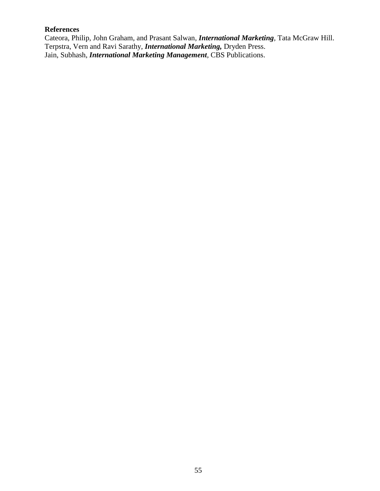# **References**

Cateora, Philip, John Graham, and Prasant Salwan, *International Marketing,* Tata McGraw Hill. Terpstra, Vern and Ravi Sarathy, *International Marketing,* Dryden Press. Jain, Subhash, *International Marketing Management,* CBS Publications.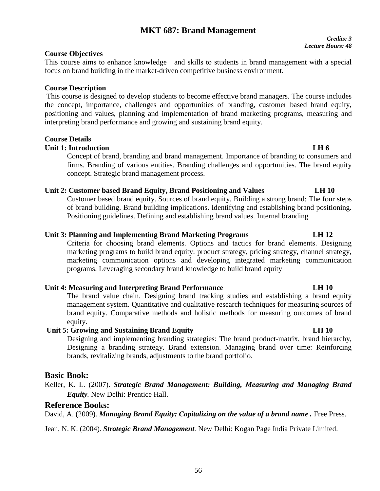### 56

# **MKT 687: Brand Management**

### *Credits: 3 Lecture Hours: 48*

# **Course Objectives**

This course aims to enhance knowledge and skills to students in brand management with a special focus on brand building in the market-driven competitive business environment.

# **Course Description**

This course is designed to develop students to become effective brand managers. The course includes the concept, importance, challenges and opportunities of branding, customer based brand equity, positioning and values, planning and implementation of brand marketing programs, measuring and interpreting brand performance and growing and sustaining brand equity.

# **Course Details**

# **Unit 1: Introduction LH 6**

Concept of brand, branding and brand management. Importance of branding to consumers and firms. Branding of various entities. Branding challenges and opportunities. The brand equity concept. Strategic brand management process.

# **Unit 2: Customer based Brand Equity, Brand Positioning and Values LH 10**

Customer based brand equity. Sources of brand equity. Building a strong brand: The four steps of brand building. Brand building implications. Identifying and establishing brand positioning. Positioning guidelines. Defining and establishing brand values. Internal branding

# **Unit 3: Planning and Implementing Brand Marketing Programs LH 12**

Criteria for choosing brand elements. Options and tactics for brand elements. Designing marketing programs to build brand equity: product strategy, pricing strategy, channel strategy, marketing communication options and developing integrated marketing communication programs. Leveraging secondary brand knowledge to build brand equity

# **Unit 4: Measuring and Interpreting Brand Performance LH 10**

The brand value chain. Designing brand tracking studies and establishing a brand equity management system. Quantitative and qualitative research techniques for measuring sources of brand equity. Comparative methods and holistic methods for measuring outcomes of brand equity.

# **Unit 5: Growing and Sustaining Brand Equity LH 10**

Designing and implementing branding strategies: The brand product-matrix, brand hierarchy, Designing a branding strategy. Brand extension. Managing brand over time: Reinforcing brands, revitalizing brands, adjustments to the brand portfolio.

# **Basic Book:**

Keller, K. L. (2007). *Strategic Brand Management: Building, Measuring and Managing Brand Equity.* New Delhi: Prentice Hall.

# **Reference Books:**

David, A. (2009). *Managing Brand Equity: Capitalizing on the value of a brand name .* Free Press.

Jean, N. K. (2004). *Strategic Brand Management.* New Delhi: Kogan Page India Private Limited.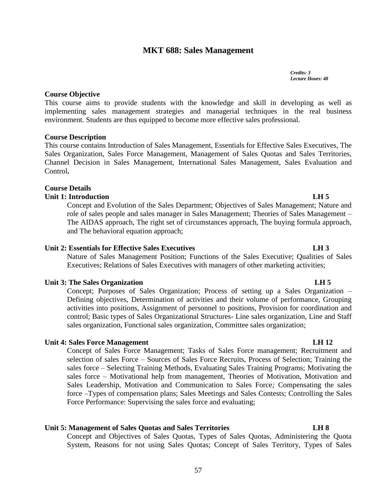# **MKT 688: Sales Management**

*Credits: 3 Lecture Hours: 48*

This course aims to provide students with the knowledge and skill in developing as well as implementing sales management strategies and managerial techniques in the real business environment. Students are thus equipped to become more effective sales professional.

### **Course Description**

**Course Objective**

This course contains Introduction of Sales Management, Essentials for Effective Sales Executives, The Sales Organization, Sales Force Management, Management of Sales Quotas and Sales Territories, Channel Decision in Sales Management, International Sales Management, Sales Evaluation and Control**.**

### **Course Details**

### **Unit 1: Introduction LH 5**

Concept and Evolution of the Sales Department; Objectives of Sales Management; Nature and role of sales people and sales manager in Sales Management; Theories of Sales Management – The AIDAS approach, The right set of circumstances approach, The buying formula approach, and The behavioral equation approach;

# **Unit 2: Essentials for Effective Sales Executives LH 3**

Nature of Sales Management Position; Functions of the Sales Executive; Qualities of Sales Executives; Relations of Sales Executives with managers of other marketing activities;

### **Unit 3: The Sales Organization LH 5**

Concept; Purposes of Sales Organization; Process of setting up a Sales Organization – Defining objectives, Determination of activities and their volume of performance, Grouping activities into positions, Assignment of personnel to positions, Provision for coordination and control; Basic types of Sales Organizational Structures- Line sales organization, Line and Staff sales organization, Functional sales organization, Committee sales organization;

### **Unit 4: Sales Force Management** LH 12

Concept of Sales Force Management; Tasks of Sales Force management; Recruitment and selection of sales Force – Sources of Sales Force Recruits, Process of Selection; Training the sales force – Selecting Training Methods, Evaluating Sales Training Programs; Motivating the sales force – Motivational help from management, Theories of Motivation, Motivation and Sales Leadership, Motivation and Communication to Sales Force*;* Compensating the sales force –Types of compensation plans; Sales Meetings and Sales Contests; Controlling the Sales Force Performance: Supervising the sales force and evaluating;

# **Unit 5: Management of Sales Quotas and Sales Territories LH 8**

Concept and Objectives of Sales Quotas, Types of Sales Quotas, Administering the Quota System, Reasons for not using Sales Quotas; Concept of Sales Territory, Types of Sales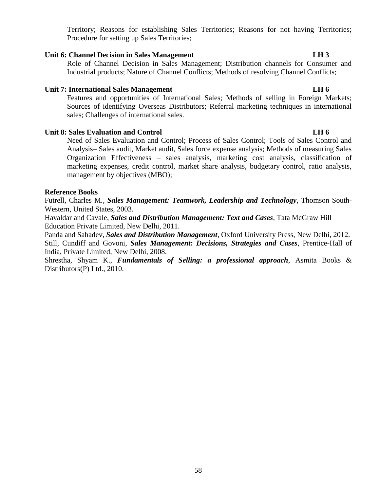Territory; Reasons for establishing Sales Territories; Reasons for not having Territories; Procedure for setting up Sales Territories;

# Unit 6: Channel Decision in Sales Management LH 3

Role of Channel Decision in Sales Management; Distribution channels for Consumer and Industrial products; Nature of Channel Conflicts; Methods of resolving Channel Conflicts;

### Unit 7: International Sales Management LH 6

Features and opportunities of International Sales; Methods of selling in Foreign Markets; Sources of identifying Overseas Distributors; Referral marketing techniques in international sales; Challenges of international sales.

### **Unit 8: Sales Evaluation and Control LH 6**

Need of Sales Evaluation and Control; Process of Sales Control; Tools of Sales Control and Analysis– Sales audit, Market audit, Sales force expense analysis; Methods of measuring Sales Organization Effectiveness – sales analysis, marketing cost analysis, classification of marketing expenses, credit control, market share analysis, budgetary control, ratio analysis, management by objectives (MBO);

### **Reference Books**

Futrell, Charles M*., Sales Management: Teamwork, Leadership and Technology*, Thomson South-Western, United States, 2003.

Havaldar and Cavale, *Sales and Distribution Management: Text and Cases*, Tata McGraw Hill Education Private Limited, New Delhi, 2011.

Panda and Sahadev, *Sales and Distribution Management*, Oxford University Press, New Delhi, 2012. Still, Cundiff and Govoni, *Sales Management: Decisions, Strategies and Cases*, Prentice-Hall of India, Private Limited, New Delhi, 2008.

Shrestha, Shyam K., *Fundamentals of Selling: a professional approach*, Asmita Books & Distributors(P) Ltd., 2010.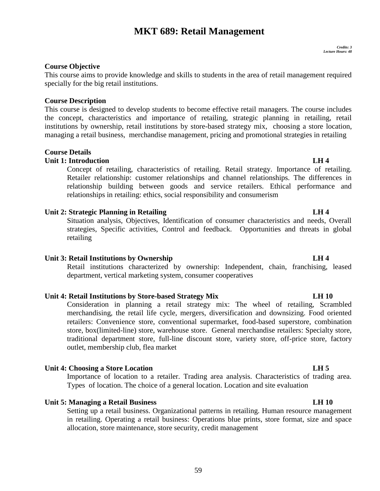# **MKT 689: Retail Management**

## **Course Objective**

This course aims to provide knowledge and skills to students in the area of retail management required specially for the big retail institutions.

### **Course Description**

This course is designed to develop students to become effective retail managers. The course includes the concept, characteristics and importance of retailing, strategic planning in retailing, retail institutions by ownership, retail institutions by store-based strategy mix, choosing a store location, managing a retail business, merchandise management, pricing and promotional strategies in retailing

# **Course Details**

# **Unit 1: Introduction LH 4**

Concept of retailing, characteristics of retailing. Retail strategy. Importance of retailing. Retailer relationship: customer relationships and channel relationships. The differences in relationship building between goods and service retailers. Ethical performance and relationships in retailing: ethics, social responsibility and consumerism

### **Unit 2: Strategic Planning in Retailing LH 4**

Situation analysis, Objectives, Identification of consumer characteristics and needs, Overall strategies, Specific activities, Control and feedback. Opportunities and threats in global retailing

### **Unit 3: Retail Institutions by Ownership LH 4**

Retail institutions characterized by ownership: Independent, chain, franchising, leased department, vertical marketing system, consumer cooperatives

### **Unit 4: Retail Institutions by Store-based Strategy Mix LH 10**

Consideration in planning a retail strategy mix: The wheel of retailing, Scrambled merchandising, the retail life cycle, mergers, diversification and downsizing. Food oriented retailers: Convenience store, conventional supermarket, food-based superstore, combination store, box(limited-line) store, warehouse store. General merchandise retailers: Specialty store, traditional department store, full-line discount store, variety store, off-price store, factory outlet, membership club, flea market

### **Unit 4: Choosing a Store Location LH 5**

Importance of location to a retailer. Trading area analysis. Characteristics of trading area. Types of location. The choice of a general location. Location and site evaluation

### **Unit 5: Managing a Retail Business LH 10**

Setting up a retail business. Organizational patterns in retailing. Human resource management in retailing. Operating a retail business: Operations blue prints, store format, size and space allocation, store maintenance, store security, credit management

### 59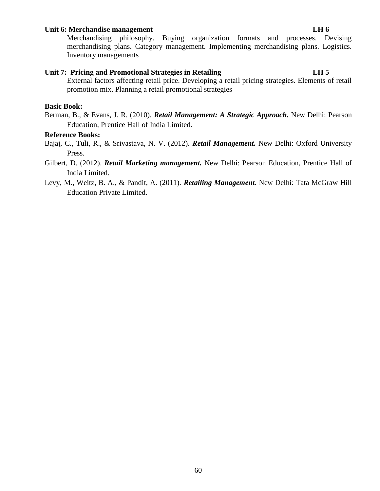# **Unit 6: Merchandise management LH 6**

Merchandising philosophy. Buying organization formats and processes. Devising merchandising plans. Category management. Implementing merchandising plans. Logistics. Inventory managements

# **Unit 7: Pricing and Promotional Strategies in Retailing LH 5**

External factors affecting retail price. Developing a retail pricing strategies. Elements of retail promotion mix. Planning a retail promotional strategies

### **Basic Book:**

Berman, B., & Evans, J. R. (2010). *Retail Management: A Strategic Approach.* New Delhi: Pearson Education, Prentice Hall of India Limited.

### **Reference Books:**

- Bajaj, C., Tuli, R., & Srivastava, N. V. (2012). *Retail Management.* New Delhi: Oxford University Press.
- Gilbert, D. (2012). *Retail Marketing management.* New Delhi: Pearson Education, Prentice Hall of India Limited.
- Levy, M., Weitz, B. A., & Pandit, A. (2011). *Retailing Management.* New Delhi: Tata McGraw Hill Education Private Limited.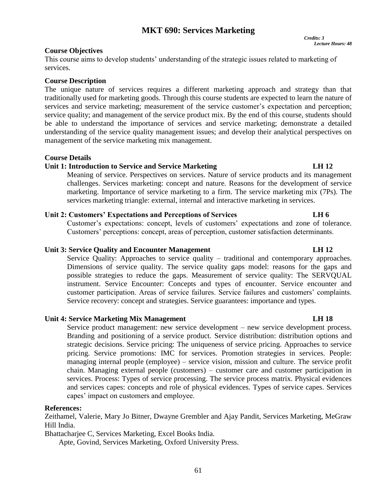# **MKT 690: Services Marketing**

 *Credits: 3 Lecture Hours: 48*

### **Course Objectives**

This course aims to develop students' understanding of the strategic issues related to marketing of services.

### **Course Description**

The unique nature of services requires a different marketing approach and strategy than that traditionally used for marketing goods. Through this course students are expected to learn the nature of services and service marketing; measurement of the service customer's expectation and perception; service quality; and management of the service product mix. By the end of this course, students should be able to understand the importance of services and service marketing; demonstrate a detailed understanding of the service quality management issues; and develop their analytical perspectives on management of the service marketing mix management.

### **Course Details**

# **Unit 1: Introduction to Service and Service Marketing LH 12**

Meaning of service. Perspectives on services. Nature of service products and its management challenges. Services marketing: concept and nature. Reasons for the development of service marketing. Importance of service marketing to a firm. The service marketing mix (7Ps). The services marketing triangle: external, internal and interactive marketing in services.

# **Unit 2: Customers' Expectations and Perceptions of Services LH 6**

Customer's expectations: concept, levels of customers' expectations and zone of tolerance. Customers' perceptions: concept, areas of perception, customer satisfaction determinants.

# **Unit 3: Service Quality and Encounter Management LH 12**

Service Quality: Approaches to service quality – traditional and contemporary approaches. Dimensions of service quality. The service quality gaps model: reasons for the gaps and possible strategies to reduce the gaps. Measurement of service quality: The SERVQUAL instrument. Service Encounter: Concepts and types of encounter. Service encounter and customer participation. Areas of service failures. Service failures and customers' complaints. Service recovery: concept and strategies. Service guarantees: importance and types.

# **Unit 4: Service Marketing Mix Management LH 18**

Service product management: new service development – new service development process. Branding and positioning of a service product. Service distribution: distribution options and strategic decisions. Service pricing: The uniqueness of service pricing. Approaches to service pricing. Service promotions: IMC for services. Promotion strategies in services. People: managing internal people (employee) – service vision, mission and culture. The service profit chain. Managing external people (customers) – customer care and customer participation in services. Process: Types of service processing. The service process matrix. Physical evidences and services capes: concepts and role of physical evidences. Types of service capes. Services capes' impact on customers and employee.

### **References:**

Zeithamel, Valerie, Mary Jo Bitner, Dwayne Grembler and Ajay Pandit, Services Marketing, MeGraw Hill India.

Bhattacharjee C, Services Marketing, Excel Books India.

Apte, Govind, Services Marketing, Oxford University Press.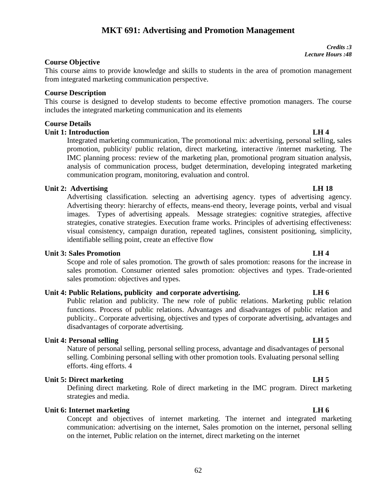# **MKT 691: Advertising and Promotion Management**

**Course Objective**

This course aims to provide knowledge and skills to students in the area of promotion management from integrated marketing communication perspective.

### **Course Description**

This course is designed to develop students to become effective promotion managers. The course includes the integrated marketing communication and its elements

# **Course Details**

# **Unit 1: Introduction LH 4**

Integrated marketing communication, The promotional mix: advertising, personal selling, sales promotion, publicity/ public relation, direct marketing, interactive /internet marketing. The IMC planning process: review of the marketing plan, promotional program situation analysis, analysis of communication process, budget determination, developing integrated marketing communication program, monitoring, evaluation and control.

## **Unit 2:** Advertising **LH** 18

Advertising classification. selecting an advertising agency. types of advertising agency. Advertising theory: hierarchy of effects, means-end theory, leverage points, verbal and visual images. Types of advertising appeals. Message strategies: cognitive strategies, affective strategies, conative strategies. Execution frame works. Principles of advertising effectiveness: visual consistency, campaign duration, repeated taglines, consistent positioning, simplicity, identifiable selling point, create an effective flow

## **Unit 3: Sales Promotion LH 4**

Scope and role of sales promotion. The growth of sales promotion: reasons for the increase in sales promotion. Consumer oriented sales promotion: objectives and types. Trade-oriented sales promotion: objectives and types.

# **Unit 4: Public Relations, publicity and corporate advertising. LH 6**

Public relation and publicity. The new role of public relations. Marketing public relation functions. Process of public relations. Advantages and disadvantages of public relation and publicity.. Corporate advertising, objectives and types of corporate advertising, advantages and disadvantages of corporate advertising.

### **Unit 4: Personal selling LH 5**

Nature of personal selling, personal selling process, advantage and disadvantages of personal selling. Combining personal selling with other promotion tools. Evaluating personal selling efforts. 4ing efforts. 4

### **Unit 5: Direct marketing LH 5**

Defining direct marketing. Role of direct marketing in the IMC program. Direct marketing strategies and media.

# **Unit 6:** Internet marketing **LH** 6

Concept and objectives of internet marketing. The internet and integrated marketing communication: advertising on the internet, Sales promotion on the internet, personal selling on the internet, Public relation on the internet, direct marketing on the internet

*Credits :3*

*Lecture Hours :48*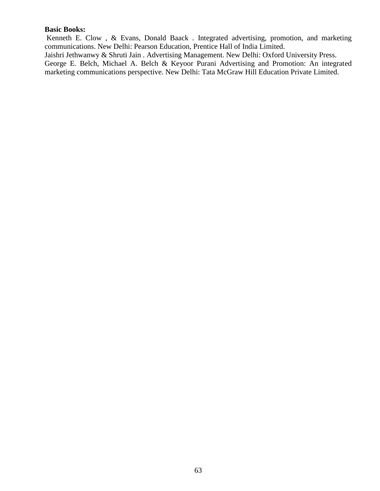### **Basic Books:**

Kenneth E. Clow , & Evans, Donald Baack . Integrated advertising, promotion, and marketing communications. New Delhi: Pearson Education, Prentice Hall of India Limited.

Jaishri Jethwanwy & Shruti Jain . Advertising Management. New Delhi: Oxford University Press. George E. Belch, Michael A. Belch & Keyoor Purani Advertising and Promotion: An integrated marketing communications perspective. New Delhi: Tata McGraw Hill Education Private Limited.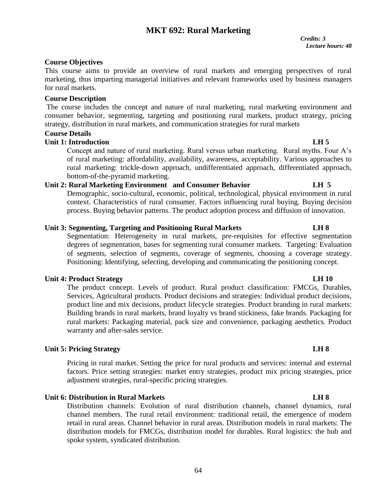# **MKT 692: Rural Marketing**

## **Course Objectives**

This course aims to provide an overview of rural markets and emerging perspectives of rural marketing, thus imparting managerial initiatives and relevant frameworks used by business managers for rural markets.

### **Course Description**

The course includes the concept and nature of rural marketing, rural marketing environment and consumer behavior, segmenting, targeting and positioning rural markets, product strategy, pricing strategy, distribution in rural markets, and communication strategies for rural markets

# **Course Details**

### **Unit 1: Introduction LH 5**

Concept and nature of rural marketing. Rural versus urban marketing. Rural myths. Four A's of rural marketing: affordability, availability, awareness, acceptability. Various approaches to rural marketing: trickle-down approach, undifferentiated approach, differentiated approach, bottom-of-the-pyramid marketing.

# **Unit 2: Rural Marketing Environment and Consumer Behavior LH 5**

Demographic, socio-cultural, economic, political, technological, physical environment in rural context. Characteristics of rural consumer. Factors influencing rural buying. Buying decision process. Buying behavior patterns. The product adoption process and diffusion of innovation.

### **Unit 3: Segmenting, Targeting and Positioning Rural Markets LH 8**

Segmentation: Heterogeneity in rural markets, pre-requisites for effective segmentation degrees of segmentation, bases for segmenting rural consumer markets. Targeting: Evaluation of segments, selection of segments, coverage of segments, choosing a coverage strategy. Positioning: Identifying, selecting, developing and communicating the positioning concept.

### **Unit 4: Product Strategy LH 10**

The product concept. Levels of product. Rural product classification: FMCGs, Durables, Services, Agricultural products. Product decisions and strategies: Individual product decisions, product line and mix decisions, product lifecycle strategies. Product branding in rural markets: Building brands in rural markets, brand loyalty vs brand stickiness, fake brands. Packaging for rural markets: Packaging material, pack size and convenience, packaging aesthetics. Product warranty and after-sales service.

### **Unit 5: Pricing Strategy LH 8**

Pricing in rural market. Setting the price for rural products and services: internal and external factors. Price setting strategies: market entry strategies, product mix pricing strategies, price adjustment strategies, rural-specific pricing strategies.

# **Unit 6: Distribution in Rural Markets LH 8**

Distribution channels: Evolution of rural distribution channels, channel dynamics, rural channel members. The rural retail environment: traditional retail, the emergence of modern retail in rural areas. Channel behavior in rural areas. Distribution models in rural markets: The distribution models for FMCGs, distribution model for durables. Rural logistics: the hub and spoke system, syndicated distribution.

### 64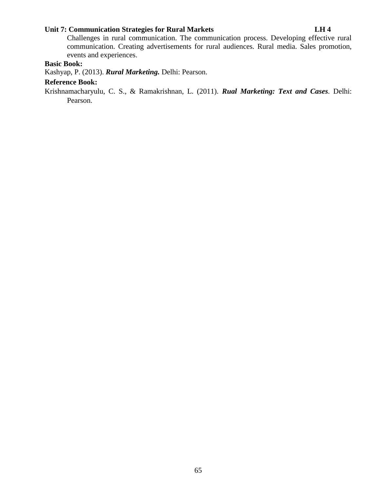# **Unit 7: Communication Strategies for Rural Markets LH 4**

Challenges in rural communication. The communication process. Developing effective rural communication. Creating advertisements for rural audiences. Rural media. Sales promotion, events and experiences.

# **Basic Book:**

Kashyap, P. (2013). *Rural Marketing.* Delhi: Pearson.

# **Reference Book:**

Krishnamacharyulu, C. S., & Ramakrishnan, L. (2011). *Rual Marketing: Text and Cases.* Delhi: Pearson.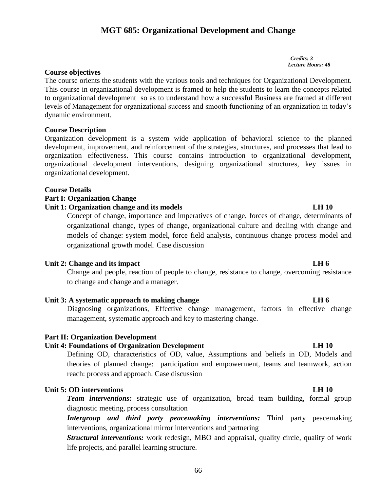# **MGT 685: Organizational Development and Change**

 *Credits: 3 Lecture Hours: 48*

## **Course objectives**

The course orients the students with the various tools and techniques for Organizational Development. This course in organizational development is framed to help the students to learn the concepts related to organizational development so as to understand how a successful Business are framed at different levels of Management for organizational success and smooth functioning of an organization in today's dynamic environment.

# **Course Description**

Organization development is a system wide application of behavioral science to the planned development, improvement, and reinforcement of the strategies, structures, and processes that lead to organization effectiveness. This course contains introduction to organizational development, organizational development interventions, designing organizational structures, key issues in organizational development.

### **Course Details**

# **Part I: Organization Change**

### **Unit 1: Organization change and its models LH 10**

Concept of change, importance and imperatives of change, forces of change, determinants of organizational change, types of change, organizational culture and dealing with change and models of change: system model, force field analysis, continuous change process model and organizational growth model. Case discussion

### **Unit 2: Change and its impact LH** 6

Change and people, reaction of people to change, resistance to change, overcoming resistance to change and change and a manager.

# Unit 3: A systematic approach to making change **LH** 6

Diagnosing organizations, Effective change management, factors in effective change management, systematic approach and key to mastering change.

### **Part II: Organization Development**

### Unit 4: Foundations of Organization Development LH 10

Defining OD, characteristics of OD, value, Assumptions and beliefs in OD, Models and theories of planned change: participation and empowerment, teams and teamwork, action reach: process and approach. Case discussion

# **Unit 5: OD interventions LH 10**

**Team interventions:** strategic use of organization, broad team building, formal group diagnostic meeting, process consultation

*Intergroup and third party peacemaking interventions:* Third party peacemaking interventions, organizational mirror interventions and partnering

*Structural interventions:* work redesign, MBO and appraisal, quality circle, quality of work life projects, and parallel learning structure.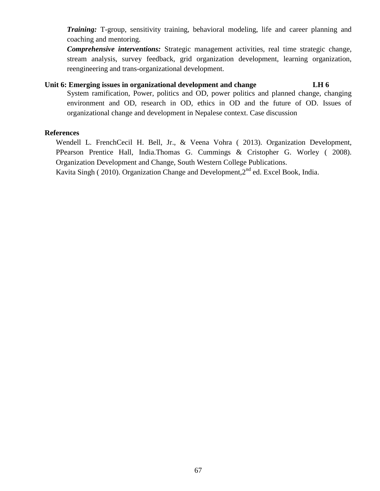*Training:* T-group, sensitivity training, behavioral modeling, life and career planning and coaching and mentoring.

*Comprehensive interventions:* Strategic management activities, real time strategic change, stream analysis, survey feedback, grid organization development, learning organization, reengineering and trans-organizational development.

### **Unit 6: Emerging issues in organizational development and change LH 6**

System ramification, Power, politics and OD, power politics and planned change, changing environment and OD, research in OD, ethics in OD and the future of OD. Issues of organizational change and development in Nepalese context. Case discussion

### **References**

Wendell L. FrenchCecil H. Bell, Jr., & Veena Vohra ( 2013). Organization Development, PPearson Prentice Hall, India.Thomas G. Cummings & Cristopher G. Worley ( 2008). Organization Development and Change, South Western College Publications.

Kavita Singh ( 2010). Organization Change and Development,  $2<sup>nd</sup>$  ed. Excel Book, India.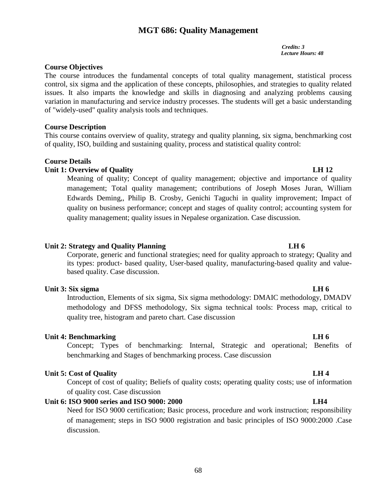# **MGT 686: Quality Management**

*Credits: 3 Lecture Hours: 48*

# **Course Objectives**

The course introduces the fundamental concepts of total quality management, statistical process control, six sigma and the application of these concepts, philosophies, and strategies to quality related issues. It also imparts the knowledge and skills in diagnosing and analyzing problems causing variation in manufacturing and service industry processes. The students will get a basic understanding of "widely-used" quality analysis tools and techniques.

# **Course Description**

This course contains overview of quality, strategy and quality planning, six sigma, benchmarking cost of quality, ISO, building and sustaining quality, process and statistical quality control:

# **Course Details**

# **Unit 1: Overview of Quality LH 12**

Meaning of quality; Concept of quality management; objective and importance of quality management; Total quality management; contributions of Joseph Moses Juran, William Edwards Deming,, Philip B. Crosby, Genichi Taguchi in quality improvement; Impact of quality on business performance; concept and stages of quality control; accounting system for quality management; quality issues in Nepalese organization. Case discussion.

# Unit 2: Strategy and Quality Planning **LH 6**

Corporate, generic and functional strategies; need for quality approach to strategy; Quality and its types: product- based quality, User-based quality, manufacturing-based quality and valuebased quality. Case discussion.

# **Unit 3:** Six sigma **LH** 6

Introduction, Elements of six sigma, Six sigma methodology: DMAIC methodology, DMADV methodology and DFSS methodology, Six sigma technical tools: Process map, critical to quality tree, histogram and pareto chart. Case discussion

# **Unit 4: Benchmarking LH 6**

Concept; Types of benchmarking: Internal, Strategic and operational; Benefits of benchmarking and Stages of benchmarking process. Case discussion

# **Unit 5: Cost of Quality LH 4**

Concept of cost of quality; Beliefs of quality costs; operating quality costs; use of information of quality cost. Case discussion

# **Unit 6: ISO 9000 series and ISO 9000: 2000 LH4**

Need for ISO 9000 certification; Basic process, procedure and work instruction; responsibility of management; steps in ISO 9000 registration and basic principles of ISO 9000:2000 .Case discussion.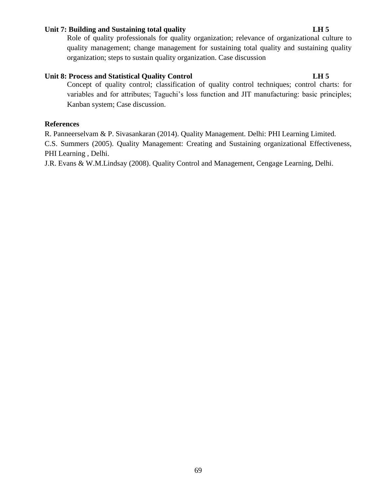# **Unit 7: Building and Sustaining total quality LH 5**

Role of quality professionals for quality organization; relevance of organizational culture to quality management; change management for sustaining total quality and sustaining quality organization; steps to sustain quality organization. Case discussion

# **Unit 8: Process and Statistical Quality Control LH 5**

Concept of quality control; classification of quality control techniques; control charts: for variables and for attributes; Taguchi's loss function and JIT manufacturing: basic principles; Kanban system; Case discussion.

## **References**

R. Panneerselvam & P. Sivasankaran (2014). Quality Management. Delhi: PHI Learning Limited.

C.S. Summers (2005). Quality Management: Creating and Sustaining organizational Effectiveness, PHI Learning , Delhi.

J.R. Evans & W.M.Lindsay (2008). Quality Control and Management, Cengage Learning, Delhi.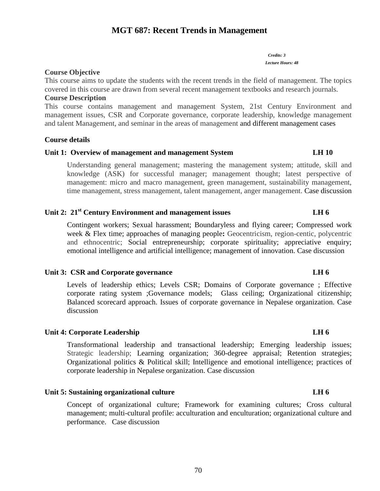# **MGT 687: Recent Trends in Management**

*Credits: 3 Lecture Hours: 48*

# **Course Objective**

This course aims to update the students with the recent trends in the field of management. The topics covered in this course are drawn from several recent management textbooks and research journals.

## **Course Description**

This course contains management and management System, 21st Century Environment and management issues, CSR and Corporate governance, corporate leadership, knowledge management and talent Management, and seminar in the areas of management and different management cases

# **Course details**

# **Unit 1: Overview of management and management System LH 10**

Understanding general management; mastering the management system; attitude, skill and knowledge (ASK) for successful manager; management thought; latest perspective of management: micro and macro management, green management, sustainability management, time management, stress management, talent management, anger management. Case discussion

# **Unit 2: 21st Century Environment and management issues LH 6**

Contingent workers; Sexual harassment; Boundaryless and flying career; Compressed work week & Flex time; approaches of managing people**:** Geocentricism, region-centic, polycentric and ethnocentric; Social entrepreneurship; corporate spirituality; appreciative enquiry; emotional intelligence and artificial intelligence; management of innovation. Case discussion

### Unit 3: CSR and Corporate governance LH 6

Levels of leadership ethics; Levels CSR; Domains of Corporate governance ; Effective corporate rating system ;Governance models; Glass ceiling; Organizational citizenship; Balanced scorecard approach. Issues of corporate governance in Nepalese organization. Case discussion

# **Unit 4: Corporate Leadership LH 6**

Transformational leadership and transactional leadership; Emerging leadership issues; Strategic leadership; Learning organization; 360-degree appraisal; Retention strategies; Organizational politics & Political skill; Intelligence and emotional intelligence; practices of corporate leadership in Nepalese organization. Case discussion

# **Unit 5: Sustaining organizational culture LH 6**

Concept of organizational culture; Framework for examining cultures; Cross cultural management; multi-cultural profile: acculturation and enculturation; organizational culture and performance. Case discussion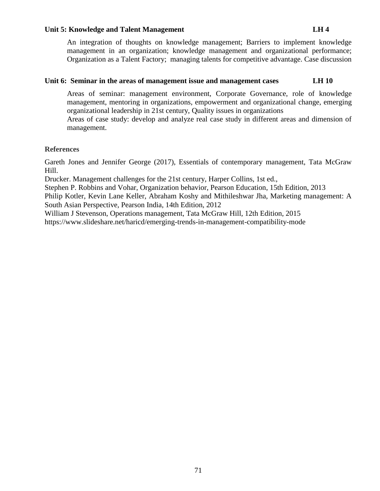## Unit 5: Knowledge and Talent Management LH 4

An integration of thoughts on knowledge management; Barriers to implement knowledge management in an organization; knowledge management and organizational performance; Organization as a Talent Factory; managing talents for competitive advantage. Case discussion

### **Unit 6: Seminar in the areas of management issue and management cases LH 10**

Areas of seminar: management environment, Corporate Governance, role of knowledge management, mentoring in organizations, empowerment and organizational change, emerging organizational leadership in 21st century, Quality issues in organizations

Areas of case study: develop and analyze real case study in different areas and dimension of management.

### **References**

Gareth Jones and Jennifer George (2017), Essentials of contemporary management, Tata McGraw Hill.

Drucker. Management challenges for the 21st century, Harper Collins, 1st ed.,

Stephen P. Robbins and Vohar, Organization behavior, Pearson Education, 15th Edition, 2013

Philip Kotler, Kevin Lane Keller, Abraham Koshy and Mithileshwar Jha, Marketing management: A South Asian Perspective, Pearson India, 14th Edition, 2012

William J Stevenson, Operations management, Tata McGraw Hill, 12th Edition, 2015

<https://www.slideshare.net/haricd/emerging-trends-in-management-compatibility-mode>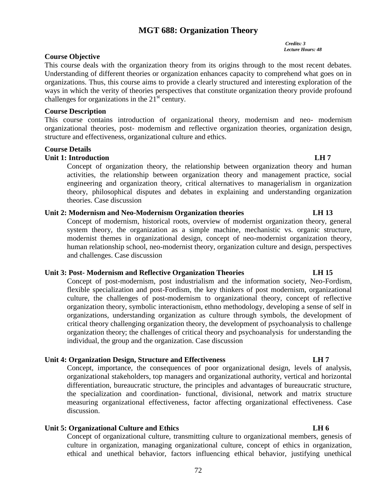# **MGT 688: Organization Theory**

### *Credits: 3 Lecture Hours: 48*

# **Course Objective**

This course deals with the organization theory from its origins through to the most recent debates. Understanding of different theories or organization enhances capacity to comprehend what goes on in organizations. Thus, this course aims to provide a clearly structured and interesting exploration of the ways in which the verity of theories perspectives that constitute organization theory provide profound challenges for organizations in the  $21<sup>st</sup>$  century.

# **Course Description**

This course contains introduction of organizational theory, modernism and neo- modernism organizational theories, post- modernism and reflective organization theories, organization design, structure and effectiveness, organizational culture and ethics.

### **Course Details**

# **Unit 1: Introduction LH 7**

Concept of organization theory, the relationship between organization theory and human activities, the relationship between organization theory and management practice, social engineering and organization theory, critical alternatives to managerialism in organization theory, philosophical disputes and debates in explaining and understanding organization theories. Case discussion

# **Unit 2: Modernism and Neo-Modernism Organization theories LH 13**

Concept of modernism, historical roots, overview of modernist organization theory, general system theory, the organization as a simple machine, mechanistic vs. organic structure, modernist themes in organizational design, concept of neo-modernist organization theory, human relationship school, neo-modernist theory, organization culture and design, perspectives and challenges. Case discussion

# **Unit 3: Post- Modernism and Reflective Organization Theories LH 15**

Concept of post-modernism, post industrialism and the information society, Neo-Fordism, flexible specialization and post-Fordism, the key thinkers of post modernism, organizational culture, the challenges of post-modernism to organizational theory, concept of reflective organization theory, symbolic interactionism, ethno methodology, developing a sense of self in organizations, understanding organization as culture through symbols, the development of critical theory challenging organization theory, the development of psychoanalysis to challenge organization theory; the challenges of critical theory and psychoanalysis for understanding the individual, the group and the organization. Case discussion

# **Unit 4: Organization Design, Structure and Effectiveness LH 7**

Concept, importance, the consequences of poor organizational design, levels of analysis, organizational stakeholders, top managers and organizational authority, vertical and horizontal differentiation, bureaucratic structure, the principles and advantages of bureaucratic structure, the specialization and coordination- functional, divisional, network and matrix structure measuring organizational effectiveness, factor affecting organizational effectiveness. Case discussion.

# **Unit 5: Organizational Culture and Ethics Community Community Community Community Community Community Community Community Community Community Community Community Community Community Community Community Community Community**

Concept of organizational culture, transmitting culture to organizational members, genesis of culture in organization, managing organizational culture, concept of ethics in organization, ethical and unethical behavior, factors influencing ethical behavior, justifying unethical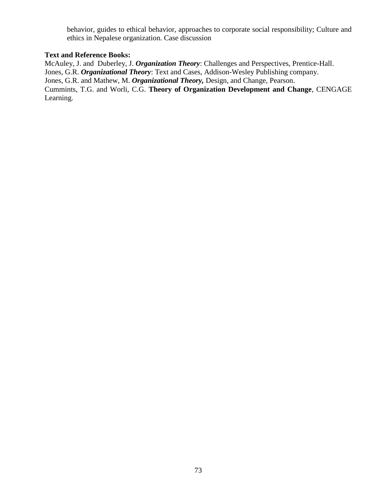behavior, guides to ethical behavior, approaches to corporate social responsibility; Culture and ethics in Nepalese organization. Case discussion

# **Text and Reference Books:**

McAuley, J. and Duberley, J. *Organization Theory*: Challenges and Perspectives, Prentice-Hall. Jones, G.R. *Organizational Theory*: Text and Cases, Addison-Wesley Publishing company. Jones, G.R. and Mathew, M. *Organizational Theory,* Design, and Change, Pearson. Cummints, T.G. and Worli, C.G. **Theory of Organization Development and Change**, CENGAGE Learning.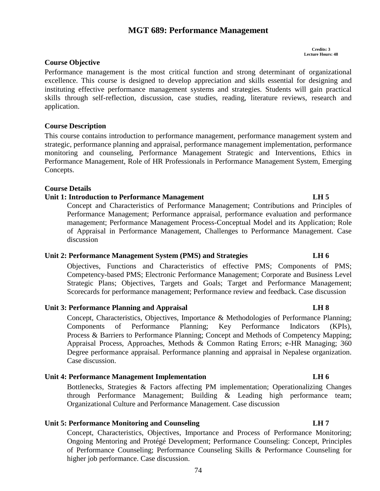### **Unit 4: Performance Management Implementation LH 6**

Bottlenecks, Strategies & Factors affecting PM implementation; Operationalizing Changes through Performance Management; Building & Leading high performance team; Organizational Culture and Performance Management. Case discussion

### **Unit 5: Performance Monitoring and Counseling LH 7**

Case discussion.

Concept, Characteristics, Objectives, Importance and Process of Performance Monitoring; Ongoing Mentoring and Protégé Development; Performance Counseling: Concept, Principles of Performance Counseling; Performance Counseling Skills & Performance Counseling for higher job performance. Case discussion.

# **Course Objective**

Performance management is the most critical function and strong determinant of organizational excellence. This course is designed to develop appreciation and skills essential for designing and instituting effective performance management systems and strategies. Students will gain practical skills through self-reflection, discussion, case studies, reading, literature reviews, research and application.

**MGT 689: Performance Management**

# **Course Description**

This course contains introduction to performance management, performance management system and strategic, performance planning and appraisal, performance management implementation, performance monitoring and counseling, Performance Management Strategic and Interventions, Ethics in Performance Management, Role of HR Professionals in Performance Management System, Emerging Concepts.

# **Course Details**

# **Unit 1: Introduction to Performance Management LH 5**

Concept and Characteristics of Performance Management; Contributions and Principles of Performance Management; Performance appraisal, performance evaluation and performance management; Performance Management Process-Conceptual Model and its Application; Role of Appraisal in Performance Management, Challenges to Performance Management. Case discussion

# **Unit 2: Performance Management System (PMS) and Strategies LH 6**

Objectives, Functions and Characteristics of effective PMS; Components of PMS; Competency-based PMS; Electronic Performance Management; Corporate and Business Level Strategic Plans; Objectives, Targets and Goals; Target and Performance Management; Scorecards for performance management; Performance review and feedback. Case discussion

Concept, Characteristics, Objectives, Importance & Methodologies of Performance Planning; Components of Performance Planning; Key Performance Indicators (KPIs), Process & Barriers to Performance Planning; Concept and Methods of Competency Mapping; Appraisal Process, Approaches, Methods & Common Rating Errors; e-HR Managing; 360

Unit 3: Performance Planning and Appraisal LH 8

# Degree performance appraisal. Performance planning and appraisal in Nepalese organization.

74

**Credits: 3 Lecture Hours: 48**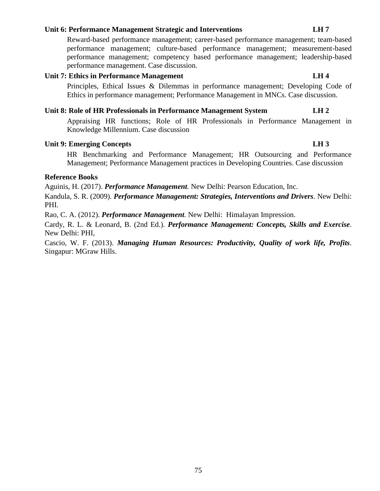### **Unit 6: Performance Management Strategic and Interventions LH 7**

Reward-based performance management; career-based performance management; team-based performance management; culture-based performance management; measurement-based performance management; competency based performance management; leadership-based performance management. Case discussion.

# Unit 7: Ethics in Performance Management LH 4

Principles, Ethical Issues & Dilemmas in performance management; Developing Code of Ethics in performance management; Performance Management in MNCs. Case discussion.

# **Unit 8: Role of HR Professionals in Performance Management System LH 2**

Appraising HR functions; Role of HR Professionals in Performance Management in Knowledge Millennium. Case discussion

# **Unit 9: Emerging Concepts LH 3**

HR Benchmarking and Performance Management; HR Outsourcing and Performance Management; Performance Management practices in Developing Countries. Case discussion

### **Reference Books**

Aguinis, H. (2017). *Performance Management.* New Delhi: Pearson Education, Inc. Kandula, S. R. (2009). *Performance Management: Strategies, Interventions and Drivers.* New Delhi: PHI.

Rao, C. A. (2012). *Performance Management.* New Delhi: Himalayan Impression.

Cardy, R. L. & Leonard, B. (2nd Ed.). *Performance Management: Concepts, Skills and Exercise.* New Delhi: PHI,

Cascio, W. F. (2013). *Managing Human Resources: Productivity, Quality of work life, Profits.* Singapur: MGraw Hills.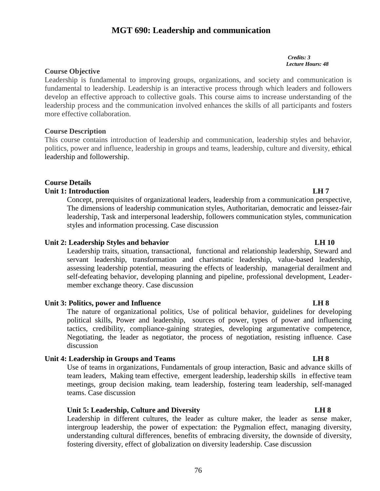# **MGT 690: Leadership and communication**

*Credits: 3 Lecture Hours: 48*

# **Course Objective**

Leadership is fundamental to improving groups, organizations, and society and communication is fundamental to leadership. Leadership is an interactive process through which leaders and followers develop an effective approach to collective goals. This course aims to increase understanding of the leadership process and the communication involved enhances the skills of all participants and fosters more effective collaboration.

# **Course Description**

This course contains introduction of leadership and communication, leadership styles and behavior, politics, power and influence, leadership in groups and teams, leadership, culture and diversity, ethical leadership and followership.

# **Course Details**

# **Unit 1: Introduction LH 7**

Concept, prerequisites of organizational leaders, leadership from a communication perspective, The dimensions of leadership communication styles, Authoritarian, democratic and leissez-fair leadership, Task and interpersonal leadership, followers communication styles, communication styles and information processing. Case discussion

# **Unit 2: Leadership Styles and behavior LH 10**

Leadership traits, situation, transactional, functional and relationship leadership, Steward and servant leadership, transformation and charismatic leadership, value-based leadership, assessing leadership potential, measuring the effects of leadership, managerial derailment and self-defeating behavior, developing planning and pipeline, professional development, Leadermember exchange theory. Case discussion

# **Unit 3: Politics, power and Influence LH 8**

The nature of organizational politics, Use of political behavior, guidelines for developing political skills, Power and leadership, sources of power, types of power and influencing tactics, credibility, compliance-gaining strategies, developing argumentative competence, Negotiating, the leader as negotiator, the process of negotiation, resisting influence. Case discussion

# **Unit 4: Leadership in Groups and Teams LH 8**

Use of teams in organizations, Fundamentals of group interaction, Basic and advance skills of team leaders, Making team effective, emergent leadership, leadership skills in effective team meetings, group decision making, team leadership, fostering team leadership, self-managed teams. Case discussion

# **Unit 5: Leadership, Culture and Diversity LH 8**

Leadership in different cultures, the leader as culture maker, the leader as sense maker, intergroup leadership, the power of expectation: the Pygmalion effect, managing diversity, understanding cultural differences, benefits of embracing diversity, the downside of diversity, fostering diversity, effect of globalization on diversity leadership. Case discussion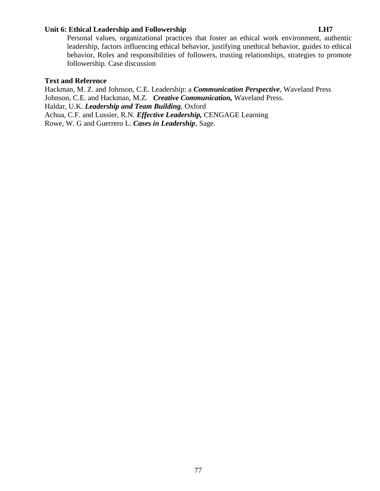# **Unit 6: Ethical Leadership and Followership LH7**

Personal values, organizational practices that foster an ethical work environment, authentic leadership, factors influencing ethical behavior, justifying unethical behavior, guides to ethical behavior, Roles and responsibilities of followers, trusting relationships, strategies to promote followership. Case discussion

### **Text and Reference**

Hackman, M. Z. and Johnson, C.E. Leadership: a *Communication Perspective*, Waveland Press Johnson, C.E. and Hackman, M.Z. *Creative Communication,* Waveland Press. Haldar, U.K. *Leadership and Team Building*, Oxford Achua, C.F. and Lussier, R.N. *Effective Leadership,* CENGAGE Learning Rowe, W. G and Guerrero L. *Cases in Leadership*, Sage.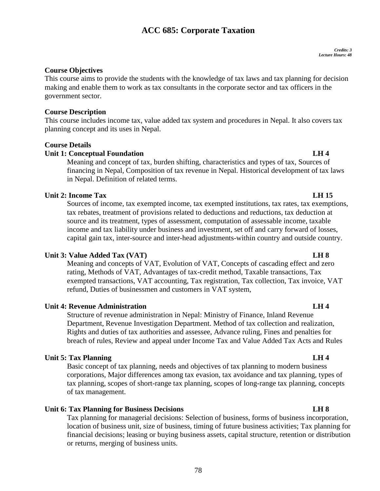# **ACC 685: Corporate Taxation**

### *Credits: 3 Lecture Hours: 48*

# **Course Objectives**

This course aims to provide the students with the knowledge of tax laws and tax planning for decision making and enable them to work as tax consultants in the corporate sector and tax officers in the government sector.

# **Course Description**

This course includes income tax, value added tax system and procedures in Nepal. It also covers tax planning concept and its uses in Nepal.

# **Course Details**

# **Unit 1: Conceptual Foundation LH 4**

Meaning and concept of tax, burden shifting, characteristics and types of tax, Sources of financing in Nepal, Composition of tax revenue in Nepal. Historical development of tax laws in Nepal. Definition of related terms.

# **Unit 2: Income Tax LH 15**

Sources of income, tax exempted income, tax exempted institutions, tax rates, tax exemptions, tax rebates, treatment of provisions related to deductions and reductions, tax deduction at source and its treatment, types of assessment, computation of assessable income, taxable income and tax liability under business and investment, set off and carry forward of losses, capital gain tax, inter-source and inter-head adjustments-within country and outside country.

# **Unit 3: Value Added Tax (VAT) LH 8**

Meaning and concepts of VAT, Evolution of VAT, Concepts of cascading effect and zero rating, Methods of VAT, Advantages of tax-credit method, Taxable transactions, Tax exempted transactions, VAT accounting, Tax registration, Tax collection, Tax invoice, VAT refund, Duties of businessmen and customers in VAT system,

# **Unit 4: Revenue Administration LH 4**

Structure of revenue administration in Nepal: Ministry of Finance, Inland Revenue Department, Revenue Investigation Department. Method of tax collection and realization, Rights and duties of tax authorities and assessee, Advance ruling, Fines and penalties for breach of rules, Review and appeal under Income Tax and Value Added Tax Acts and Rules

# **Unit 5: Tax Planning LH 4**

Basic concept of tax planning, needs and objectives of tax planning to modern business corporations, Major differences among tax evasion, tax avoidance and tax planning, types of tax planning, scopes of short-range tax planning, scopes of long-range tax planning, concepts of tax management.

# **Unit 6: Tax Planning for Business Decisions LH 8**

Tax planning for managerial decisions: Selection of business, forms of business incorporation, location of business unit, size of business, timing of future business activities; Tax planning for financial decisions; leasing or buying business assets, capital structure, retention or distribution or returns, merging of business units.

# 78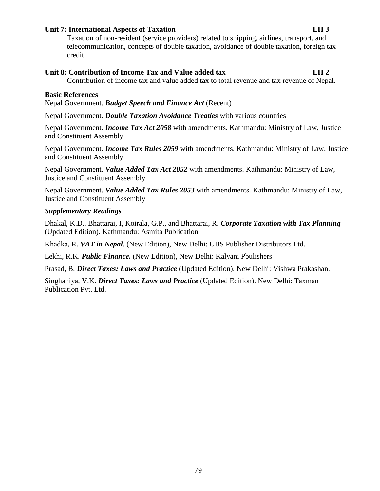# **Unit 7: International Aspects of Taxation LH 3**

Taxation of non-resident (service providers) related to shipping, airlines, transport, and telecommunication, concepts of double taxation, avoidance of double taxation, foreign tax credit.

# **Unit 8: Contribution of Income Tax and Value added tax LH 2**

Contribution of income tax and value added tax to total revenue and tax revenue of Nepal.

# **Basic References**

Nepal Government. *Budget Speech and Finance Act* (Recent)

Nepal Government. *Double Taxation Avoidance Treaties* with various countries

Nepal Government. *Income Tax Act 2058* with amendments. Kathmandu: Ministry of Law, Justice and Constituent Assembly

Nepal Government. *Income Tax Rules 2059* with amendments. Kathmandu: Ministry of Law, Justice and Constituent Assembly

Nepal Government. *Value Added Tax Act 2052* with amendments. Kathmandu: Ministry of Law, Justice and Constituent Assembly

Nepal Government. *Value Added Tax Rules 2053* with amendments. Kathmandu: Ministry of Law, Justice and Constituent Assembly

# *Supplementary Readings*

Dhakal, K.D., Bhattarai, I, Koirala, G.P., and Bhattarai, R. *Corporate Taxation with Tax Planning*  (Updated Edition). Kathmandu: Asmita Publication

Khadka, R. *VAT in Nepal*. (New Edition), New Delhi: UBS Publisher Distributors Ltd.

Lekhi, R.K. *Public Finance.* (New Edition), New Delhi: Kalyani Pbulishers

Prasad, B. *Direct Taxes: Laws and Practice* (Updated Edition). New Delhi: Vishwa Prakashan.

Singhaniya, V.K. *Direct Taxes: Laws and Practice* (Updated Edition). New Delhi: Taxman Publication Pvt. Ltd.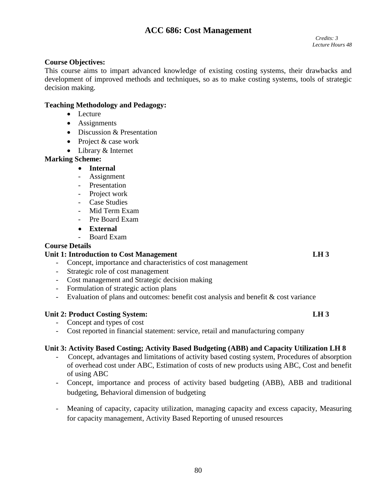# **ACC 686: Cost Management**

# **Course Objectives:**

This course aims to impart advanced knowledge of existing costing systems, their drawbacks and development of improved methods and techniques, so as to make costing systems, tools of strategic decision making.

# **Teaching Methodology and Pedagogy:**

- Lecture
- Assignments
- Discussion & Presentation
- Project & case work
- Library & Internet

# **Marking Scheme:**

# **Internal**

- Assignment
- Presentation
- Project work
- Case Studies
- Mid Term Exam
- Pre Board Exam
- **External**
- Board Exam

# **Course Details**

# Unit 1: Introduction to Cost Management **LH 3**

- Concept, importance and characteristics of cost management
- Strategic role of cost management
- Cost management and Strategic decision making
- Formulation of strategic action plans
- Evaluation of plans and outcomes: benefit cost analysis and benefit & cost variance

# **Unit 2: Product Costing System: LH 3**

- Concept and types of cost
- Cost reported in financial statement: service, retail and manufacturing company

# **Unit 3: Activity Based Costing; Activity Based Budgeting (ABB) and Capacity Utilization LH 8**

- Concept, advantages and limitations of activity based costing system, Procedures of absorption of overhead cost under ABC, Estimation of costs of new products using ABC, Cost and benefit of using ABC
- Concept, importance and process of activity based budgeting (ABB), ABB and traditional budgeting, Behavioral dimension of budgeting
- Meaning of capacity, capacity utilization, managing capacity and excess capacity, Measuring for capacity management, Activity Based Reporting of unused resources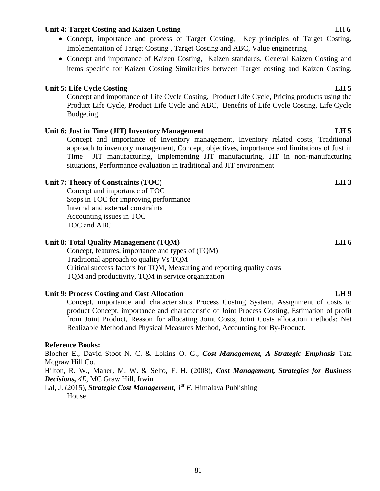# **Unit 4: Target Costing and Kaizen Costing** Let  $\alpha$  be the set of the set of the set of the set of the set of the set of the set of the set of the set of the set of the set of the set of the set of the set of the set of t

- Concept, importance and process of Target Costing, Key principles of Target Costing, Implementation of Target Costing , Target Costing and ABC, Value engineering
- Concept and importance of Kaizen Costing, Kaizen standards, General Kaizen Costing and items specific for Kaizen Costing Similarities between Target costing and Kaizen Costing.

# **Unit 5: Life Cycle Costing LH 5**

Concept and importance of Life Cycle Costing, Product Life Cycle, Pricing products using the Product Life Cycle, Product Life Cycle and ABC, Benefits of Life Cycle Costing, Life Cycle Budgeting.

# **Unit 6: Just in Time (JIT) Inventory Management LH 5**

Concept and importance of Inventory management, Inventory related costs, Traditional approach to inventory management, Concept, objectives, importance and limitations of Just in Time JIT manufacturing, Implementing JIT manufacturing, JIT in non-manufacturing situations, Performance evaluation in traditional and JIT environment

# Unit 7: Theory of Constraints (TOC) **LH 3**

Concept and importance of TOC Steps in TOC for improving performance Internal and external constraints Accounting issues in TOC TOC and ABC

# **Unit 8: Total Quality Management (TQM) LH 6**

Concept, features, importance and types of (TQM) Traditional approach to quality Vs TQM Critical success factors for TQM, Measuring and reporting quality costs TQM and productivity, TQM in service organization

# **Unit 9: Process Costing and Cost Allocation LH 9**

Concept, importance and characteristics Process Costing System, Assignment of costs to product Concept, importance and characteristic of Joint Process Costing, Estimation of profit from Joint Product, Reason for allocating Joint Costs, Joint Costs allocation methods: Net Realizable Method and Physical Measures Method, Accounting for By-Product.

# **Reference Books:**

Blocher E., David Stoot N. C. & Lokins O. G., *Cost Management, A Strategic Emphasis* Tata Mcgraw Hill Co.

Hilton, R. W., Maher, M. W. & Selto, F. H. (2008), *Cost Management, Strategies for Business Decisions, 4E,* MC Graw Hill, Irwin

Lal, J. (2015), *Strategic Cost Management, 1 st E*, Himalaya Publishing House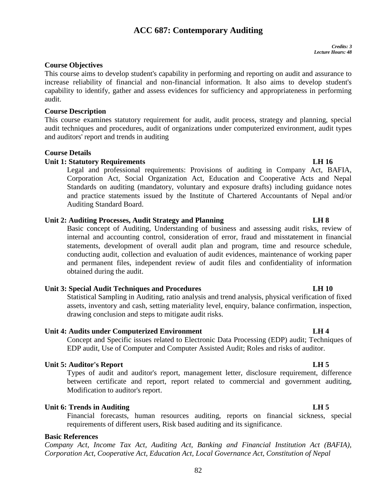# **ACC 687: Contemporary Auditing**

# **Course Objectives**

This course aims to develop student's capability in performing and reporting on audit and assurance to increase reliability of financial and non-financial information. It also aims to develop student's capability to identify, gather and assess evidences for sufficiency and appropriateness in performing audit.

### **Course Description**

This course examines statutory requirement for audit, audit process, strategy and planning, special audit techniques and procedures, audit of organizations under computerized environment, audit types and auditors' report and trends in auditing

# **Course Details**

# **Unit 1: Statutory Requirements LH 16**

Legal and professional requirements: Provisions of auditing in Company Act, BAFIA, Corporation Act, Social Organization Act, Education and Cooperative Acts and Nepal Standards on auditing (mandatory, voluntary and exposure drafts) including guidance notes and practice statements issued by the Institute of Chartered Accountants of Nepal and/or Auditing Standard Board.

# **Unit 2: Auditing Processes, Audit Strategy and Planning LH 8**

Basic concept of Auditing, Understanding of business and assessing audit risks, review of internal and accounting control, consideration of error, fraud and misstatement in financial statements, development of overall audit plan and program, time and resource schedule, conducting audit, collection and evaluation of audit evidences, maintenance of working paper and permanent files, independent review of audit files and confidentiality of information obtained during the audit.

# **Unit 3: Special Audit Techniques and Procedures LH 10**

Statistical Sampling in Auditing, ratio analysis and trend analysis, physical verification of fixed assets, inventory and cash, setting materiality level, enquiry, balance confirmation, inspection, drawing conclusion and steps to mitigate audit risks.

### **Unit 4: Audits under Computerized Environment LH 4**

Concept and Specific issues related to Electronic Data Processing (EDP) audit; Techniques of EDP audit, Use of Computer and Computer Assisted Audit; Roles and risks of auditor.

### **Unit 5: Auditor's Report LH 5**

Types of audit and auditor's report, management letter, disclosure requirement, difference between certificate and report, report related to commercial and government auditing, Modification to auditor's report.

### **Unit 6: Trends in Auditing LH 5**

Financial forecasts, human resources auditing, reports on financial sickness, special requirements of different users, Risk based auditing and its significance.

# **Basic References**

*Company Act, Income Tax Act, Auditing Act, Banking and Financial Institution Act (BAFIA), Corporation Act, Cooperative Act, Education Act, Local Governance Act, Constitution of Nepal*

# 82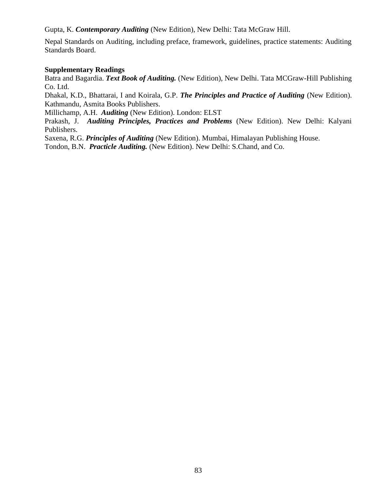Gupta, K. *Contemporary Auditing* (New Edition), New Delhi: Tata McGraw Hill.

Nepal Standards on Auditing, including preface, framework, guidelines, practice statements: Auditing Standards Board.

# **Supplementary Readings**

Batra and Bagardia. *Text Book of Auditing.* (New Edition), New Delhi. Tata MCGraw-Hill Publishing Co. Ltd.

Dhakal, K.D., Bhattarai, I and Koirala, G.P. *The Principles and Practice of Auditing* (New Edition). Kathmandu, Asmita Books Publishers.

Millichamp, A.H. *Auditing* (New Edition). London: ELST

Prakash, J. *Auditing Principles, Practices and Problems* (New Edition). New Delhi: Kalyani Publishers.

Saxena, R.G. *Principles of Auditing* (New Edition). Mumbai, Himalayan Publishing House.

Tondon, B.N. *Practicle Auditing.* (New Edition). New Delhi: S.Chand, and Co.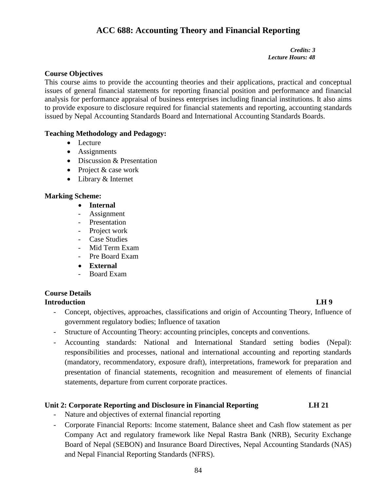# **ACC 688: Accounting Theory and Financial Reporting**

### *Credits: 3 Lecture Hours: 48*

# **Course Objectives**

This course aims to provide the accounting theories and their applications, practical and conceptual issues of general financial statements for reporting financial position and performance and financial analysis for performance appraisal of business enterprises including financial institutions. It also aims to provide exposure to disclosure required for financial statements and reporting, accounting standards issued by Nepal Accounting Standards Board and International Accounting Standards Boards.

# **Teaching Methodology and Pedagogy:**

- Lecture
- Assignments
- Discussion & Presentation
- Project & case work
- Library & Internet

# **Marking Scheme:**

- **Internal**
- Assignment
- Presentation
- Project work
- Case Studies
- Mid Term Exam
- Pre Board Exam
- **External**
- Board Exam

### **Course Details Introduction LH 9**

- Concept, objectives, approaches, classifications and origin of Accounting Theory, Influence of government regulatory bodies; Influence of taxation
- Structure of Accounting Theory: accounting principles, concepts and conventions.
- Accounting standards: National and International Standard setting bodies (Nepal): responsibilities and processes, national and international accounting and reporting standards (mandatory, recommendatory, exposure draft), interpretations, framework for preparation and presentation of financial statements, recognition and measurement of elements of financial statements, departure from current corporate practices.

# **Unit 2: Corporate Reporting and Disclosure in Financial Reporting LH 21**

- Nature and objectives of external financial reporting
- Corporate Financial Reports: Income statement, Balance sheet and Cash flow statement as per Company Act and regulatory framework like Nepal Rastra Bank (NRB), Security Exchange Board of Nepal (SEBON) and Insurance Board Directives, Nepal Accounting Standards (NAS) and Nepal Financial Reporting Standards (NFRS).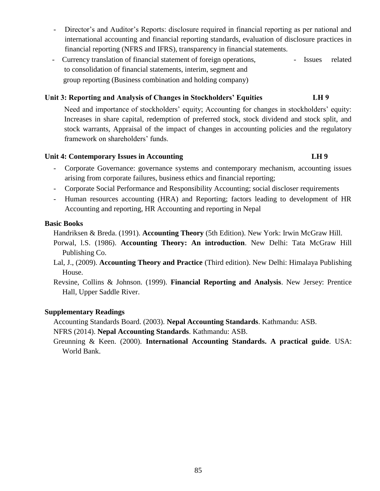- Director's and Auditor's Reports: disclosure required in financial reporting as per national and international accounting and financial reporting standards, evaluation of disclosure practices in financial reporting (NFRS and IFRS), transparency in financial statements.
- Currency translation of financial statement of foreign operations, Issues related to consolidation of financial statements, interim, segment and group reporting (Business combination and holding company)

# **Unit 3: Reporting and Analysis of Changes in Stockholders' Equities LH 9**

Need and importance of stockholders' equity; Accounting for changes in stockholders' equity: Increases in share capital, redemption of preferred stock, stock dividend and stock split, and stock warrants, Appraisal of the impact of changes in accounting policies and the regulatory framework on shareholders' funds.

# **Unit 4: Contemporary Issues in Accounting LH 9**

- Corporate Governance: governance systems and contemporary mechanism, accounting issues arising from corporate failures, business ethics and financial reporting;
- Corporate Social Performance and Responsibility Accounting; social discloser requirements
- Human resources accounting (HRA) and Reporting; factors leading to development of HR Accounting and reporting, HR Accounting and reporting in Nepal

# **Basic Books**

Handriksen & Breda. (1991). **Accounting Theory** (5th Edition). New York: Irwin McGraw Hill.

- Porwal, l.S. (1986). **Accounting Theory: An introduction**. New Delhi: Tata McGraw Hill Publishing Co.
- Lal, J., (2009). **Accounting Theory and Practice** (Third edition). New Delhi: Himalaya Publishing House.
- Revsine, Collins & Johnson. (1999). **Financial Reporting and Analysis**. New Jersey: Prentice Hall, Upper Saddle River.

# **Supplementary Readings**

Accounting Standards Board. (2003). **Nepal Accounting Standards**. Kathmandu: ASB.

NFRS (2014). **Nepal Accounting Standards**. Kathmandu: ASB.

Greunning & Keen. (2000). **International Accounting Standards. A practical guide**. USA: World Bank.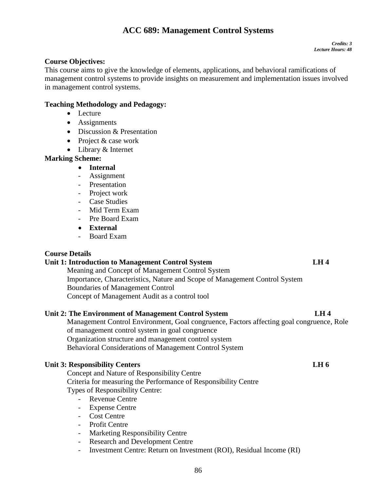# **ACC 689: Management Control Systems**

# **Course Objectives:**

This course aims to give the knowledge of elements, applications, and behavioral ramifications of management control systems to provide insights on measurement and implementation issues involved in management control systems.

# **Teaching Methodology and Pedagogy:**

- Lecture
- Assignments
- Discussion & Presentation
- Project & case work
- Library & Internet

# **Marking Scheme:**

# **Internal**

- Assignment
- Presentation
- Project work
- Case Studies
- Mid Term Exam
- Pre Board Exam
- **External**
- Board Exam

# **Course Details**

# **Unit 1: Introduction to Management Control System LH 4**

Meaning and Concept of Management Control System Importance, Characteristics, Nature and Scope of Management Control System Boundaries of Management Control Concept of Management Audit as a control tool

# **Unit 2: The Environment of Management Control System LH 4**

Management Control Environment, Goal congruence, Factors affecting goal congruence, Role of management control system in goal congruence Organization structure and management control system Behavioral Considerations of Management Control System

# **Unit 3: Responsibility Centers LH 6**

Concept and Nature of Responsibility Centre Criteria for measuring the Performance of Responsibility Centre Types of Responsibility Centre:

- Revenue Centre
- Expense Centre
- Cost Centre
- Profit Centre
- Marketing Responsibility Centre
- Research and Development Centre
- Investment Centre: Return on Investment (ROI), Residual Income (RI)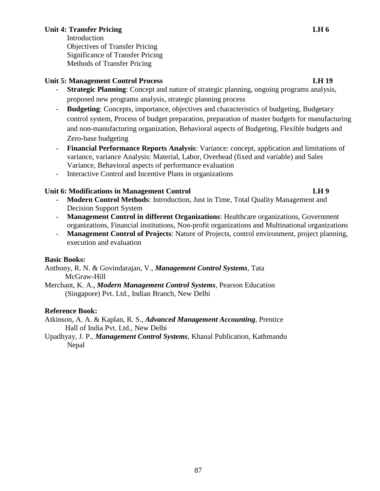# **Unit 4: Transfer Pricing LH 6**

Introduction Objectives of Transfer Pricing Significance of Transfer Pricing

Methods of Transfer Pricing

# **Unit 5: Management Control Process LH 19**

- **Strategic Planning**: Concept and nature of strategic planning, ongoing programs analysis, proposed new programs analysis, strategic planning process
- **Budgeting**: Concepts, importance, objectives and characteristics of budgeting, Budgetary control system, Process of budget preparation, preparation of master budgets for manufacturing and non-manufacturing organization, Behavioral aspects of Budgeting, Flexible budgets and Zero-base budgeting
- **Financial Performance Reports Analysis**: Variance: concept, application and limitations of variance, variance Analysis: Material, Labor, Overhead (fixed and variable) and Sales Variance, Behavioral aspects of performance evaluation
- Interactive Control and Incentive Plans in organizations

# Unit 6: Modifications in Management Control **LH 9**

- **Modern Control Methods**: Introduction, Just in Time, Total Quality Management and Decision Support System
- **Management Control in different Organizations**: Healthcare organizations, Government organizations, Financial institutions, Non-profit organizations and Multinational organizations
- **Management Control of Projects**: Nature of Projects, control environment, project planning, execution and evaluation

# **Basic Books:**

Anthony, R. N. & Govindarajan, V., *Management Control Systems,* Tata McGraw-Hill

Merchant, K. A., *Modern Management Control Systems,* Pearson Education (Singapore) Pvt. Ltd., Indian Branch, New Delhi

# **Reference Book:**

Atkinson, A. A. & Kaplan, R. S., *Advanced Management Accounting*, Prentice Hall of India Pvt. Ltd., New Delhi

Upadhyay, J. P., *Management Control Systems,* Khanal Publication, Kathmandu Nepal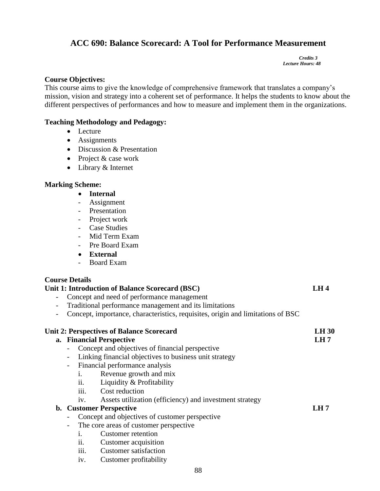# **ACC 690: Balance Scorecard: A Tool for Performance Measurement**

 *Credits 3 Lecture Hours: 48*

# **Course Objectives:**

This course aims to give the knowledge of comprehensive framework that translates a company's mission, vision and strategy into a coherent set of performance. It helps the students to know about the different perspectives of performances and how to measure and implement them in the organizations.

# **Teaching Methodology and Pedagogy:**

- Lecture
- Assignments
- Discussion & Presentation
- Project & case work
- Library & Internet

# **Marking Scheme:**

- **Internal**
- Assignment
- Presentation
- Project work
- Case Studies
- Mid Term Exam
- Pre Board Exam
- **External**
- Board Exam

# **Course Details**

# **Unit 1: Introduction of Balance Scorecard (BSC) LH 4**

- Concept and need of performance management
- Traditional performance management and its limitations
- Concept, importance, characteristics, requisites, origin and limitations of BSC

|                          | <b>Unit 2: Perspectives of Balance Scorecard</b>               | <b>LH 30</b> |
|--------------------------|----------------------------------------------------------------|--------------|
|                          | a. Financial Perspective                                       | LH7          |
| $\overline{\phantom{0}}$ | Concept and objectives of financial perspective                |              |
| -                        | Linking financial objectives to business unit strategy         |              |
| $\overline{\phantom{0}}$ | Financial performance analysis                                 |              |
|                          | Revenue growth and mix<br>1.                                   |              |
|                          | ii.<br>Liquidity & Profitability                               |              |
|                          | iii.<br>Cost reduction                                         |              |
|                          | Assets utilization (efficiency) and investment strategy<br>iv. |              |
|                          | <b>b.</b> Customer Perspective                                 | LH 7         |
| Ξ.                       | Concept and objectives of customer perspective                 |              |
| $\overline{\phantom{0}}$ | The core areas of customer perspective                         |              |
|                          | Customer retention<br>$\mathbf{1}$                             |              |
|                          | ii.<br>Customer acquisition                                    |              |
|                          | <b>Customer</b> satisfaction<br>111.                           |              |

iv. Customer profitability